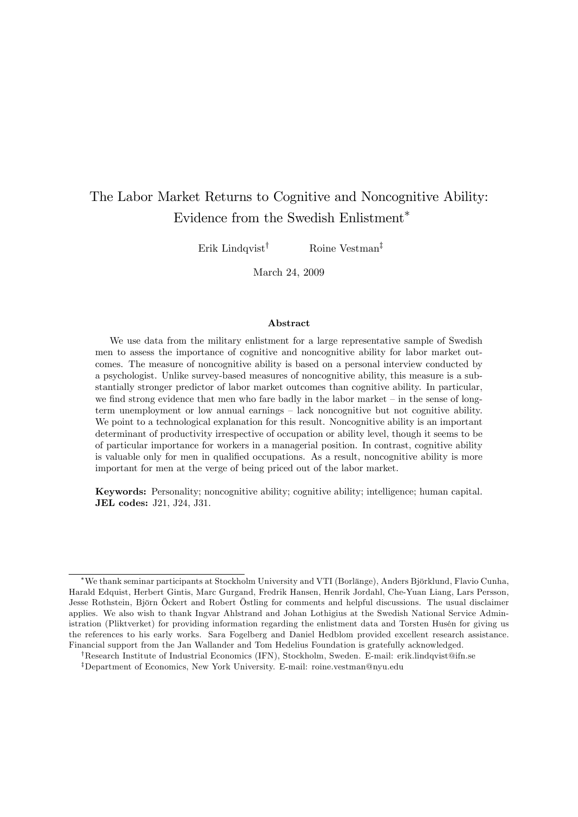# The Labor Market Returns to Cognitive and Noncognitive Ability: Evidence from the Swedish Enlistment

Erik Lindqvist<sup>†</sup> Roine Vestman<sup>‡</sup>

March 24, 2009

#### Abstract

We use data from the military enlistment for a large representative sample of Swedish men to assess the importance of cognitive and noncognitive ability for labor market outcomes. The measure of noncognitive ability is based on a personal interview conducted by a psychologist. Unlike survey-based measures of noncognitive ability, this measure is a substantially stronger predictor of labor market outcomes than cognitive ability. In particular, we find strong evidence that men who fare badly in the labor market  $-$  in the sense of longterm unemployment or low annual earnings – lack noncognitive but not cognitive ability. We point to a technological explanation for this result. Noncognitive ability is an important determinant of productivity irrespective of occupation or ability level, though it seems to be of particular importance for workers in a managerial position. In contrast, cognitive ability is valuable only for men in qualified occupations. As a result, noncognitive ability is more important for men at the verge of being priced out of the labor market.

Keywords: Personality; noncognitive ability; cognitive ability; intelligence; human capital. JEL codes: J21, J24, J31.

<sup>\*</sup>We thank seminar participants at Stockholm University and VTI (Borlänge), Anders Björklund, Flavio Cunha, Harald Edquist, Herbert Gintis, Marc Gurgand, Fredrik Hansen, Henrik Jordahl, Che-Yuan Liang, Lars Persson, Jesse Rothstein, Björn Öckert and Robert Östling for comments and helpful discussions. The usual disclaimer applies. We also wish to thank Ingvar Ahlstrand and Johan Lothigius at the Swedish National Service Administration (Pliktverket) for providing information regarding the enlistment data and Torsten Husén for giving us the references to his early works. Sara Fogelberg and Daniel Hedblom provided excellent research assistance. Financial support from the Jan Wallander and Tom Hedelius Foundation is gratefully acknowledged.

<sup>&</sup>lt;sup>†</sup>Research Institute of Industrial Economics (IFN), Stockholm, Sweden. E-mail: erik.lindqvist@ifn.se

<sup>&</sup>lt;sup>‡</sup>Department of Economics, New York University. E-mail: roine.vestman@nyu.edu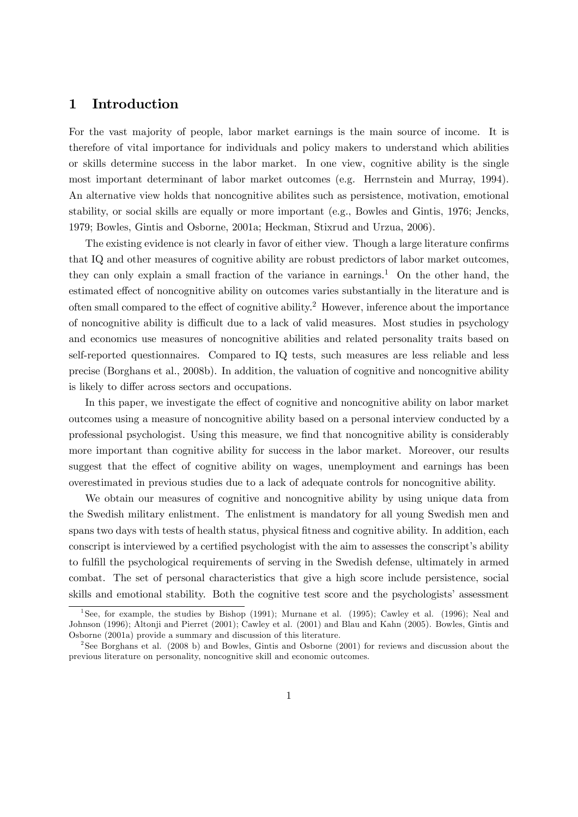### 1 Introduction

For the vast majority of people, labor market earnings is the main source of income. It is therefore of vital importance for individuals and policy makers to understand which abilities or skills determine success in the labor market. In one view, cognitive ability is the single most important determinant of labor market outcomes (e.g. Herrnstein and Murray, 1994). An alternative view holds that noncognitive abilites such as persistence, motivation, emotional stability, or social skills are equally or more important (e.g., Bowles and Gintis, 1976; Jencks, 1979; Bowles, Gintis and Osborne, 2001a; Heckman, Stixrud and Urzua, 2006).

The existing evidence is not clearly in favor of either view. Though a large literature confirms that IQ and other measures of cognitive ability are robust predictors of labor market outcomes, they can only explain a small fraction of the variance in earnings.<sup>1</sup> On the other hand, the estimated effect of noncognitive ability on outcomes varies substantially in the literature and is often small compared to the effect of cognitive ability.<sup>2</sup> However, inference about the importance of noncognitive ability is difficult due to a lack of valid measures. Most studies in psychology and economics use measures of noncognitive abilities and related personality traits based on self-reported questionnaires. Compared to IQ tests, such measures are less reliable and less precise (Borghans et al., 2008b). In addition, the valuation of cognitive and noncognitive ability is likely to differ across sectors and occupations.

In this paper, we investigate the effect of cognitive and noncognitive ability on labor market outcomes using a measure of noncognitive ability based on a personal interview conducted by a professional psychologist. Using this measure, we Önd that noncognitive ability is considerably more important than cognitive ability for success in the labor market. Moreover, our results suggest that the effect of cognitive ability on wages, unemployment and earnings has been overestimated in previous studies due to a lack of adequate controls for noncognitive ability.

We obtain our measures of cognitive and noncognitive ability by using unique data from the Swedish military enlistment. The enlistment is mandatory for all young Swedish men and spans two days with tests of health status, physical fitness and cognitive ability. In addition, each conscript is interviewed by a certified psychologist with the aim to assesses the conscript's ability to fulÖll the psychological requirements of serving in the Swedish defense, ultimately in armed combat. The set of personal characteristics that give a high score include persistence, social skills and emotional stability. Both the cognitive test score and the psychologists' assessment

<sup>&</sup>lt;sup>1</sup>See, for example, the studies by Bishop (1991); Murnane et al. (1995); Cawley et al. (1996); Neal and Johnson (1996); Altonji and Pierret (2001); Cawley et al. (2001) and Blau and Kahn (2005). Bowles, Gintis and Osborne (2001a) provide a summary and discussion of this literature.

<sup>2</sup> See Borghans et al. (2008 b) and Bowles, Gintis and Osborne (2001) for reviews and discussion about the previous literature on personality, noncognitive skill and economic outcomes.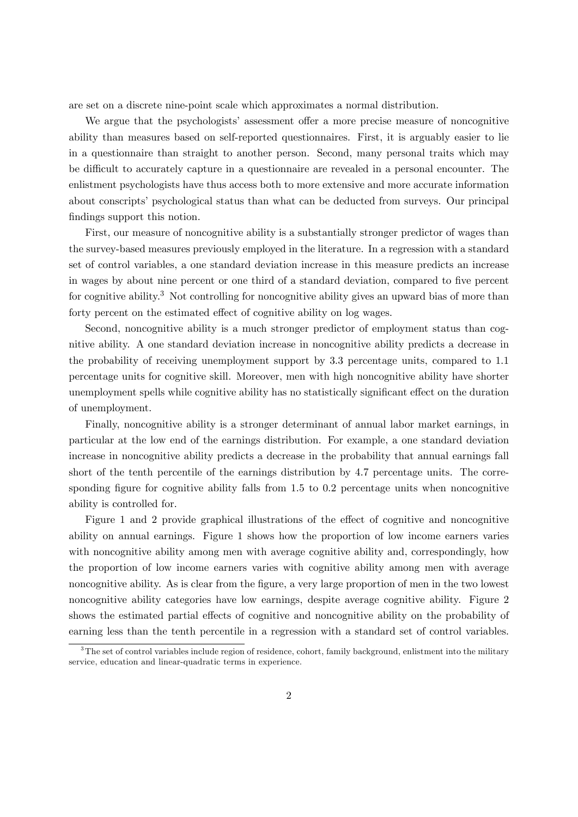are set on a discrete nine-point scale which approximates a normal distribution.

We argue that the psychologists' assessment offer a more precise measure of noncognitive ability than measures based on self-reported questionnaires. First, it is arguably easier to lie in a questionnaire than straight to another person. Second, many personal traits which may be difficult to accurately capture in a questionnaire are revealed in a personal encounter. The enlistment psychologists have thus access both to more extensive and more accurate information about conscripts' psychological status than what can be deducted from surveys. Our principal findings support this notion.

First, our measure of noncognitive ability is a substantially stronger predictor of wages than the survey-based measures previously employed in the literature. In a regression with a standard set of control variables, a one standard deviation increase in this measure predicts an increase in wages by about nine percent or one third of a standard deviation, compared to five percent for cognitive ability.<sup>3</sup> Not controlling for noncognitive ability gives an upward bias of more than forty percent on the estimated effect of cognitive ability on log wages.

Second, noncognitive ability is a much stronger predictor of employment status than cognitive ability. A one standard deviation increase in noncognitive ability predicts a decrease in the probability of receiving unemployment support by 3.3 percentage units, compared to 1.1 percentage units for cognitive skill. Moreover, men with high noncognitive ability have shorter unemployment spells while cognitive ability has no statistically significant effect on the duration of unemployment.

Finally, noncognitive ability is a stronger determinant of annual labor market earnings, in particular at the low end of the earnings distribution. For example, a one standard deviation increase in noncognitive ability predicts a decrease in the probability that annual earnings fall short of the tenth percentile of the earnings distribution by 4.7 percentage units. The corresponding figure for cognitive ability falls from  $1.5$  to  $0.2$  percentage units when noncognitive ability is controlled for.

Figure 1 and 2 provide graphical illustrations of the effect of cognitive and noncognitive ability on annual earnings. Figure 1 shows how the proportion of low income earners varies with noncognitive ability among men with average cognitive ability and, correspondingly, how the proportion of low income earners varies with cognitive ability among men with average noncognitive ability. As is clear from the figure, a very large proportion of men in the two lowest noncognitive ability categories have low earnings, despite average cognitive ability. Figure 2 shows the estimated partial effects of cognitive and noncognitive ability on the probability of earning less than the tenth percentile in a regression with a standard set of control variables.

 $3$ The set of control variables include region of residence, cohort, family background, enlistment into the military service, education and linear-quadratic terms in experience.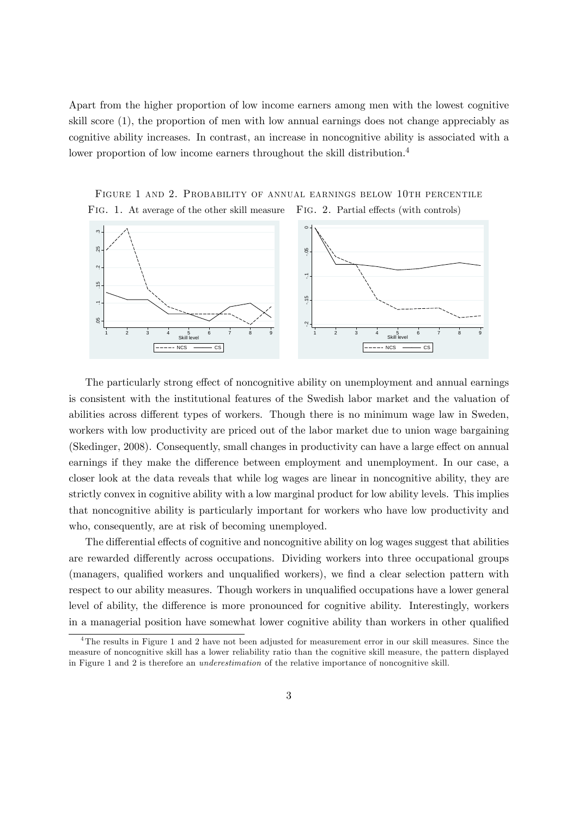Apart from the higher proportion of low income earners among men with the lowest cognitive skill score (1), the proportion of men with low annual earnings does not change appreciably as cognitive ability increases. In contrast, an increase in noncognitive ability is associated with a lower proportion of low income earners throughout the skill distribution.<sup>4</sup>

Figure 1 and 2. Probability of annual earnings below 10th percentile FIG. 1. At average of the other skill measure FIG. 2. Partial effects (with controls)



The particularly strong effect of noncognitive ability on unemployment and annual earnings is consistent with the institutional features of the Swedish labor market and the valuation of abilities across different types of workers. Though there is no minimum wage law in Sweden, workers with low productivity are priced out of the labor market due to union wage bargaining (Skedinger, 2008). Consequently, small changes in productivity can have a large effect on annual earnings if they make the difference between employment and unemployment. In our case, a closer look at the data reveals that while log wages are linear in noncognitive ability, they are strictly convex in cognitive ability with a low marginal product for low ability levels. This implies that noncognitive ability is particularly important for workers who have low productivity and who, consequently, are at risk of becoming unemployed.

The differential effects of cognitive and noncognitive ability on log wages suggest that abilities are rewarded differently across occupations. Dividing workers into three occupational groups (managers, qualified workers and unqualified workers), we find a clear selection pattern with respect to our ability measures. Though workers in unqualified occupations have a lower general level of ability, the difference is more pronounced for cognitive ability. Interestingly, workers in a managerial position have somewhat lower cognitive ability than workers in other qualified

<sup>4</sup>The results in Figure 1 and 2 have not been adjusted for measurement error in our skill measures. Since the measure of noncognitive skill has a lower reliability ratio than the cognitive skill measure, the pattern displayed in Figure 1 and 2 is therefore an underestimation of the relative importance of noncognitive skill.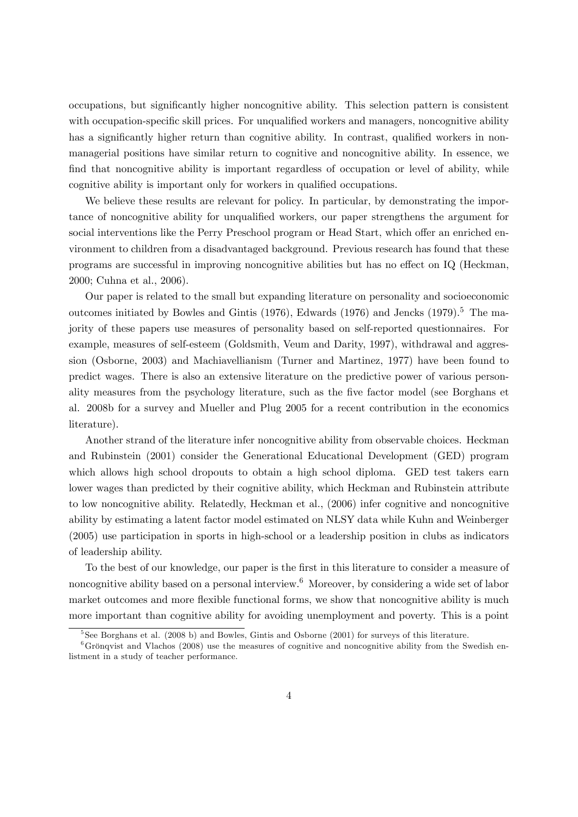occupations, but significantly higher noncognitive ability. This selection pattern is consistent with occupation-specific skill prices. For unqualified workers and managers, noncognitive ability has a significantly higher return than cognitive ability. In contrast, qualified workers in nonmanagerial positions have similar return to cognitive and noncognitive ability. In essence, we find that noncognitive ability is important regardless of occupation or level of ability, while cognitive ability is important only for workers in qualified occupations.

We believe these results are relevant for policy. In particular, by demonstrating the importance of noncognitive ability for unqualified workers, our paper strengthens the argument for social interventions like the Perry Preschool program or Head Start, which offer an enriched environment to children from a disadvantaged background. Previous research has found that these programs are successful in improving noncognitive abilities but has no effect on IQ (Heckman, 2000; Cuhna et al., 2006).

Our paper is related to the small but expanding literature on personality and socioeconomic outcomes initiated by Bowles and Gintis (1976), Edwards (1976) and Jencks (1979).<sup>5</sup> The majority of these papers use measures of personality based on self-reported questionnaires. For example, measures of self-esteem (Goldsmith, Veum and Darity, 1997), withdrawal and aggression (Osborne, 2003) and Machiavellianism (Turner and Martinez, 1977) have been found to predict wages. There is also an extensive literature on the predictive power of various personality measures from the psychology literature, such as the Öve factor model (see Borghans et al. 2008b for a survey and Mueller and Plug 2005 for a recent contribution in the economics literature).

Another strand of the literature infer noncognitive ability from observable choices. Heckman and Rubinstein (2001) consider the Generational Educational Development (GED) program which allows high school dropouts to obtain a high school diploma. GED test takers earn lower wages than predicted by their cognitive ability, which Heckman and Rubinstein attribute to low noncognitive ability. Relatedly, Heckman et al., (2006) infer cognitive and noncognitive ability by estimating a latent factor model estimated on NLSY data while Kuhn and Weinberger (2005) use participation in sports in high-school or a leadership position in clubs as indicators of leadership ability.

To the best of our knowledge, our paper is the first in this literature to consider a measure of noncognitive ability based on a personal interview.<sup>6</sup> Moreover, by considering a wide set of labor market outcomes and more flexible functional forms, we show that noncognitive ability is much more important than cognitive ability for avoiding unemployment and poverty. This is a point

<sup>5</sup> See Borghans et al. (2008 b) and Bowles, Gintis and Osborne (2001) for surveys of this literature.

 $6Gr\ddot{\omega}$  and Vlachos (2008) use the measures of cognitive and noncognitive ability from the Swedish enlistment in a study of teacher performance.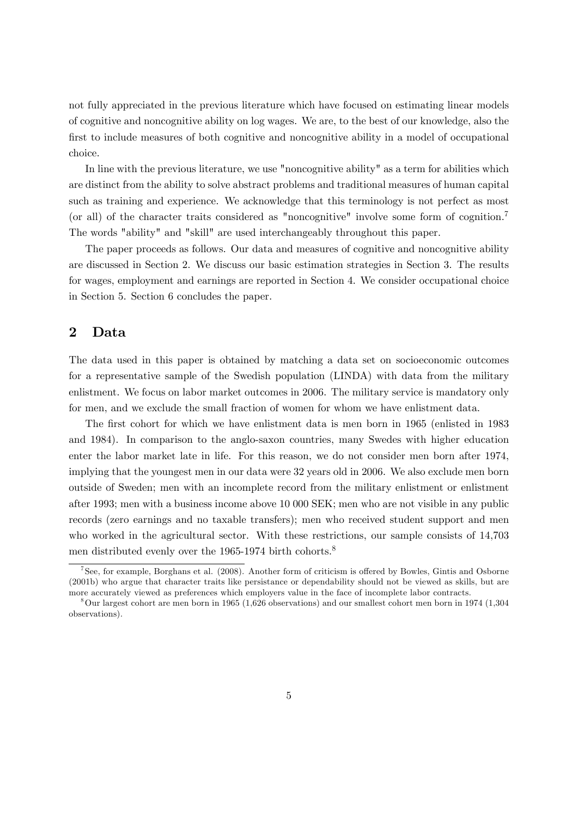not fully appreciated in the previous literature which have focused on estimating linear models of cognitive and noncognitive ability on log wages. We are, to the best of our knowledge, also the first to include measures of both cognitive and noncognitive ability in a model of occupational choice.

In line with the previous literature, we use "noncognitive ability" as a term for abilities which are distinct from the ability to solve abstract problems and traditional measures of human capital such as training and experience. We acknowledge that this terminology is not perfect as most (or all) of the character traits considered as "noncognitive" involve some form of cognition.<sup>7</sup> The words "ability" and "skill" are used interchangeably throughout this paper.

The paper proceeds as follows. Our data and measures of cognitive and noncognitive ability are discussed in Section 2. We discuss our basic estimation strategies in Section 3. The results for wages, employment and earnings are reported in Section 4. We consider occupational choice in Section 5. Section 6 concludes the paper.

## 2 Data

The data used in this paper is obtained by matching a data set on socioeconomic outcomes for a representative sample of the Swedish population (LINDA) with data from the military enlistment. We focus on labor market outcomes in 2006. The military service is mandatory only for men, and we exclude the small fraction of women for whom we have enlistment data.

The first cohort for which we have enlistment data is men born in 1965 (enlisted in 1983 and 1984). In comparison to the anglo-saxon countries, many Swedes with higher education enter the labor market late in life. For this reason, we do not consider men born after 1974, implying that the youngest men in our data were 32 years old in 2006. We also exclude men born outside of Sweden; men with an incomplete record from the military enlistment or enlistment after 1993; men with a business income above 10 000 SEK; men who are not visible in any public records (zero earnings and no taxable transfers); men who received student support and men who worked in the agricultural sector. With these restrictions, our sample consists of 14,703 men distributed evenly over the 1965-1974 birth cohorts.<sup>8</sup>

<sup>&</sup>lt;sup>7</sup> See, for example, Borghans et al. (2008). Another form of criticism is offered by Bowles, Gintis and Osborne (2001b) who argue that character traits like persistance or dependability should not be viewed as skills, but are more accurately viewed as preferences which employers value in the face of incomplete labor contracts.

<sup>8</sup>Our largest cohort are men born in 1965 (1,626 observations) and our smallest cohort men born in 1974 (1,304 observations).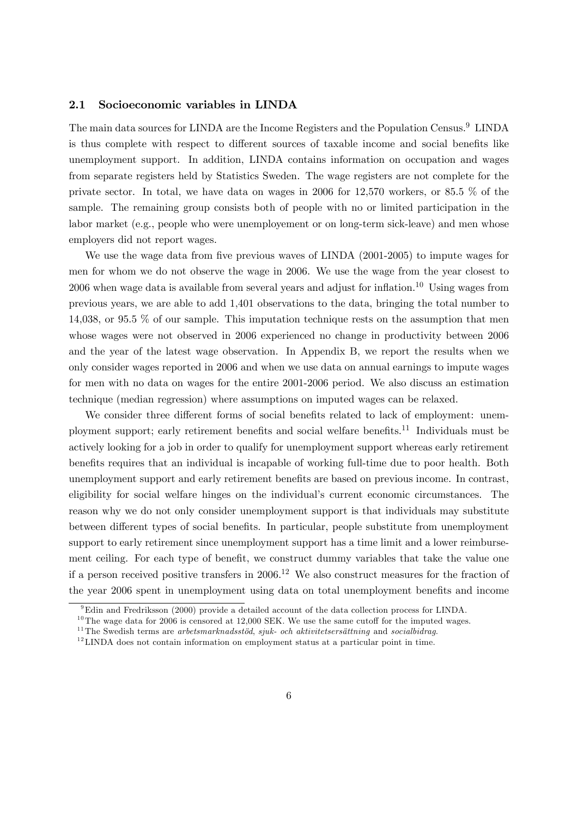### 2.1 Socioeconomic variables in LINDA

The main data sources for LINDA are the Income Registers and the Population Census.<sup>9</sup> LINDA is thus complete with respect to different sources of taxable income and social benefits like unemployment support. In addition, LINDA contains information on occupation and wages from separate registers held by Statistics Sweden. The wage registers are not complete for the private sector. In total, we have data on wages in 2006 for 12,570 workers, or 85.5 % of the sample. The remaining group consists both of people with no or limited participation in the labor market (e.g., people who were unemployement or on long-term sick-leave) and men whose employers did not report wages.

We use the wage data from five previous waves of LINDA (2001-2005) to impute wages for men for whom we do not observe the wage in 2006. We use the wage from the year closest to  $2006$  when wage data is available from several years and adjust for inflation.<sup>10</sup> Using wages from previous years, we are able to add 1,401 observations to the data, bringing the total number to 14,038, or 95.5 % of our sample. This imputation technique rests on the assumption that men whose wages were not observed in 2006 experienced no change in productivity between 2006 and the year of the latest wage observation. In Appendix B, we report the results when we only consider wages reported in 2006 and when we use data on annual earnings to impute wages for men with no data on wages for the entire 2001-2006 period. We also discuss an estimation technique (median regression) where assumptions on imputed wages can be relaxed.

We consider three different forms of social benefits related to lack of employment: unemployment support; early retirement benefits and social welfare benefits.<sup>11</sup> Individuals must be actively looking for a job in order to qualify for unemployment support whereas early retirement benefits requires that an individual is incapable of working full-time due to poor health. Both unemployment support and early retirement beneÖts are based on previous income. In contrast, eligibility for social welfare hinges on the individual's current economic circumstances. The reason why we do not only consider unemployment support is that individuals may substitute between different types of social benefits. In particular, people substitute from unemployment support to early retirement since unemployment support has a time limit and a lower reimbursement ceiling. For each type of benefit, we construct dummy variables that take the value one if a person received positive transfers in  $2006$ <sup>12</sup> We also construct measures for the fraction of the year 2006 spent in unemployment using data on total unemployment benefits and income

<sup>9</sup>Edin and Fredriksson (2000) provide a detailed account of the data collection process for LINDA.

 $10$ The wage data for 2006 is censored at 12,000 SEK. We use the same cutoff for the imputed wages.

 $11$ The Swedish terms are arbetsmarknadsstöd, sjuk- och aktivitetsersättning and socialbidrag.

 $12$  LINDA does not contain information on employment status at a particular point in time.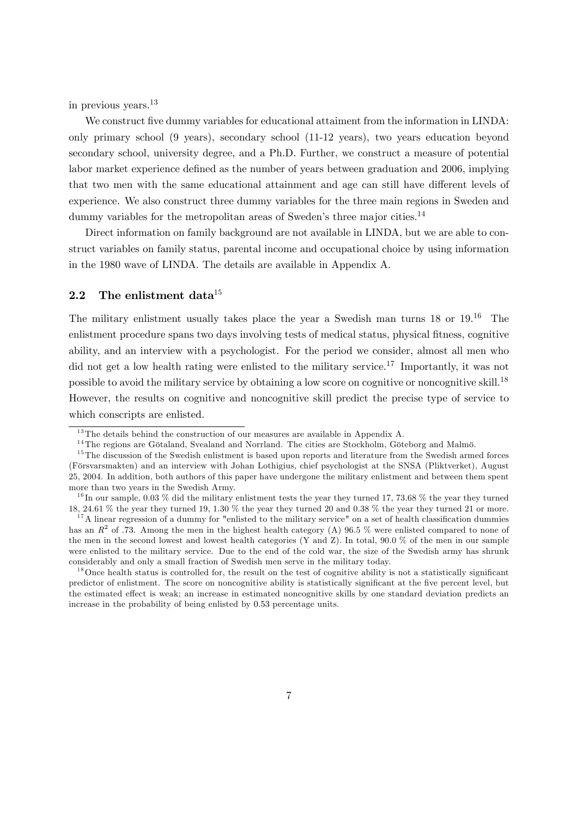in previous years.<sup>13</sup>

We construct five dummy variables for educational attaiment from the information in LINDA: only primary school (9 years), secondary school (11-12 years), two years education beyond secondary school, university degree, and a Ph.D. Further, we construct a measure of potential labor market experience defined as the number of years between graduation and 2006, implying that two men with the same educational attainment and age can still have different levels of experience. We also construct three dummy variables for the three main regions in Sweden and dummy variables for the metropolitan areas of Sweden's three major cities.<sup>14</sup>

Direct information on family background are not available in LINDA, but we are able to construct variables on family status, parental income and occupational choice by using information in the 1980 wave of LINDA. The details are available in Appendix A.

### 2.2 The enlistment data $15$

The military enlistment usually takes place the year a Swedish man turns 18 or 19.<sup>16</sup> The enlistment procedure spans two days involving tests of medical status, physical fitness, cognitive ability, and an interview with a psychologist. For the period we consider, almost all men who did not get a low health rating were enlisted to the military service.<sup>17</sup> Importantly, it was not possible to avoid the military service by obtaining a low score on cognitive or noncognitive skill.<sup>18</sup> However, the results on cognitive and noncognitive skill predict the precise type of service to which conscripts are enlisted.

 $13$ The details behind the construction of our measures are available in Appendix A.

 $14$ The regions are Götaland, Svealand and Norrland. The cities are Stockholm, Göteborg and Malmö.

<sup>&</sup>lt;sup>15</sup>The discussion of the Swedish enlistment is based upon reports and literature from the Swedish armed forces (Fˆrsvarsmakten) and an interview with Johan Lothigius, chief psychologist at the SNSA (Pliktverket), August 25, 2004. In addition, both authors of this paper have undergone the military enlistment and between them spent more than two years in the Swedish Army.

 $^{16}$ In our sample, 0.03 % did the military enlistment tests the year they turned 17, 73.68 % the year they turned 18, 24.61 % the year they turned 19, 1.30 % the year they turned 20 and 0.38 % the year they turned 21 or more.

 $17$ A linear regression of a dummy for "enlisted to the military service" on a set of health classification dummies has an  $R^2$  of .73. Among the men in the highest health category (A) 96.5 % were enlisted compared to none of the men in the second lowest and lowest health categories (Y and Z). In total, 90.0 % of the men in our sample were enlisted to the military service. Due to the end of the cold war, the size of the Swedish army has shrunk considerably and only a small fraction of Swedish men serve in the military today.

 $18$ Once health status is controlled for, the result on the test of cognitive ability is not a statistically significant predictor of enlistment. The score on noncognitive ability is statistically significant at the five percent level, but the estimated effect is weak; an increase in estimated noncognitive skills by one standard deviation predicts an increase in the probability of being enlisted by 0:53 percentage units.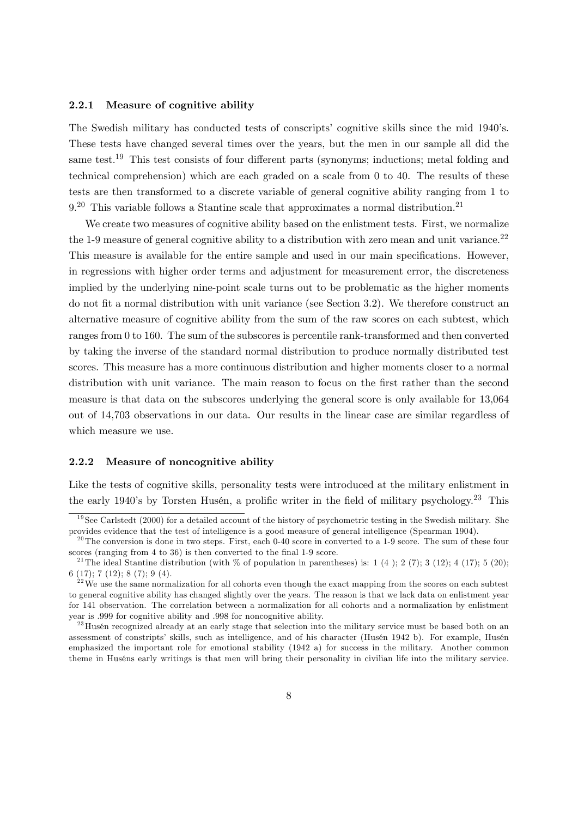#### 2.2.1 Measure of cognitive ability

The Swedish military has conducted tests of conscripts' cognitive skills since the mid 1940's. These tests have changed several times over the years, but the men in our sample all did the same test.<sup>19</sup> This test consists of four different parts (synonyms; inductions; metal folding and technical comprehension) which are each graded on a scale from 0 to 40. The results of these tests are then transformed to a discrete variable of general cognitive ability ranging from 1 to  $9<sup>20</sup>$  This variable follows a Stantine scale that approximates a normal distribution.<sup>21</sup>

We create two measures of cognitive ability based on the enlistment tests. First, we normalize the 1-9 measure of general cognitive ability to a distribution with zero mean and unit variance.<sup>22</sup> This measure is available for the entire sample and used in our main specifications. However, in regressions with higher order terms and adjustment for measurement error, the discreteness implied by the underlying nine-point scale turns out to be problematic as the higher moments do not fit a normal distribution with unit variance (see Section 3.2). We therefore construct an alternative measure of cognitive ability from the sum of the raw scores on each subtest, which ranges from 0 to 160. The sum of the subscores is percentile rank-transformed and then converted by taking the inverse of the standard normal distribution to produce normally distributed test scores. This measure has a more continuous distribution and higher moments closer to a normal distribution with unit variance. The main reason to focus on the first rather than the second measure is that data on the subscores underlying the general score is only available for 13,064 out of 14,703 observations in our data. Our results in the linear case are similar regardless of which measure we use.

#### 2.2.2 Measure of noncognitive ability

Like the tests of cognitive skills, personality tests were introduced at the military enlistment in the early 1940's by Torsten Husén, a prolific writer in the field of military psychology.<sup>23</sup> This

 $19$ See Carlstedt (2000) for a detailed account of the history of psychometric testing in the Swedish military. She provides evidence that the test of intelligence is a good measure of general intelligence (Spearman 1904).

 $^{20}$ The conversion is done in two steps. First, each 0-40 score in converted to a 1-9 score. The sum of these four scores (ranging from 4 to 36) is then converted to the final 1-9 score.

<sup>&</sup>lt;sup>21</sup>The ideal Stantine distribution (with % of population in parentheses) is: 1 (4); 2 (7); 3 (12); 4 (17); 5 (20); 6 (17); 7 (12); 8 (7); 9 (4).

 $2<sup>22</sup>$  We use the same normalization for all cohorts even though the exact mapping from the scores on each subtest to general cognitive ability has changed slightly over the years. The reason is that we lack data on enlistment year for 141 observation. The correlation between a normalization for all cohorts and a normalization by enlistment year is :999 for cognitive ability and :998 for noncognitive ability.

<sup>&</sup>lt;sup>23</sup> Husén recognized already at an early stage that selection into the military service must be based both on an assessment of constripts' skills, such as intelligence, and of his character (Husén 1942 b). For example, Husén emphasized the important role for emotional stability (1942 a) for success in the military. Another common theme in Huséns early writings is that men will bring their personality in civilian life into the military service.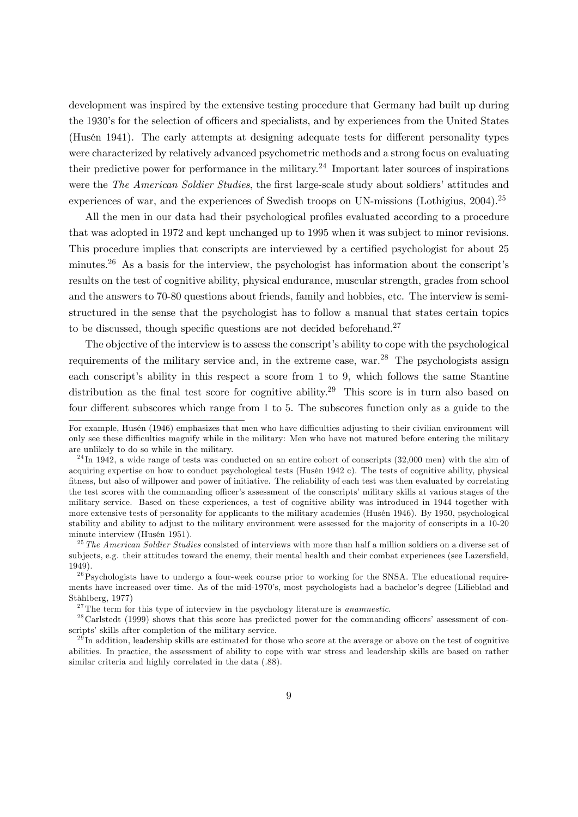development was inspired by the extensive testing procedure that Germany had built up during the 1930's for the selection of officers and specialists, and by experiences from the United States (Husén 1941). The early attempts at designing adequate tests for different personality types were characterized by relatively advanced psychometric methods and a strong focus on evaluating their predictive power for performance in the military.<sup>24</sup> Important later sources of inspirations were the The American Soldier Studies, the first large-scale study about soldiers' attitudes and experiences of war, and the experiences of Swedish troops on UN-missions (Lothigius, 2004).<sup>25</sup>

All the men in our data had their psychological profiles evaluated according to a procedure that was adopted in 1972 and kept unchanged up to 1995 when it was subject to minor revisions. This procedure implies that conscripts are interviewed by a certified psychologist for about 25 minutes.<sup>26</sup> As a basis for the interview, the psychologist has information about the conscript's results on the test of cognitive ability, physical endurance, muscular strength, grades from school and the answers to 70-80 questions about friends, family and hobbies, etc. The interview is semistructured in the sense that the psychologist has to follow a manual that states certain topics to be discussed, though specific questions are not decided beforehand.<sup>27</sup>

The objective of the interview is to assess the conscript's ability to cope with the psychological requirements of the military service and, in the extreme case, war.<sup>28</sup> The psychologists assign each conscript's ability in this respect a score from 1 to 9, which follows the same Stantine distribution as the final test score for cognitive ability.<sup>29</sup> This score is in turn also based on four different subscores which range from  $1$  to  $5$ . The subscores function only as a guide to the

<sup>25</sup>The American Soldier Studies consisted of interviews with more than half a million soldiers on a diverse set of subjects, e.g. their attitudes toward the enemy, their mental health and their combat experiences (see Lazersfield, 1949).

For example, Husén (1946) emphasizes that men who have difficulties adjusting to their civilian environment will only see these difficulties magnify while in the military: Men who have not matured before entering the military are unlikely to do so while in the military.

 $^{24}$ In 1942, a wide range of tests was conducted on an entire cohort of conscripts (32,000 men) with the aim of acquiring expertise on how to conduct psychological tests (Husén 1942 c). The tests of cognitive ability, physical Ötness, but also of willpower and power of initiative. The reliability of each test was then evaluated by correlating the test scores with the commanding officer's assessment of the conscripts' military skills at various stages of the military service. Based on these experiences, a test of cognitive ability was introduced in 1944 together with more extensive tests of personality for applicants to the military academies (Husén 1946). By 1950, psychological stability and ability to adjust to the military environment were assessed for the majority of conscripts in a 10-20 minute interview (Husén 1951).

 $^{26}$ Psychologists have to undergo a four-week course prior to working for the SNSA. The educational requirements have increased over time. As of the mid-1970's, most psychologists had a bachelor's degree (Lilieblad and StÂhlberg, 1977)

 $27$ The term for this type of interview in the psychology literature is *anamnestic*.

 $^{28}$ Carlstedt (1999) shows that this score has predicted power for the commanding officers' assessment of conscripts' skills after completion of the military service.

 $^{29}$ In addition, leadership skills are estimated for those who score at the average or above on the test of cognitive abilities. In practice, the assessment of ability to cope with war stress and leadership skills are based on rather similar criteria and highly correlated in the data (.88).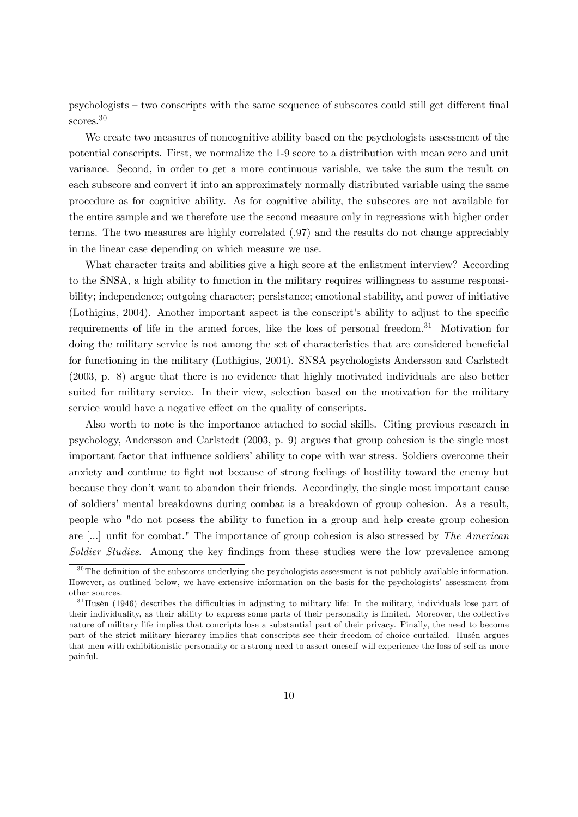psychologists – two conscripts with the same sequence of subscores could still get different final scores.<sup>30</sup>

We create two measures of noncognitive ability based on the psychologists assessment of the potential conscripts. First, we normalize the 1-9 score to a distribution with mean zero and unit variance. Second, in order to get a more continuous variable, we take the sum the result on each subscore and convert it into an approximately normally distributed variable using the same procedure as for cognitive ability. As for cognitive ability, the subscores are not available for the entire sample and we therefore use the second measure only in regressions with higher order terms. The two measures are highly correlated (:97) and the results do not change appreciably in the linear case depending on which measure we use.

What character traits and abilities give a high score at the enlistment interview? According to the SNSA, a high ability to function in the military requires willingness to assume responsibility; independence; outgoing character; persistance; emotional stability, and power of initiative (Lothigius, 2004). Another important aspect is the conscript's ability to adjust to the specific requirements of life in the armed forces, like the loss of personal freedom.<sup>31</sup> Motivation for doing the military service is not among the set of characteristics that are considered beneficial for functioning in the military (Lothigius, 2004). SNSA psychologists Andersson and Carlstedt (2003, p. 8) argue that there is no evidence that highly motivated individuals are also better suited for military service. In their view, selection based on the motivation for the military service would have a negative effect on the quality of conscripts.

Also worth to note is the importance attached to social skills. Citing previous research in psychology, Andersson and Carlstedt (2003, p. 9) argues that group cohesion is the single most important factor that influence soldiers' ability to cope with war stress. Soldiers overcome their anxiety and continue to fight not because of strong feelings of hostility toward the enemy but because they donít want to abandon their friends. Accordingly, the single most important cause of soldiers' mental breakdowns during combat is a breakdown of group cohesion. As a result, people who "do not posess the ability to function in a group and help create group cohesion are  $\left[\ldots\right]$  unfit for combat." The importance of group cohesion is also stressed by The American Soldier Studies. Among the key findings from these studies were the low prevalence among

 $30$ The definition of the subscores underlying the psychologists assessment is not publicly available information. However, as outlined below, we have extensive information on the basis for the psychologists' assessment from other sources.

 $31$  Husén (1946) describes the difficulties in adjusting to military life: In the military, individuals lose part of their individuality, as their ability to express some parts of their personality is limited. Moreover, the collective nature of military life implies that concripts lose a substantial part of their privacy. Finally, the need to become part of the strict military hierarcy implies that conscripts see their freedom of choice curtailed. Husén argues that men with exhibitionistic personality or a strong need to assert oneself will experience the loss of self as more painful.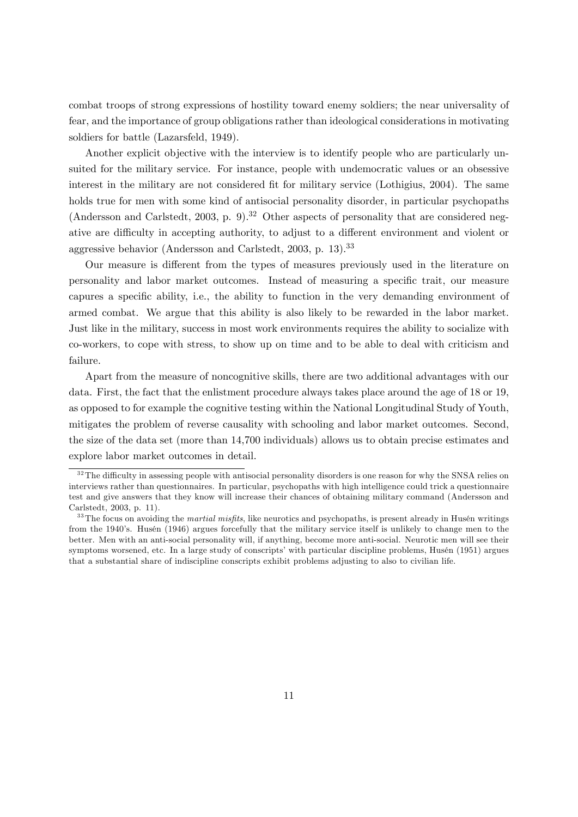combat troops of strong expressions of hostility toward enemy soldiers; the near universality of fear, and the importance of group obligations rather than ideological considerations in motivating soldiers for battle (Lazarsfeld, 1949).

Another explicit objective with the interview is to identify people who are particularly unsuited for the military service. For instance, people with undemocratic values or an obsessive interest in the military are not considered fit for military service (Lothigius, 2004). The same holds true for men with some kind of antisocial personality disorder, in particular psychopaths (Andersson and Carlstedt, 2003, p. 9).<sup>32</sup> Other aspects of personality that are considered negative are difficulty in accepting authority, to adjust to a different environment and violent or aggressive behavior (Andersson and Carlstedt, 2003, p. 13).<sup>33</sup>

Our measure is different from the types of measures previously used in the literature on personality and labor market outcomes. Instead of measuring a specific trait, our measure capures a specific ability, i.e., the ability to function in the very demanding environment of armed combat. We argue that this ability is also likely to be rewarded in the labor market. Just like in the military, success in most work environments requires the ability to socialize with co-workers, to cope with stress, to show up on time and to be able to deal with criticism and failure.

Apart from the measure of noncognitive skills, there are two additional advantages with our data. First, the fact that the enlistment procedure always takes place around the age of 18 or 19, as opposed to for example the cognitive testing within the National Longitudinal Study of Youth, mitigates the problem of reverse causality with schooling and labor market outcomes. Second, the size of the data set (more than 14,700 individuals) allows us to obtain precise estimates and explore labor market outcomes in detail.

 $32$ The difficulty in assessing people with antisocial personality disorders is one reason for why the SNSA relies on interviews rather than questionnaires. In particular, psychopaths with high intelligence could trick a questionnaire test and give answers that they know will increase their chances of obtaining military command (Andersson and Carlstedt, 2003, p. 11).

 $33$  The focus on avoiding the *martial misfits*, like neurotics and psychopaths, is present already in Husén writings from the 1940's. Husén (1946) argues forcefully that the military service itself is unlikely to change men to the better. Men with an anti-social personality will, if anything, become more anti-social. Neurotic men will see their symptoms worsened, etc. In a large study of conscripts' with particular discipline problems, Husén (1951) argues that a substantial share of indiscipline conscripts exhibit problems adjusting to also to civilian life.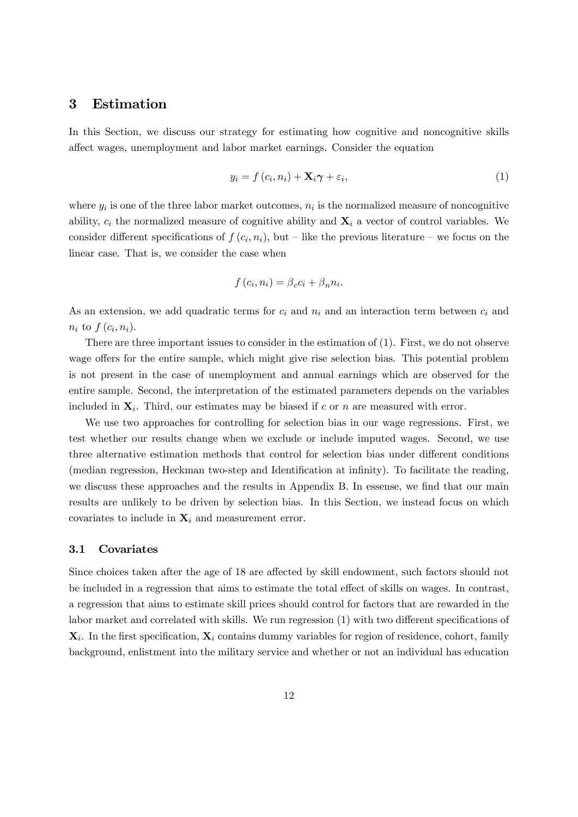### 3 Estimation

In this Section, we discuss our strategy for estimating how cognitive and noncognitive skills a§ect wages, unemployment and labor market earnings. Consider the equation

$$
y_i = f(c_i, n_i) + \mathbf{X}_i \boldsymbol{\gamma} + \varepsilon_i,\tag{1}
$$

where  $y_i$  is one of the three labor market outcomes,  $n_i$  is the normalized measure of noncognitive ability,  $c_i$  the normalized measure of cognitive ability and  $\mathbf{X}_i$  a vector of control variables. We consider different specifications of  $f(c_i, n_i)$ , but – like the previous literature – we focus on the linear case. That is, we consider the case when

$$
f(c_i, n_i) = \beta_c c_i + \beta_n n_i.
$$

As an extension, we add quadratic terms for  $c_i$  and  $n_i$  and an interaction term between  $c_i$  and  $n_i$  to  $f(c_i, n_i)$ .

There are three important issues to consider in the estimation of (1). First, we do not observe wage offers for the entire sample, which might give rise selection bias. This potential problem is not present in the case of unemployment and annual earnings which are observed for the entire sample. Second, the interpretation of the estimated parameters depends on the variables included in  $X_i$ . Third, our estimates may be biased if c or n are measured with error.

We use two approaches for controlling for selection bias in our wage regressions. First, we test whether our results change when we exclude or include imputed wages. Second, we use three alternative estimation methods that control for selection bias under different conditions (median regression, Heckman two-step and Identification at infinity). To facilitate the reading, we discuss these approaches and the results in Appendix B. In essense, we find that our main results are unlikely to be driven by selection bias. In this Section, we instead focus on which covariates to include in  $\mathbf{X}_i$  and measurement error.

#### 3.1 Covariates

Since choices taken after the age of 18 are affected by skill endowment, such factors should not be included in a regression that aims to estimate the total effect of skills on wages. In contrast, a regression that aims to estimate skill prices should control for factors that are rewarded in the labor market and correlated with skills. We run regression  $(1)$  with two different specifications of  $\mathbf{X}_i$ . In the first specification,  $\mathbf{X}_i$  contains dummy variables for region of residence, cohort, family background, enlistment into the military service and whether or not an individual has education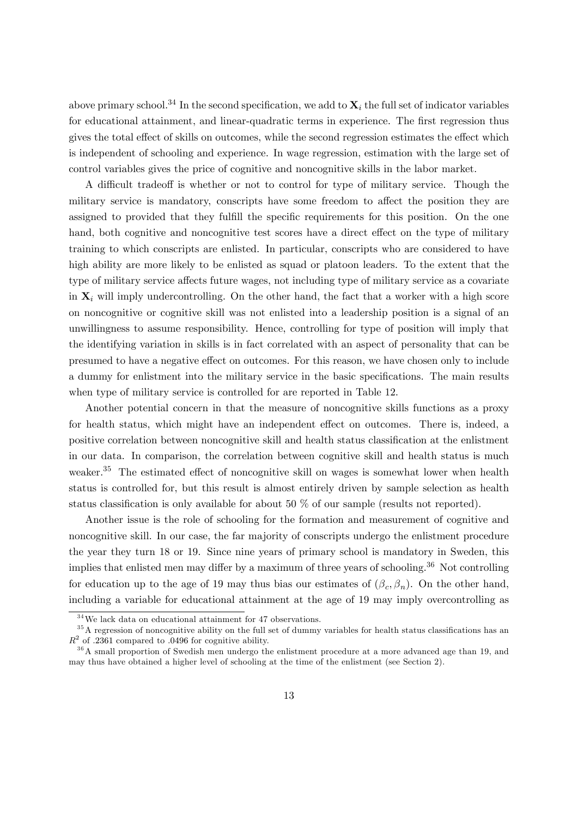above primary school.<sup>34</sup> In the second specification, we add to  $\mathbf{X}_i$  the full set of indicator variables for educational attainment, and linear-quadratic terms in experience. The first regression thus gives the total effect of skills on outcomes, while the second regression estimates the effect which is independent of schooling and experience. In wage regression, estimation with the large set of control variables gives the price of cognitive and noncognitive skills in the labor market.

A difficult tradeoff is whether or not to control for type of military service. Though the military service is mandatory, conscripts have some freedom to affect the position they are assigned to provided that they fulfill the specific requirements for this position. On the one hand, both cognitive and noncognitive test scores have a direct effect on the type of military training to which conscripts are enlisted. In particular, conscripts who are considered to have high ability are more likely to be enlisted as squad or platoon leaders. To the extent that the type of military service affects future wages, not including type of military service as a covariate in  $\mathbf{X}_i$  will imply undercontrolling. On the other hand, the fact that a worker with a high score on noncognitive or cognitive skill was not enlisted into a leadership position is a signal of an unwillingness to assume responsibility. Hence, controlling for type of position will imply that the identifying variation in skills is in fact correlated with an aspect of personality that can be presumed to have a negative effect on outcomes. For this reason, we have chosen only to include a dummy for enlistment into the military service in the basic specifications. The main results when type of military service is controlled for are reported in Table 12.

Another potential concern in that the measure of noncognitive skills functions as a proxy for health status, which might have an independent effect on outcomes. There is, indeed, a positive correlation between noncognitive skill and health status classification at the enlistment in our data. In comparison, the correlation between cognitive skill and health status is much weaker.<sup>35</sup> The estimated effect of noncognitive skill on wages is somewhat lower when health status is controlled for, but this result is almost entirely driven by sample selection as health status classification is only available for about 50  $\%$  of our sample (results not reported).

Another issue is the role of schooling for the formation and measurement of cognitive and noncognitive skill. In our case, the far majority of conscripts undergo the enlistment procedure the year they turn 18 or 19. Since nine years of primary school is mandatory in Sweden, this implies that enlisted men may differ by a maximum of three years of schooling.<sup>36</sup> Not controlling for education up to the age of 19 may thus bias our estimates of  $(\beta_c, \beta_n)$ . On the other hand, including a variable for educational attainment at the age of 19 may imply overcontrolling as

 $34$ We lack data on educational attainment for 47 observations.

 $35$ A regression of noncognitive ability on the full set of dummy variables for health status classifications has an  $R<sup>2</sup>$  of .2361 compared to .0496 for cognitive ability.

<sup>&</sup>lt;sup>36</sup>A small proportion of Swedish men undergo the enlistment procedure at a more advanced age than 19, and may thus have obtained a higher level of schooling at the time of the enlistment (see Section 2).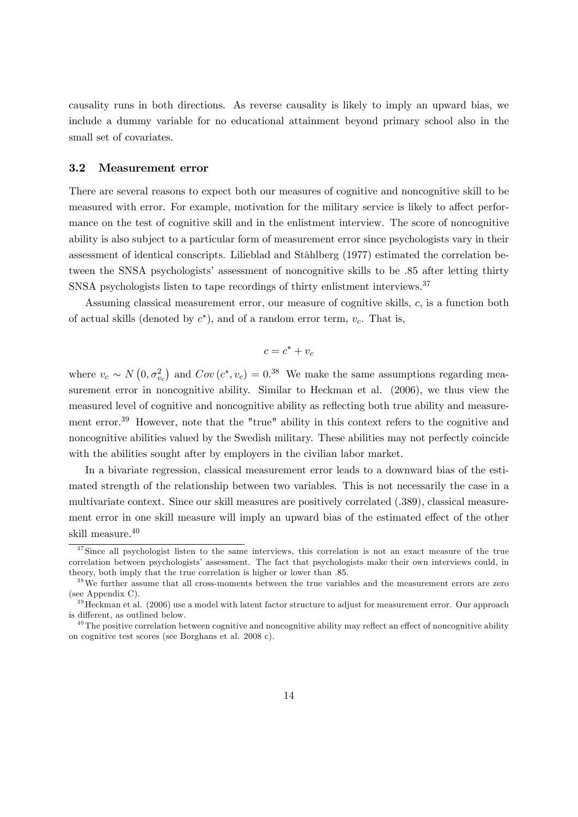causality runs in both directions. As reverse causality is likely to imply an upward bias, we include a dummy variable for no educational attainment beyond primary school also in the small set of covariates.

### 3.2 Measurement error

There are several reasons to expect both our measures of cognitive and noncognitive skill to be measured with error. For example, motivation for the military service is likely to affect performance on the test of cognitive skill and in the enlistment interview. The score of noncognitive ability is also subject to a particular form of measurement error since psychologists vary in their assessment of identical conscripts. Lilieblad and StÂhlberg (1977) estimated the correlation between the SNSA psychologists' assessment of noncognitive skills to be .85 after letting thirty SNSA psychologists listen to tape recordings of thirty enlistment interviews.<sup>37</sup>

Assuming classical measurement error, our measure of cognitive skills, c; is a function both of actual skills (denoted by  $c^*$ ), and of a random error term,  $v_c$ . That is,

$$
c = c^* + v_c
$$

where  $v_c \sim N(0, \sigma_{v_c}^2)$  and  $Cov(c^*, v_c) = 0.38$  We make the same assumptions regarding measurement error in noncognitive ability. Similar to Heckman et al.  $(2006)$ , we thus view the measured level of cognitive and noncognitive ability as reflecting both true ability and measurement error.<sup>39</sup> However, note that the "true" ability in this context refers to the cognitive and noncognitive abilities valued by the Swedish military. These abilities may not perfectly coincide with the abilities sought after by employers in the civilian labor market.

In a bivariate regression, classical measurement error leads to a downward bias of the estimated strength of the relationship between two variables. This is not necessarily the case in a multivariate context. Since our skill measures are positively correlated (.389), classical measurement error in one skill measure will imply an upward bias of the estimated effect of the other skill measure.<sup>40</sup>

<sup>&</sup>lt;sup>37</sup>Since all psychologist listen to the same interviews, this correlation is not an exact measure of the true correlation between psychologists' assessment. The fact that psychologists make their own interviews could, in theory, both imply that the true correlation is higher or lower than :85.

<sup>&</sup>lt;sup>38</sup>We further assume that all cross-moments between the true variables and the measurement errors are zero (see Appendix C).

<sup>&</sup>lt;sup>39</sup> Heckman et al. (2006) use a model with latent factor structure to adjust for measurement error. Our approach is different, as outlined below.

 $^{40}$ The positive correlation between cognitive and noncognitive ability may reflect an effect of noncognitive ability on cognitive test scores (see Borghans et al. 2008 c).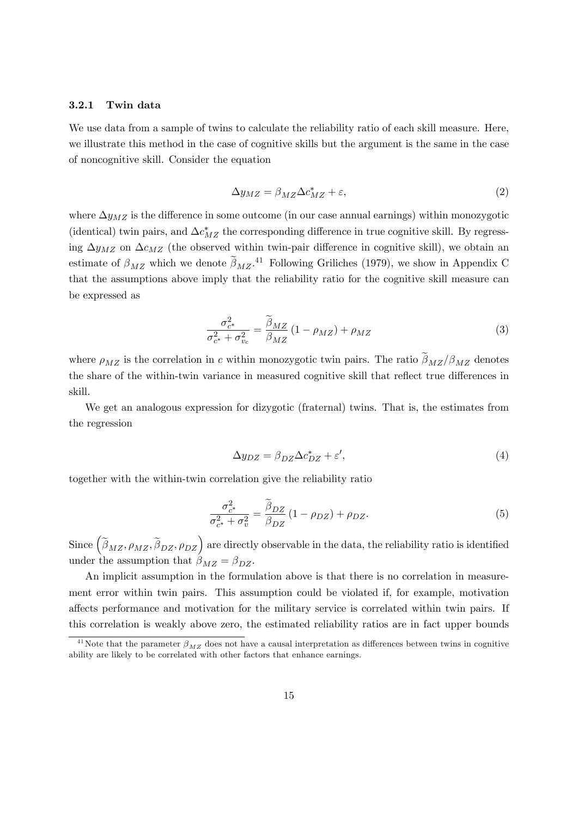#### 3.2.1 Twin data

We use data from a sample of twins to calculate the reliability ratio of each skill measure. Here, we illustrate this method in the case of cognitive skills but the argument is the same in the case of noncognitive skill. Consider the equation

$$
\Delta y_{MZ} = \beta_{MZ} \Delta c_{MZ}^* + \varepsilon,\tag{2}
$$

where  $\Delta y_{MZ}$  is the difference in some outcome (in our case annual earnings) within monozygotic (identical) twin pairs, and  $\Delta c_{MZ}^*$  the corresponding difference in true cognitive skill. By regressing  $\Delta y_{MZ}$  on  $\Delta c_{MZ}$  (the observed within twin-pair difference in cognitive skill), we obtain an estimate of  $\beta_{MZ}$  which we denote  $\beta_{MZ}$ .<sup>41</sup> Following Griliches (1979), we show in Appendix C that the assumptions above imply that the reliability ratio for the cognitive skill measure can be expressed as

$$
\frac{\sigma_{c^*}^2}{\sigma_{c^*}^2 + \sigma_{v_c}^2} = \frac{\beta_{MZ}}{\beta_{MZ}} \left(1 - \rho_{MZ}\right) + \rho_{MZ} \tag{3}
$$

where  $\rho_{MZ}$  is the correlation in c within monozygotic twin pairs. The ratio  $\tilde{\beta}_{MZ}/\beta_{MZ}$  denotes the share of the within-twin variance in measured cognitive skill that reflect true differences in skill.

We get an analogous expression for dizygotic (fraternal) twins. That is, the estimates from the regression

$$
\Delta y_{DZ} = \beta_{DZ} \Delta c_{DZ}^* + \varepsilon',\tag{4}
$$

together with the within-twin correlation give the reliability ratio

$$
\frac{\sigma_{c^*}^2}{\sigma_{c^*}^2 + \sigma_v^2} = \frac{\tilde{\beta}_{DZ}}{\beta_{DZ}} \left( 1 - \rho_{DZ} \right) + \rho_{DZ}.
$$
\n(5)

Since  $(\tilde{\beta}_{MZ}, \rho_{MZ}, \tilde{\beta}_{DZ}, \rho_{DZ})$  are directly observable in the data, the reliability ratio is identified under the assumption that  $\beta_{MZ} = \beta_{DZ}$ .

An implicit assumption in the formulation above is that there is no correlation in measurement error within twin pairs. This assumption could be violated if, for example, motivation affects performance and motivation for the military service is correlated within twin pairs. If this correlation is weakly above zero, the estimated reliability ratios are in fact upper bounds

<sup>&</sup>lt;sup>41</sup>Note that the parameter  $\beta_{MZ}$  does not have a causal interpretation as differences between twins in cognitive ability are likely to be correlated with other factors that enhance earnings.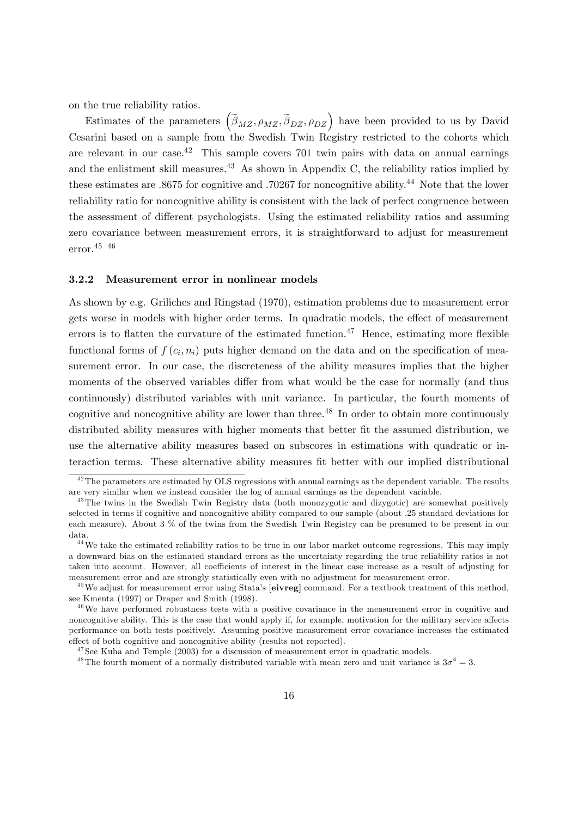on the true reliability ratios.

Estimates of the parameters  $(\tilde{\beta}_{MZ}, \rho_{MZ}, \tilde{\beta}_{DZ}, \rho_{DZ})$  have been provided to us by David Cesarini based on a sample from the Swedish Twin Registry restricted to the cohorts which are relevant in our case.<sup>42</sup> This sample covers 701 twin pairs with data on annual earnings and the enlistment skill measures.<sup>43</sup> As shown in Appendix C, the reliability ratios implied by these estimates are .8675 for cognitive and .70267 for noncognitive ability.<sup>44</sup> Note that the lower reliability ratio for noncognitive ability is consistent with the lack of perfect congruence between the assessment of different psychologists. Using the estimated reliability ratios and assuming zero covariance between measurement errors, it is straightforward to adjust for measurement error.45 46

#### 3.2.2 Measurement error in nonlinear models

As shown by e.g. Griliches and Ringstad (1970), estimation problems due to measurement error gets worse in models with higher order terms. In quadratic models, the effect of measurement errors is to flatten the curvature of the estimated function.<sup>47</sup> Hence, estimating more flexible functional forms of  $f(c_i, n_i)$  puts higher demand on the data and on the specification of measurement error. In our case, the discreteness of the ability measures implies that the higher moments of the observed variables differ from what would be the case for normally (and thus continuously) distributed variables with unit variance. In particular, the fourth moments of cognitive and noncognitive ability are lower than three.<sup>48</sup> In order to obtain more continuously distributed ability measures with higher moments that better fit the assumed distribution, we use the alternative ability measures based on subscores in estimations with quadratic or interaction terms. These alternative ability measures Öt better with our implied distributional

<sup>&</sup>lt;sup>42</sup>The parameters are estimated by OLS regressions with annual earnings as the dependent variable. The results are very similar when we instead consider the log of annual earnings as the dependent variable.

<sup>&</sup>lt;sup>43</sup>The twins in the Swedish Twin Registry data (both monozygotic and dizygotic) are somewhat positively selected in terms if cognitive and noncognitive ability compared to our sample (about .25 standard deviations for each measure). About 3 % of the twins from the Swedish Twin Registry can be presumed to be present in our data.

<sup>&</sup>lt;sup>44</sup>We take the estimated reliability ratios to be true in our labor market outcome regressions. This may imply a downward bias on the estimated standard errors as the uncertainty regarding the true reliability ratios is not taken into account. However, all coefficients of interest in the linear case increase as a result of adjusting for measurement error and are strongly statistically even with no adjustment for measurement error.

<sup>&</sup>lt;sup>45</sup>We adjust for measurement error using Stata's [eivreg] command. For a textbook treatment of this method, see Kmenta (1997) or Draper and Smith (1998).

 $46$ We have performed robustness tests with a positive covariance in the measurement error in cognitive and noncognitive ability. This is the case that would apply if, for example, motivation for the military service affects performance on both tests positively. Assuming positive measurement error covariance increases the estimated effect of both cognitive and noncognitive ability (results not reported).

 $47$ See Kuha and Temple (2003) for a discussion of measurement error in quadratic models.

<sup>&</sup>lt;sup>48</sup>The fourth moment of a normally distributed variable with mean zero and unit variance is  $3\sigma^4 = 3$ .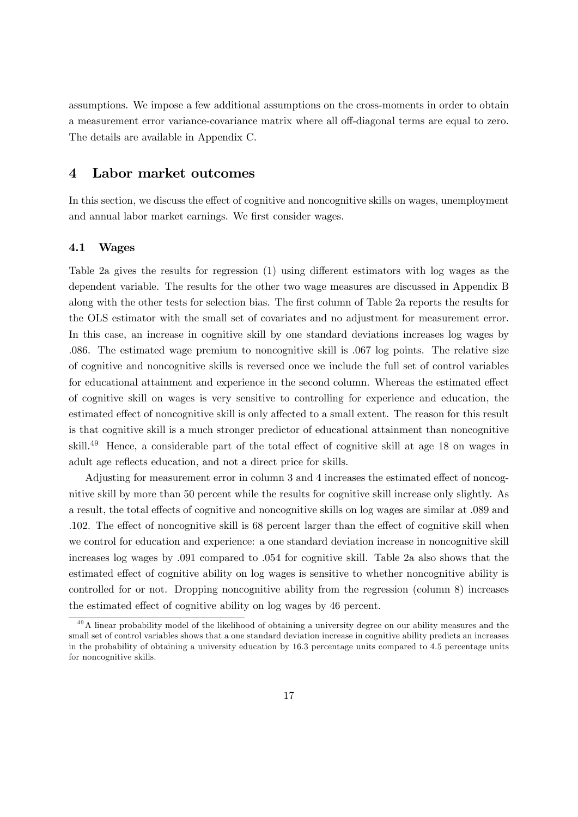assumptions. We impose a few additional assumptions on the cross-moments in order to obtain a measurement error variance-covariance matrix where all off-diagonal terms are equal to zero. The details are available in Appendix C.

### 4 Labor market outcomes

In this section, we discuss the effect of cognitive and noncognitive skills on wages, unemployment and annual labor market earnings. We first consider wages.

#### 4.1 Wages

Table 2a gives the results for regression  $(1)$  using different estimators with log wages as the dependent variable. The results for the other two wage measures are discussed in Appendix B along with the other tests for selection bias. The first column of Table 2a reports the results for the OLS estimator with the small set of covariates and no adjustment for measurement error. In this case, an increase in cognitive skill by one standard deviations increases log wages by :086. The estimated wage premium to noncognitive skill is :067 log points. The relative size of cognitive and noncognitive skills is reversed once we include the full set of control variables for educational attainment and experience in the second column. Whereas the estimated effect of cognitive skill on wages is very sensitive to controlling for experience and education, the estimated effect of noncognitive skill is only affected to a small extent. The reason for this result is that cognitive skill is a much stronger predictor of educational attainment than noncognitive skill. $^{49}$  Hence, a considerable part of the total effect of cognitive skill at age 18 on wages in adult age reflects education, and not a direct price for skills.

Adjusting for measurement error in column 3 and 4 increases the estimated effect of noncognitive skill by more than 50 percent while the results for cognitive skill increase only slightly. As a result, the total effects of cognitive and noncognitive skills on log wages are similar at  $.089$  and  $.102.$  The effect of noncognitive skill is 68 percent larger than the effect of cognitive skill when we control for education and experience: a one standard deviation increase in noncognitive skill increases log wages by :091 compared to :054 for cognitive skill. Table 2a also shows that the estimated effect of cognitive ability on log wages is sensitive to whether noncognitive ability is controlled for or not. Dropping noncognitive ability from the regression (column 8) increases the estimated effect of cognitive ability on log wages by 46 percent.

 $\frac{49}{4}$  linear probability model of the likelihood of obtaining a university degree on our ability measures and the small set of control variables shows that a one standard deviation increase in cognitive ability predicts an increases in the probability of obtaining a university education by 16.3 percentage units compared to 4.5 percentage units for noncognitive skills.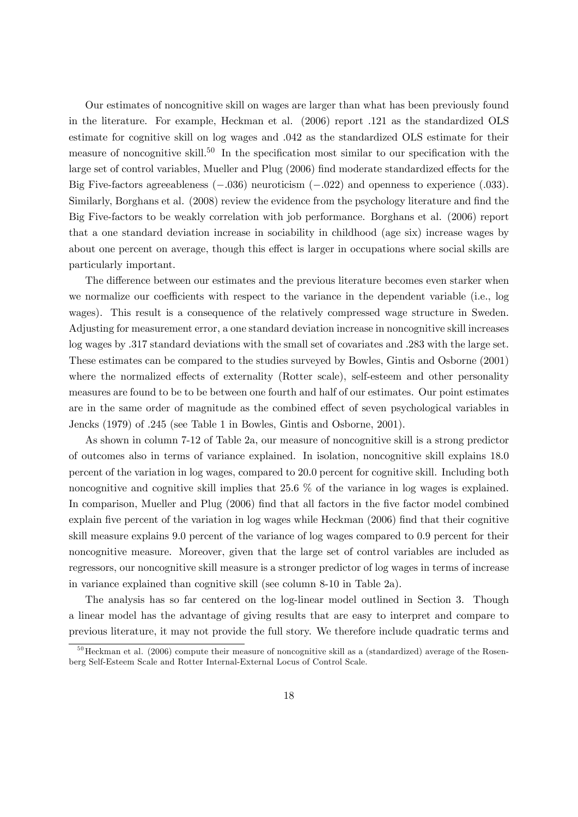Our estimates of noncognitive skill on wages are larger than what has been previously found in the literature. For example, Heckman et al. (2006) report :121 as the standardized OLS estimate for cognitive skill on log wages and :042 as the standardized OLS estimate for their measure of noncognitive skill.<sup>50</sup> In the specification most similar to our specification with the large set of control variables, Mueller and Plug (2006) find moderate standardized effects for the Big Five-factors agreeableness  $(-.036)$  neuroticism  $(-.022)$  and openness to experience  $(.033)$ . Similarly, Borghans et al. (2008) review the evidence from the psychology literature and find the Big Five-factors to be weakly correlation with job performance. Borghans et al. (2006) report that a one standard deviation increase in sociability in childhood (age six) increase wages by about one percent on average, though this effect is larger in occupations where social skills are particularly important.

The difference between our estimates and the previous literature becomes even starker when we normalize our coefficients with respect to the variance in the dependent variable (i.e., log wages). This result is a consequence of the relatively compressed wage structure in Sweden. Adjusting for measurement error, a one standard deviation increase in noncognitive skill increases log wages by  $.317$  standard deviations with the small set of covariates and  $.283$  with the large set. These estimates can be compared to the studies surveyed by Bowles, Gintis and Osborne (2001) where the normalized effects of externality (Rotter scale), self-esteem and other personality measures are found to be to be between one fourth and half of our estimates. Our point estimates are in the same order of magnitude as the combined effect of seven psychological variables in Jencks (1979) of .245 (see Table 1 in Bowles, Gintis and Osborne, 2001).

As shown in column 7-12 of Table 2a, our measure of noncognitive skill is a strong predictor of outcomes also in terms of variance explained. In isolation, noncognitive skill explains 18:0 percent of the variation in log wages, compared to 20:0 percent for cognitive skill. Including both noncognitive and cognitive skill implies that 25:6 % of the variance in log wages is explained. In comparison, Mueller and Plug (2006) find that all factors in the five factor model combined explain five percent of the variation in log wages while Heckman (2006) find that their cognitive skill measure explains 9:0 percent of the variance of log wages compared to 0:9 percent for their noncognitive measure. Moreover, given that the large set of control variables are included as regressors, our noncognitive skill measure is a stronger predictor of log wages in terms of increase in variance explained than cognitive skill (see column 8-10 in Table 2a).

The analysis has so far centered on the log-linear model outlined in Section 3. Though a linear model has the advantage of giving results that are easy to interpret and compare to previous literature, it may not provide the full story. We therefore include quadratic terms and

 $50$ Heckman et al. (2006) compute their measure of noncognitive skill as a (standardized) average of the Rosenberg Self-Esteem Scale and Rotter Internal-External Locus of Control Scale.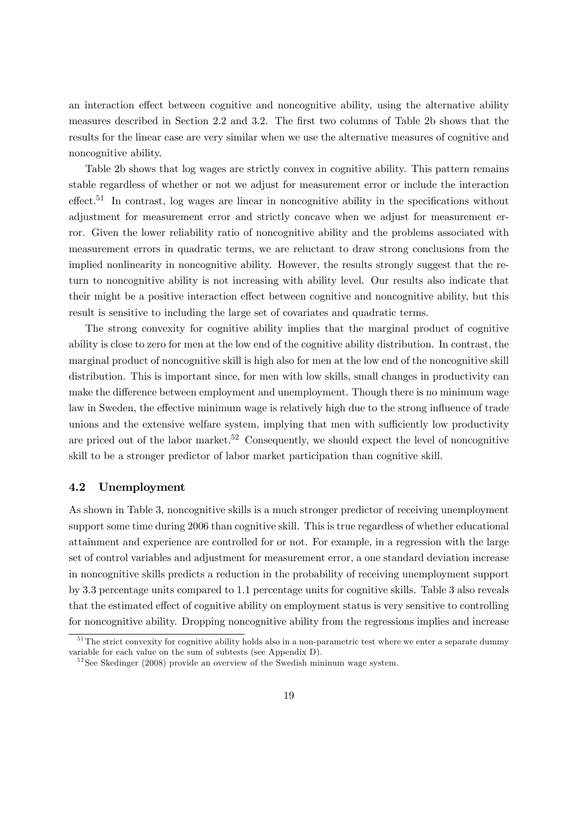an interaction effect between cognitive and noncognitive ability, using the alternative ability measures described in Section 2.2 and 3.2. The first two columns of Table 2b shows that the results for the linear case are very similar when we use the alternative measures of cognitive and noncognitive ability.

Table 2b shows that log wages are strictly convex in cognitive ability. This pattern remains stable regardless of whether or not we adjust for measurement error or include the interaction effect.<sup>51</sup> In contrast, log wages are linear in noncognitive ability in the specifications without adjustment for measurement error and strictly concave when we adjust for measurement error. Given the lower reliability ratio of noncognitive ability and the problems associated with measurement errors in quadratic terms, we are reluctant to draw strong conclusions from the implied nonlinearity in noncognitive ability. However, the results strongly suggest that the return to noncognitive ability is not increasing with ability level. Our results also indicate that their might be a positive interaction effect between cognitive and noncognitive ability, but this result is sensitive to including the large set of covariates and quadratic terms.

The strong convexity for cognitive ability implies that the marginal product of cognitive ability is close to zero for men at the low end of the cognitive ability distribution. In contrast, the marginal product of noncognitive skill is high also for men at the low end of the noncognitive skill distribution. This is important since, for men with low skills, small changes in productivity can make the difference between employment and unemployment. Though there is no minimum wage law in Sweden, the effective minimum wage is relatively high due to the strong influence of trade unions and the extensive welfare system, implying that men with sufficiently low productivity are priced out of the labor market.<sup>52</sup> Consequently, we should expect the level of noncognitive skill to be a stronger predictor of labor market participation than cognitive skill.

### 4.2 Unemployment

As shown in Table 3, noncognitive skills is a much stronger predictor of receiving unemployment support some time during 2006 than cognitive skill. This is true regardless of whether educational attainment and experience are controlled for or not. For example, in a regression with the large set of control variables and adjustment for measurement error, a one standard deviation increase in noncognitive skills predicts a reduction in the probability of receiving unemployment support by 3:3 percentage units compared to 1:1 percentage units for cognitive skills. Table 3 also reveals that the estimated effect of cognitive ability on employment status is very sensitive to controlling for noncognitive ability. Dropping noncognitive ability from the regressions implies and increase

<sup>&</sup>lt;sup>51</sup>The strict convexity for cognitive ability holds also in a non-parametric test where we enter a separate dummy variable for each value on the sum of subtests (see Appendix D).

 $52$ See Skedinger (2008) provide an overview of the Swedish mininum wage system.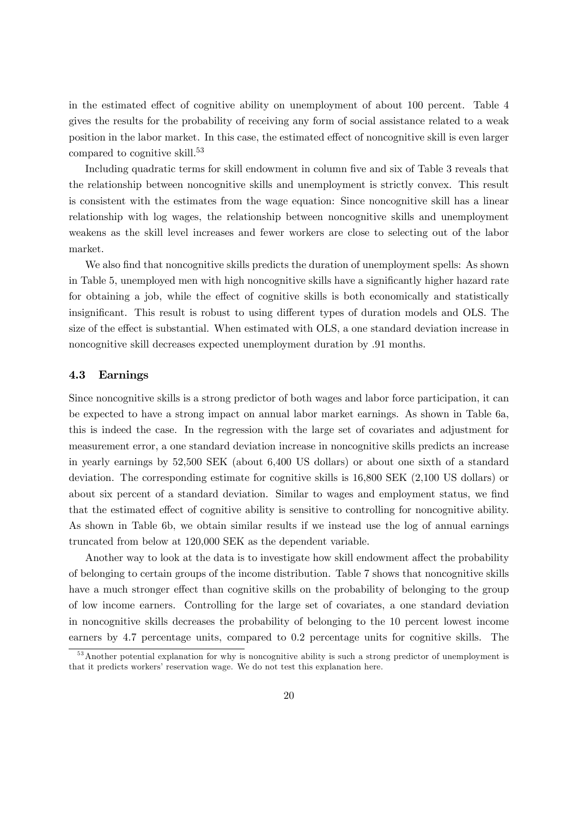in the estimated effect of cognitive ability on unemployment of about 100 percent. Table 4 gives the results for the probability of receiving any form of social assistance related to a weak position in the labor market. In this case, the estimated effect of noncognitive skill is even larger compared to cognitive skill.<sup>53</sup>

Including quadratic terms for skill endowment in column five and six of Table 3 reveals that the relationship between noncognitive skills and unemployment is strictly convex. This result is consistent with the estimates from the wage equation: Since noncognitive skill has a linear relationship with log wages, the relationship between noncognitive skills and unemployment weakens as the skill level increases and fewer workers are close to selecting out of the labor market.

We also find that noncognitive skills predicts the duration of unemployment spells: As shown in Table 5, unemployed men with high noncognitive skills have a significantly higher hazard rate for obtaining a job, while the effect of cognitive skills is both economically and statistically insignificant. This result is robust to using different types of duration models and OLS. The size of the effect is substantial. When estimated with OLS, a one standard deviation increase in noncognitive skill decreases expected unemployment duration by :91 months.

### 4.3 Earnings

Since noncognitive skills is a strong predictor of both wages and labor force participation, it can be expected to have a strong impact on annual labor market earnings. As shown in Table 6a, this is indeed the case. In the regression with the large set of covariates and adjustment for measurement error, a one standard deviation increase in noncognitive skills predicts an increase in yearly earnings by 52,500 SEK (about 6,400 US dollars) or about one sixth of a standard deviation. The corresponding estimate for cognitive skills is 16,800 SEK (2,100 US dollars) or about six percent of a standard deviation. Similar to wages and employment status, we find that the estimated effect of cognitive ability is sensitive to controlling for noncognitive ability. As shown in Table 6b, we obtain similar results if we instead use the log of annual earnings truncated from below at 120,000 SEK as the dependent variable.

Another way to look at the data is to investigate how skill endowment affect the probability of belonging to certain groups of the income distribution. Table 7 shows that noncognitive skills have a much stronger effect than cognitive skills on the probability of belonging to the group of low income earners. Controlling for the large set of covariates, a one standard deviation in noncognitive skills decreases the probability of belonging to the 10 percent lowest income earners by 4.7 percentage units, compared to 0.2 percentage units for cognitive skills. The

<sup>&</sup>lt;sup>53</sup> Another potential explanation for why is noncognitive ability is such a strong predictor of unemployment is that it predicts workers' reservation wage. We do not test this explanation here.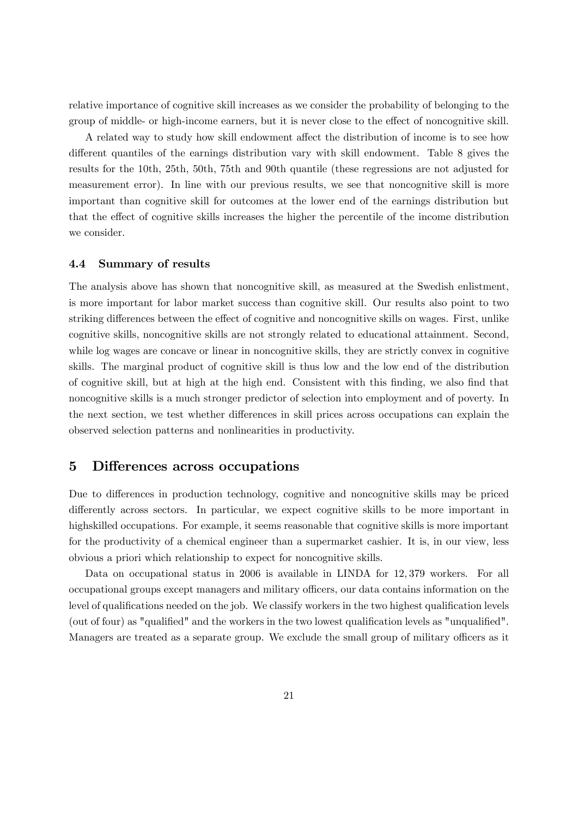relative importance of cognitive skill increases as we consider the probability of belonging to the group of middle- or high-income earners, but it is never close to the effect of noncognitive skill.

A related way to study how skill endowment affect the distribution of income is to see how different quantiles of the earnings distribution vary with skill endowment. Table 8 gives the results for the 10th, 25th, 50th, 75th and 90th quantile (these regressions are not adjusted for measurement error). In line with our previous results, we see that noncognitive skill is more important than cognitive skill for outcomes at the lower end of the earnings distribution but that the effect of cognitive skills increases the higher the percentile of the income distribution we consider.

#### 4.4 Summary of results

The analysis above has shown that noncognitive skill, as measured at the Swedish enlistment, is more important for labor market success than cognitive skill. Our results also point to two striking differences between the effect of cognitive and noncognitive skills on wages. First, unlike cognitive skills, noncognitive skills are not strongly related to educational attainment. Second, while log wages are concave or linear in noncognitive skills, they are strictly convex in cognitive skills. The marginal product of cognitive skill is thus low and the low end of the distribution of cognitive skill, but at high at the high end. Consistent with this Önding, we also Önd that noncognitive skills is a much stronger predictor of selection into employment and of poverty. In the next section, we test whether differences in skill prices across occupations can explain the observed selection patterns and nonlinearities in productivity.

### 5 Differences across occupations

Due to differences in production technology, cognitive and noncognitive skills may be priced differently across sectors. In particular, we expect cognitive skills to be more important in highskilled occupations. For example, it seems reasonable that cognitive skills is more important for the productivity of a chemical engineer than a supermarket cashier. It is, in our view, less obvious a priori which relationship to expect for noncognitive skills.

Data on occupational status in 2006 is available in LINDA for 12,379 workers. For all occupational groups except managers and military officers, our data contains information on the level of qualifications needed on the job. We classify workers in the two highest qualification levels (out of four) as "qualified" and the workers in the two lowest qualification levels as "unqualified". Managers are treated as a separate group. We exclude the small group of military officers as it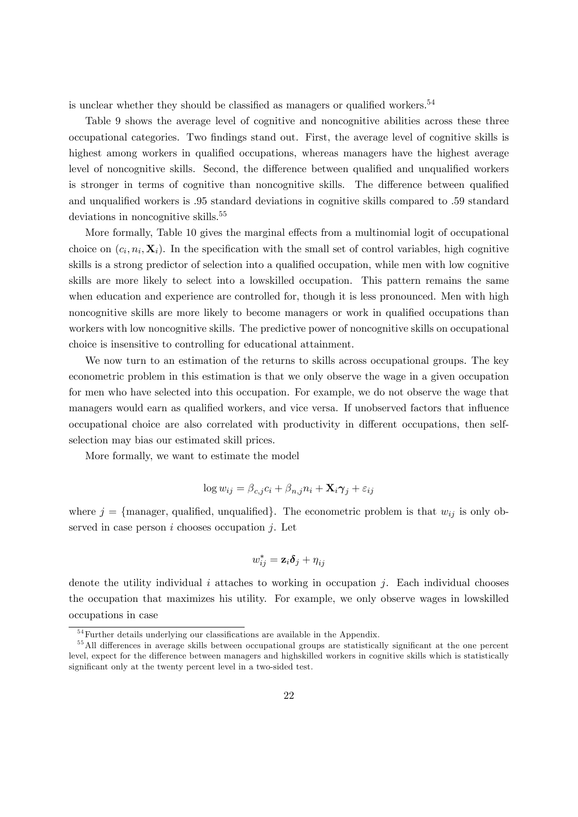is unclear whether they should be classified as managers or qualified workers.<sup>54</sup>

Table 9 shows the average level of cognitive and noncognitive abilities across these three occupational categories. Two findings stand out. First, the average level of cognitive skills is highest among workers in qualified occupations, whereas managers have the highest average level of noncognitive skills. Second, the difference between qualified and unqualified workers is stronger in terms of cognitive than noncognitive skills. The difference between qualified and unqualified workers is  $.95$  standard deviations in cognitive skills compared to  $.59$  standard deviations in noncognitive skills.<sup>55</sup>

More formally, Table 10 gives the marginal effects from a multinomial logit of occupational choice on  $(c_i, n_i, \mathbf{X}_i)$ . In the specification with the small set of control variables, high cognitive skills is a strong predictor of selection into a qualified occupation, while men with low cognitive skills are more likely to select into a lowskilled occupation. This pattern remains the same when education and experience are controlled for, though it is less pronounced. Men with high noncognitive skills are more likely to become managers or work in qualified occupations than workers with low noncognitive skills. The predictive power of noncognitive skills on occupational choice is insensitive to controlling for educational attainment.

We now turn to an estimation of the returns to skills across occupational groups. The key econometric problem in this estimation is that we only observe the wage in a given occupation for men who have selected into this occupation. For example, we do not observe the wage that managers would earn as qualified workers, and vice versa. If unobserved factors that influence occupational choice are also correlated with productivity in different occupations, then selfselection may bias our estimated skill prices.

More formally, we want to estimate the model

$$
\log w_{ij} = \beta_{c,j} c_i + \beta_{n,j} n_i + \mathbf{X}_i \boldsymbol{\gamma}_j + \varepsilon_{ij}
$$

where  $j = \{$ manager, qualified, unqualified. The econometric problem is that  $w_{ij}$  is only observed in case person  $i$  chooses occupation  $j$ . Let

$$
w^*_{ij} = \mathbf{z}_i \boldsymbol{\delta}_j + \eta_{ij}
$$

denote the utility individual i attaches to working in occupation j. Each individual chooses the occupation that maximizes his utility. For example, we only observe wages in lowskilled occupations in case

 $54$  Further details underlying our classifications are available in the Appendix.

<sup>&</sup>lt;sup>55</sup> All differences in average skills between occupational groups are statistically significant at the one percent level, expect for the difference between managers and highskilled workers in cognitive skills which is statistically significant only at the twenty percent level in a two-sided test.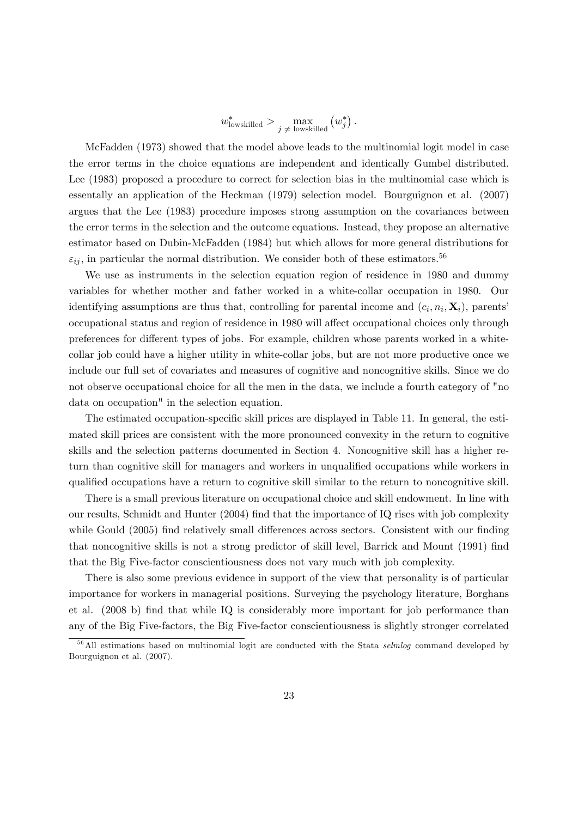$$
w_{\text{lowskilled}}^* > \max_{j \neq \text{lowskilled}} (w_j^*).
$$

McFadden (1973) showed that the model above leads to the multinomial logit model in case the error terms in the choice equations are independent and identically Gumbel distributed. Lee (1983) proposed a procedure to correct for selection bias in the multinomial case which is essentally an application of the Heckman (1979) selection model. Bourguignon et al. (2007) argues that the Lee (1983) procedure imposes strong assumption on the covariances between the error terms in the selection and the outcome equations. Instead, they propose an alternative estimator based on Dubin-McFadden (1984) but which allows for more general distributions for  $\varepsilon_{ij}$ , in particular the normal distribution. We consider both of these estimators.<sup>56</sup>

We use as instruments in the selection equation region of residence in 1980 and dummy variables for whether mother and father worked in a white-collar occupation in 1980. Our identifying assumptions are thus that, controlling for parental income and  $(c_i, n_i, \mathbf{X}_i)$ , parents' occupational status and region of residence in 1980 will affect occupational choices only through preferences for different types of jobs. For example, children whose parents worked in a whitecollar job could have a higher utility in white-collar jobs, but are not more productive once we include our full set of covariates and measures of cognitive and noncognitive skills. Since we do not observe occupational choice for all the men in the data, we include a fourth category of "no data on occupation" in the selection equation.

The estimated occupation-specific skill prices are displayed in Table 11. In general, the estimated skill prices are consistent with the more pronounced convexity in the return to cognitive skills and the selection patterns documented in Section 4. Noncognitive skill has a higher return than cognitive skill for managers and workers in unqualified occupations while workers in qualified occupations have a return to cognitive skill similar to the return to noncognitive skill.

There is a small previous literature on occupational choice and skill endowment. In line with our results, Schmidt and Hunter  $(2004)$  find that the importance of  $IQ$  rises with job complexity while Gould (2005) find relatively small differences across sectors. Consistent with our finding that noncognitive skills is not a strong predictor of skill level, Barrick and Mount (1991) find that the Big Five-factor conscientiousness does not vary much with job complexity.

There is also some previous evidence in support of the view that personality is of particular importance for workers in managerial positions. Surveying the psychology literature, Borghans et al. (2008 b) find that while IQ is considerably more important for job performance than any of the Big Five-factors, the Big Five-factor conscientiousness is slightly stronger correlated

<sup>&</sup>lt;sup>56</sup>All estimations based on multinomial logit are conducted with the Stata *selmlog* command developed by Bourguignon et al. (2007).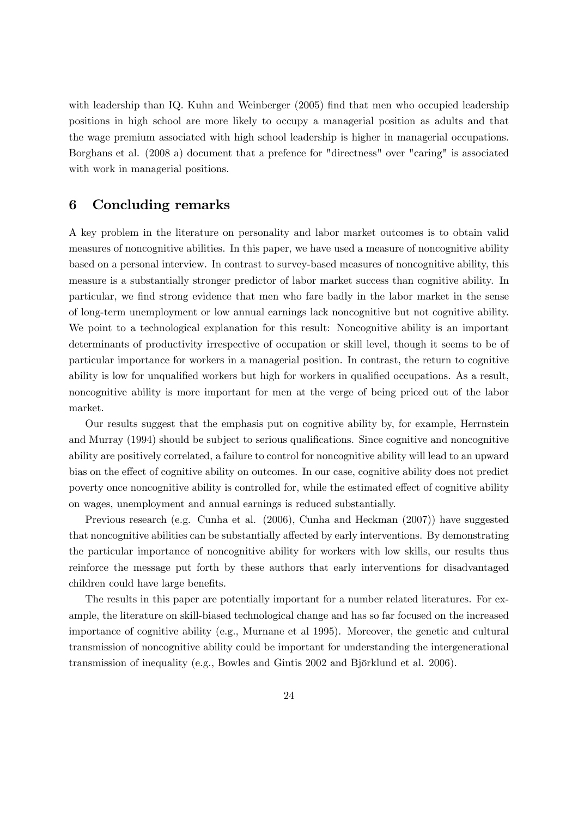with leadership than IQ. Kuhn and Weinberger (2005) find that men who occupied leadership positions in high school are more likely to occupy a managerial position as adults and that the wage premium associated with high school leadership is higher in managerial occupations. Borghans et al. (2008 a) document that a prefence for "directness" over "caring" is associated with work in managerial positions.

### 6 Concluding remarks

A key problem in the literature on personality and labor market outcomes is to obtain valid measures of noncognitive abilities. In this paper, we have used a measure of noncognitive ability based on a personal interview. In contrast to survey-based measures of noncognitive ability, this measure is a substantially stronger predictor of labor market success than cognitive ability. In particular, we find strong evidence that men who fare badly in the labor market in the sense of long-term unemployment or low annual earnings lack noncognitive but not cognitive ability. We point to a technological explanation for this result: Noncognitive ability is an important determinants of productivity irrespective of occupation or skill level, though it seems to be of particular importance for workers in a managerial position. In contrast, the return to cognitive ability is low for unqualified workers but high for workers in qualified occupations. As a result, noncognitive ability is more important for men at the verge of being priced out of the labor market.

Our results suggest that the emphasis put on cognitive ability by, for example, Herrnstein and Murray (1994) should be subject to serious qualifications. Since cognitive and noncognitive ability are positively correlated, a failure to control for noncognitive ability will lead to an upward bias on the effect of cognitive ability on outcomes. In our case, cognitive ability does not predict poverty once noncognitive ability is controlled for, while the estimated effect of cognitive ability on wages, unemployment and annual earnings is reduced substantially.

Previous research (e.g. Cunha et al. (2006), Cunha and Heckman (2007)) have suggested that noncognitive abilities can be substantially affected by early interventions. By demonstrating the particular importance of noncognitive ability for workers with low skills, our results thus reinforce the message put forth by these authors that early interventions for disadvantaged children could have large benefits.

The results in this paper are potentially important for a number related literatures. For example, the literature on skill-biased technological change and has so far focused on the increased importance of cognitive ability (e.g., Murnane et al 1995). Moreover, the genetic and cultural transmission of noncognitive ability could be important for understanding the intergenerational transmission of inequality (e.g., Bowles and Gintis  $2002$  and Björklund et al.  $2006$ ).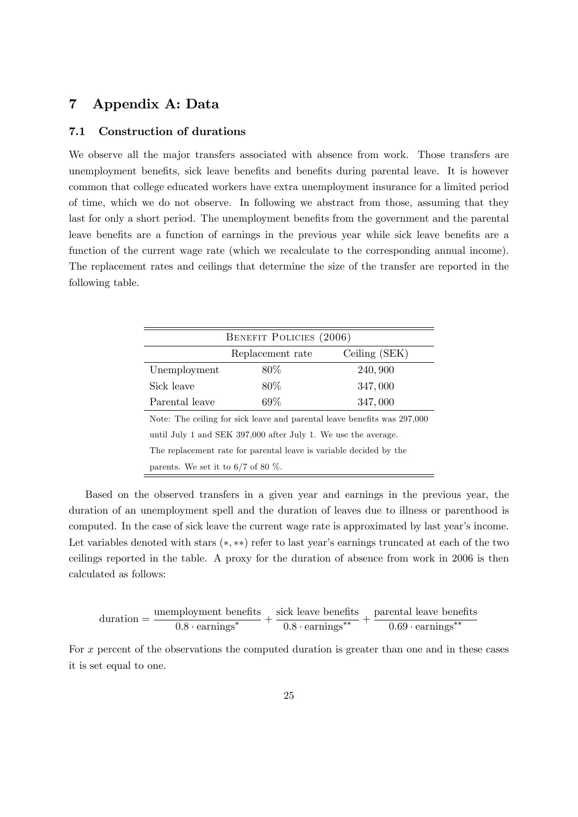## 7 Appendix A: Data

### 7.1 Construction of durations

We observe all the major transfers associated with absence from work. Those transfers are unemployment benefits, sick leave benefits and benefits during parental leave. It is however common that college educated workers have extra unemployment insurance for a limited period of time, which we do not observe. In following we abstract from those, assuming that they last for only a short period. The unemployment benefits from the government and the parental leave benefits are a function of earnings in the previous year while sick leave benefits are a function of the current wage rate (which we recalculate to the corresponding annual income). The replacement rates and ceilings that determine the size of the transfer are reported in the following table.

|                                                                    | BENEFIT POLICIES (2006)                                        |                                                                          |  |  |  |  |  |  |
|--------------------------------------------------------------------|----------------------------------------------------------------|--------------------------------------------------------------------------|--|--|--|--|--|--|
|                                                                    | Replacement rate                                               | Ceiling (SEK)                                                            |  |  |  |  |  |  |
| Unemployment                                                       | 80\%                                                           | 240,900                                                                  |  |  |  |  |  |  |
| Sick leave                                                         | 80\%                                                           | 347,000                                                                  |  |  |  |  |  |  |
| Parental leave                                                     | 69%                                                            | 347,000                                                                  |  |  |  |  |  |  |
|                                                                    |                                                                | Note: The ceiling for sick leave and parental leave benefits was 297,000 |  |  |  |  |  |  |
|                                                                    | until July 1 and SEK 397,000 after July 1. We use the average. |                                                                          |  |  |  |  |  |  |
| The replacement rate for parental leave is variable decided by the |                                                                |                                                                          |  |  |  |  |  |  |
| parents. We set it to $6/7$ of 80 $\%$ .                           |                                                                |                                                                          |  |  |  |  |  |  |

Based on the observed transfers in a given year and earnings in the previous year, the duration of an unemployment spell and the duration of leaves due to illness or parenthood is computed. In the case of sick leave the current wage rate is approximated by last year's income. Let variables denoted with stars  $(*, **)$  refer to last year's earnings truncated at each of the two ceilings reported in the table. A proxy for the duration of absence from work in 2006 is then calculated as follows:

$$
duration = \frac{unemplogment \text{ benefits}}{0.8 \cdot earnings^*} + \frac{\text{sick leave benefits}}{0.8 \cdot earnings^{**}} + \frac{\text{parental leave benefits}}{0.69 \cdot earnings^{**}}
$$

For x percent of the observations the computed duration is greater than one and in these cases it is set equal to one.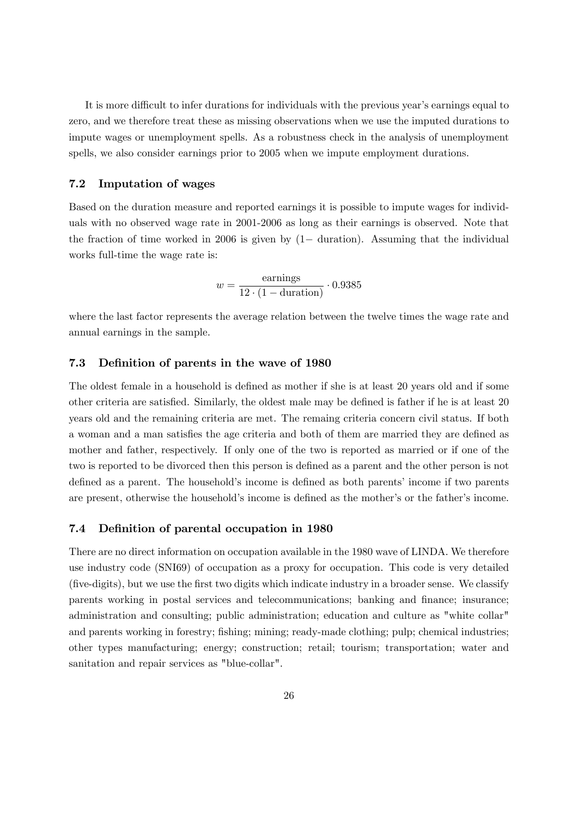It is more difficult to infer durations for individuals with the previous year's earnings equal to zero, and we therefore treat these as missing observations when we use the imputed durations to impute wages or unemployment spells. As a robustness check in the analysis of unemployment spells, we also consider earnings prior to 2005 when we impute employment durations.

#### 7.2 Imputation of wages

Based on the duration measure and reported earnings it is possible to impute wages for individuals with no observed wage rate in 2001-2006 as long as their earnings is observed. Note that the fraction of time worked in 2006 is given by  $(1 -$  duration). Assuming that the individual works full-time the wage rate is:

$$
w = \frac{\text{earnings}}{12 \cdot (1 - \text{duration})} \cdot 0.9385
$$

where the last factor represents the average relation between the twelve times the wage rate and annual earnings in the sample.

### 7.3 Definition of parents in the wave of 1980

The oldest female in a household is defined as mother if she is at least 20 years old and if some other criteria are satisfied. Similarly, the oldest male may be defined is father if he is at least 20 years old and the remaining criteria are met. The remaing criteria concern civil status. If both a woman and a man satisfies the age criteria and both of them are married they are defined as mother and father, respectively. If only one of the two is reported as married or if one of the two is reported to be divorced then this person is defined as a parent and the other person is not defined as a parent. The household's income is defined as both parents' income if two parents are present, otherwise the household's income is defined as the mother's or the father's income.

### 7.4 Definition of parental occupation in 1980

There are no direct information on occupation available in the 1980 wave of LINDA. We therefore use industry code (SNI69) of occupation as a proxy for occupation. This code is very detailed (Öve-digits), but we use the Örst two digits which indicate industry in a broader sense. We classify parents working in postal services and telecommunications; banking and finance; insurance; administration and consulting; public administration; education and culture as "white collar" and parents working in forestry; fishing; mining; ready-made clothing; pulp; chemical industries; other types manufacturing; energy; construction; retail; tourism; transportation; water and sanitation and repair services as "blue-collar".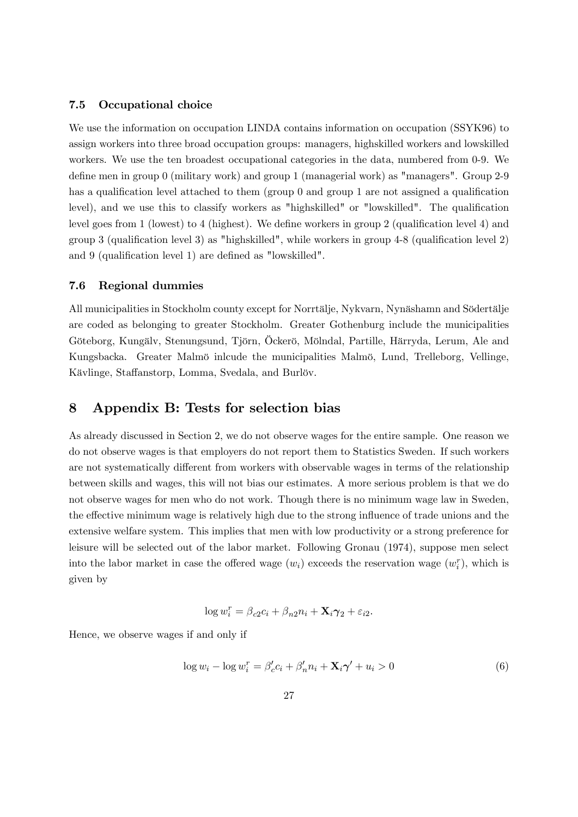### 7.5 Occupational choice

We use the information on occupation LINDA contains information on occupation (SSYK96) to assign workers into three broad occupation groups: managers, highskilled workers and lowskilled workers. We use the ten broadest occupational categories in the data, numbered from 0-9. We define men in group 0 (military work) and group 1 (managerial work) as "managers". Group 2-9 has a qualification level attached to them (group  $0$  and group 1 are not assigned a qualification level), and we use this to classify workers as "highskilled" or "lowskilled". The qualification level goes from 1 (lowest) to 4 (highest). We define workers in group 2 (qualification level 4) and group 3 (qualification level 3) as "highskilled", while workers in group  $4-8$  (qualification level 2) and 9 (qualification level 1) are defined as "lowskilled".

#### 7.6 Regional dummies

All municipalities in Stockholm county except for Norrtälje, Nykvarn, Nynäshamn and Södertälje are coded as belonging to greater Stockholm. Greater Gothenburg include the municipalities Göteborg, Kungälv, Stenungsund, Tjörn, Öckerö, Mölndal, Partille, Härryda, Lerum, Ale and Kungsbacka. Greater Malmö inlcude the municipalities Malmö, Lund, Trelleborg, Vellinge, Kävlinge, Staffanstorp, Lomma, Svedala, and Burlöv.

## 8 Appendix B: Tests for selection bias

As already discussed in Section 2, we do not observe wages for the entire sample. One reason we do not observe wages is that employers do not report them to Statistics Sweden. If such workers are not systematically different from workers with observable wages in terms of the relationship between skills and wages, this will not bias our estimates. A more serious problem is that we do not observe wages for men who do not work. Though there is no minimum wage law in Sweden, the effective minimum wage is relatively high due to the strong influence of trade unions and the extensive welfare system. This implies that men with low productivity or a strong preference for leisure will be selected out of the labor market. Following Gronau (1974), suppose men select into the labor market in case the offered wage  $(w_i)$  exceeds the reservation wage  $(w_i^r)$ , which is given by

$$
\log w_i^r = \beta_{c2}c_i + \beta_{n2}n_i + \mathbf{X}_i\boldsymbol{\gamma}_2 + \varepsilon_{i2}.
$$

Hence, we observe wages if and only if

$$
\log w_i - \log w_i^r = \beta_c' c_i + \beta_n' n_i + \mathbf{X}_i \gamma' + u_i > 0 \tag{6}
$$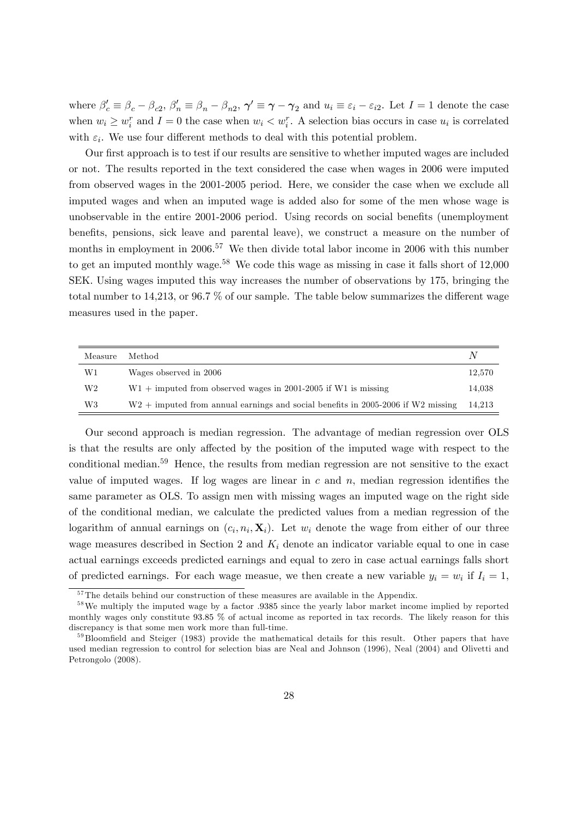where  $\beta'_c \equiv \beta_c - \beta_{c2}, \beta'_n \equiv \beta_n - \beta_{n2}, \gamma' \equiv \gamma - \gamma_2$  and  $u_i \equiv \varepsilon_i - \varepsilon_{i2}$ . Let  $I = 1$  denote the case when  $w_i \geq w_i^r$  and  $I = 0$  the case when  $w_i < w_i^r$ . A selection bias occurs in case  $u_i$  is correlated with  $\varepsilon_i$ . We use four different methods to deal with this potential problem.

Our first approach is to test if our results are sensitive to whether imputed wages are included or not. The results reported in the text considered the case when wages in 2006 were imputed from observed wages in the 2001-2005 period. Here, we consider the case when we exclude all imputed wages and when an imputed wage is added also for some of the men whose wage is unobservable in the entire 2001-2006 period. Using records on social benefits (unemployment benefits, pensions, sick leave and parental leave), we construct a measure on the number of months in employment in 2006.<sup>57</sup> We then divide total labor income in 2006 with this number to get an imputed monthly wage.<sup>58</sup> We code this wage as missing in case it falls short of 12,000 SEK. Using wages imputed this way increases the number of observations by 175, bringing the total number to 14,213, or 96.7  $\%$  of our sample. The table below summarizes the different wage measures used in the paper.

| Measure | Method                                                                             | N      |
|---------|------------------------------------------------------------------------------------|--------|
| W1      | Wages observed in 2006                                                             | 12.570 |
| W2      | $W1 +$ imputed from observed wages in 2001-2005 if W1 is missing                   | 14,038 |
| W3      | $W2$ + imputed from annual earnings and social benefits in 2005-2006 if W2 missing | 14.213 |

Our second approach is median regression. The advantage of median regression over OLS is that the results are only affected by the position of the imputed wage with respect to the conditional median.<sup>59</sup> Hence, the results from median regression are not sensitive to the exact value of imputed wages. If log wages are linear in  $c$  and  $n$ , median regression identifies the same parameter as OLS. To assign men with missing wages an imputed wage on the right side of the conditional median, we calculate the predicted values from a median regression of the logarithm of annual earnings on  $(c_i, n_i, \mathbf{X}_i)$ . Let  $w_i$  denote the wage from either of our three wage measures described in Section 2 and  $K_i$  denote an indicator variable equal to one in case actual earnings exceeds predicted earnings and equal to zero in case actual earnings falls short of predicted earnings. For each wage measue, we then create a new variable  $y_i = w_i$  if  $I_i = 1$ ,

 $57$ The details behind our construction of these measures are available in the Appendix.

<sup>&</sup>lt;sup>58</sup>We multiply the imputed wage by a factor :9385 since the yearly labor market income implied by reported monthly wages only constitute 93:85 % of actual income as reported in tax records. The likely reason for this discrepancy is that some men work more than full-time.

 $59B$ loomfield and Steiger (1983) provide the mathematical details for this result. Other papers that have used median regression to control for selection bias are Neal and Johnson (1996), Neal (2004) and Olivetti and Petrongolo (2008).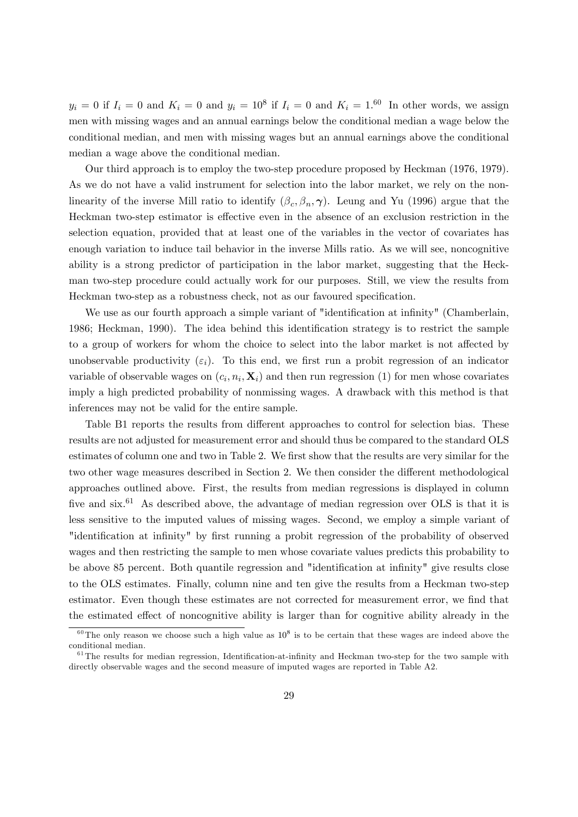$y_i = 0$  if  $I_i = 0$  and  $K_i = 0$  and  $y_i = 10^8$  if  $I_i = 0$  and  $K_i = 1.60$  In other words, we assign men with missing wages and an annual earnings below the conditional median a wage below the conditional median, and men with missing wages but an annual earnings above the conditional median a wage above the conditional median.

Our third approach is to employ the two-step procedure proposed by Heckman (1976, 1979). As we do not have a valid instrument for selection into the labor market, we rely on the nonlinearity of the inverse Mill ratio to identify  $(\beta_c, \beta_n, \gamma)$ . Leung and Yu (1996) argue that the Heckman two-step estimator is effective even in the absence of an exclusion restriction in the selection equation, provided that at least one of the variables in the vector of covariates has enough variation to induce tail behavior in the inverse Mills ratio. As we will see, noncognitive ability is a strong predictor of participation in the labor market, suggesting that the Heckman two-step procedure could actually work for our purposes. Still, we view the results from Heckman two-step as a robustness check, not as our favoured specification.

We use as our fourth approach a simple variant of "identification at infinity" (Chamberlain, 1986; Heckman, 1990). The idea behind this identification strategy is to restrict the sample to a group of workers for whom the choice to select into the labor market is not affected by unobservable productivity  $(\varepsilon_i)$ . To this end, we first run a probit regression of an indicator variable of observable wages on  $(c_i, n_i, \mathbf{X}_i)$  and then run regression (1) for men whose covariates imply a high predicted probability of nonmissing wages. A drawback with this method is that inferences may not be valid for the entire sample.

Table B1 reports the results from different approaches to control for selection bias. These results are not adjusted for measurement error and should thus be compared to the standard OLS estimates of column one and two in Table 2. We first show that the results are very similar for the two other wage measures described in Section 2. We then consider the different methodological approaches outlined above. First, the results from median regressions is displayed in column five and  $six.^{61}$ . As described above, the advantage of median regression over OLS is that it is less sensitive to the imputed values of missing wages. Second, we employ a simple variant of "identification at infinity" by first running a probit regression of the probability of observed wages and then restricting the sample to men whose covariate values predicts this probability to be above 85 percent. Both quantile regression and "identification at infinity" give results close to the OLS estimates. Finally, column nine and ten give the results from a Heckman two-step estimator. Even though these estimates are not corrected for measurement error, we find that the estimated effect of noncognitive ability is larger than for cognitive ability already in the

<sup>&</sup>lt;sup>60</sup>The only reason we choose such a high value as  $10^8$  is to be certain that these wages are indeed above the conditional median.

 $61$ The results for median regression, Identification-at-infinity and Heckman two-step for the two sample with directly observable wages and the second measure of imputed wages are reported in Table A2.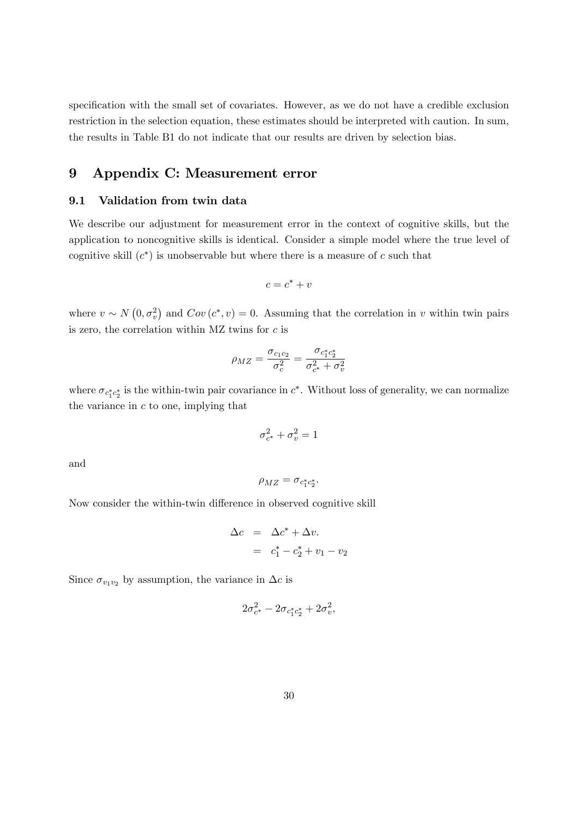specification with the small set of covariates. However, as we do not have a credible exclusion restriction in the selection equation, these estimates should be interpreted with caution. In sum, the results in Table B1 do not indicate that our results are driven by selection bias.

## 9 Appendix C: Measurement error

#### 9.1 Validation from twin data

We describe our adjustment for measurement error in the context of cognitive skills, but the application to noncognitive skills is identical. Consider a simple model where the true level of cognitive skill  $(c^*)$  is unobservable but where there is a measure of c such that

$$
c=c^*+v
$$

where  $v \sim N(0, \sigma_v^2)$  and  $Cov(c^*, v) = 0$ . Assuming that the correlation in v within twin pairs is zero, the correlation within MZ twins for  $c$  is

$$
\rho_{MZ} = \frac{\sigma_{c_1 c_2}}{\sigma_c^2} = \frac{\sigma_{c_1^* c_2^*}}{\sigma_{c^*}^2 + \sigma_v^2}
$$

where  $\sigma_{c_1^*c_2^*}$  is the within-twin pair covariance in  $c^*$ . Without loss of generality, we can normalize the variance in  $c$  to one, implying that

$$
\sigma_{c^*}^2 + \sigma_v^2 = 1
$$

and

$$
\rho_{MZ}=\sigma_{c_1^*c_2^*}.
$$

Now consider the within-twin difference in observed cognitive skill

$$
\Delta c = \Delta c^* + \Delta v.
$$
  
=  $c_1^* - c_2^* + v_1 - v_2$ 

Since  $\sigma_{v_1v_2}$  by assumption, the variance in  $\Delta c$  is

$$
2\sigma_{c^*}^2 - 2\sigma_{c_1^*c_2^*} + 2\sigma_v^2,
$$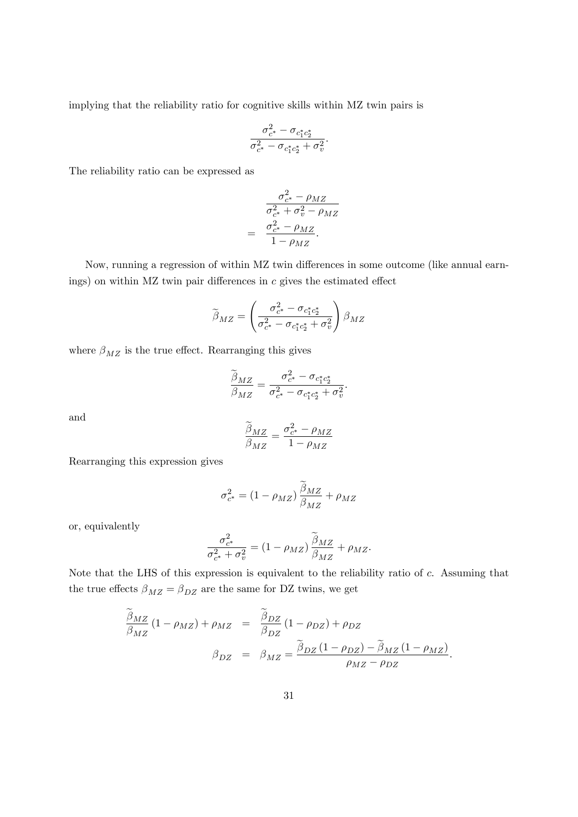implying that the reliability ratio for cognitive skills within MZ twin pairs is

$$
\frac{\sigma_{c^*}^2 - \sigma_{c_1^*c_2^*}}{\sigma_{c^*}^2 - \sigma_{c_1^*c_2^*} + \sigma_v^2}.
$$

The reliability ratio can be expressed as

$$
\sigma_{c^*}^2 - \rho_{MZ}
$$

$$
\sigma_{c^*}^2 + \sigma_v^2 - \rho_{MZ}
$$

$$
= \frac{\sigma_{c^*}^2 - \rho_{MZ}}{1 - \rho_{MZ}}.
$$

Now, running a regression of within MZ twin differences in some outcome (like annual earnings) on within MZ twin pair differences in  $c$  gives the estimated effect

$$
\widetilde{\boldsymbol{\beta}}_{MZ} = \left(\frac{\sigma_{c^*}^2 - \sigma_{c_1^*c_2^*}}{\sigma_{c^*}^2 - \sigma_{c_1^*c_2^*} + \sigma_v^2}\right) \boldsymbol{\beta}_{MZ}
$$

where  $\beta_{MZ}$  is the true effect. Rearranging this gives

$$
\frac{\widetilde{\beta}_{MZ}}{\beta_{MZ}} = \frac{\sigma_{c^*}^2 - \sigma_{c_1^*c_2^*}}{\sigma_{c^*}^2 - \sigma_{c_1^*c_2^*} + \sigma_v^2}.
$$

and

$$
\frac{\widetilde{\beta}_{MZ}}{\beta_{MZ}} = \frac{\sigma_{c^*}^2 - \rho_{MZ}}{1 - \rho_{MZ}}
$$

Rearranging this expression gives

$$
\sigma_{c^*}^2 = (1 - \rho_{MZ}) \frac{\tilde{\beta}_{MZ}}{\beta_{MZ}} + \rho_{MZ}
$$

or, equivalently

$$
\frac{\sigma_{c^*}^2}{\sigma_{c^*}^2 + \sigma_v^2} = (1 - \rho_{MZ}) \frac{\tilde{\beta}_{MZ}}{\beta_{MZ}} + \rho_{MZ}.
$$

Note that the LHS of this expression is equivalent to the reliability ratio of c. Assuming that the true effects  $\beta_{MZ}=\beta_{DZ}$  are the same for DZ twins, we get

$$
\frac{\tilde{\beta}_{MZ}}{\beta_{MZ}}(1 - \rho_{MZ}) + \rho_{MZ} = \frac{\tilde{\beta}_{DZ}}{\beta_{DZ}}(1 - \rho_{DZ}) + \rho_{DZ}
$$
\n
$$
\beta_{DZ} = \beta_{MZ} = \frac{\tilde{\beta}_{DZ}(1 - \rho_{DZ}) - \tilde{\beta}_{MZ}(1 - \rho_{MZ})}{\rho_{MZ} - \rho_{DZ}}.
$$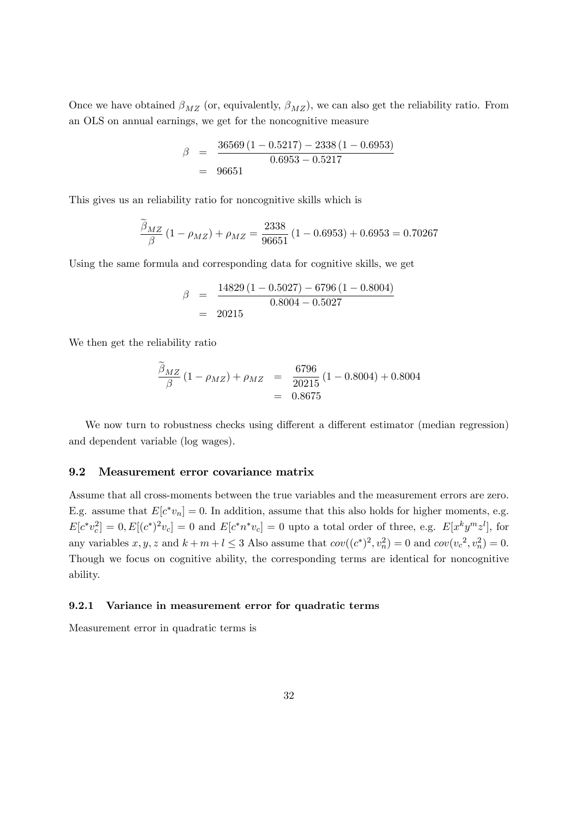Once we have obtained  $\beta_{MZ}$  (or, equivalently,  $\beta_{MZ}$ ), we can also get the reliability ratio. From an OLS on annual earnings, we get for the noncognitive measure

$$
\beta = \frac{36569 (1 - 0.5217) - 2338 (1 - 0.6953)}{0.6953 - 0.5217}
$$
  
= 96651

This gives us an reliability ratio for noncognitive skills which is

$$
\frac{\beta_{MZ}}{\beta} (1 - \rho_{MZ}) + \rho_{MZ} = \frac{2338}{96651} (1 - 0.6953) + 0.6953 = 0.70267
$$

Using the same formula and corresponding data for cognitive skills, we get

$$
\beta = \frac{14829 (1 - 0.5027) - 6796 (1 - 0.8004)}{0.8004 - 0.5027}
$$
  
= 20215

We then get the reliability ratio

$$
\frac{\beta_{MZ}}{\beta} (1 - \rho_{MZ}) + \rho_{MZ} = \frac{6796}{20215} (1 - 0.8004) + 0.8004
$$

$$
= 0.8675
$$

We now turn to robustness checks using different a different estimator (median regression) and dependent variable (log wages).

### 9.2 Measurement error covariance matrix

Assume that all cross-moments between the true variables and the measurement errors are zero. E.g. assume that  $E[c^*v_n] = 0$ . In addition, assume that this also holds for higher moments, e.g.  $E[c^*v_c^2] = 0, E[(c^*)^2v_c] = 0$  and  $E[c^*n^*v_c] = 0$  upto a total order of three, e.g.  $E[x^ky^mz^l]$ , for any variables  $x, y, z$  and  $k + m + l \leq 3$  Also assume that  $cov((c^*)^2, v_n^2) = 0$  and  $cov(v_c^2, v_n^2) = 0$ . Though we focus on cognitive ability, the corresponding terms are identical for noncognitive ability.

#### 9.2.1 Variance in measurement error for quadratic terms

Measurement error in quadratic terms is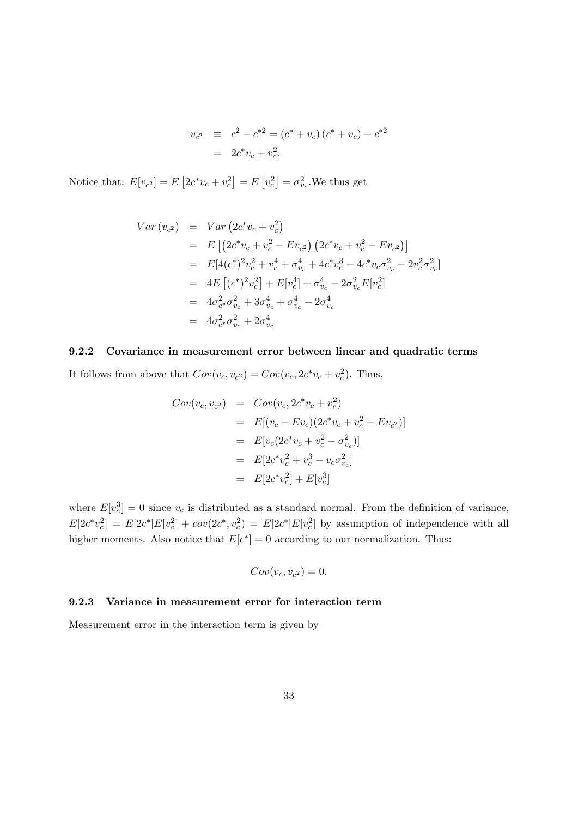$$
v_{c2} \equiv c^2 - c^{*2} = (c^* + v_c) (c^* + v_c) - c^{*2}
$$
  
=  $2c^* v_c + v_c^2$ .

Notice that:  $E[v_{c^2}] = E[2c^*v_c + v_c^2] = E[v_c^2] = \sigma_{v_c}^2$ . We thus get

$$
Var (v_{c2}) = Var (2c^*v_c + v_c^2)
$$
  
=  $E [(2c^*v_c + v_c^2 - Ev_{c2}) (2c^*v_c + v_c^2 - Ev_{c2})]$   
=  $E[4(c^*)^2v_c^2 + v_c^4 + \sigma_{v_c}^4 + 4c^*v_c^3 - 4c^*v_c\sigma_{v_c}^2 - 2v_c^2\sigma_{v_c}^2]$   
=  $4E [(c^*)^2v_c^2] + E[v_c^4] + \sigma_{v_c}^4 - 2\sigma_{v_c}^2E[v_c^2]$   
=  $4\sigma_{c^*}^2\sigma_{v_c}^2 + 3\sigma_{v_c}^4 + \sigma_{v_c}^4 - 2\sigma_{v_c}^4$   
=  $4\sigma_{c^*}^2\sigma_{v_c}^2 + 2\sigma_{v_c}^4$ 

### 9.2.2 Covariance in measurement error between linear and quadratic terms

It follows from above that  $Cov(v_c, v_{c^2}) = Cov(v_c, 2c^*v_c + v_c^2)$ . Thus,

$$
Cov(v_c, v_{c^2}) = Cov(v_c, 2c^*v_c + v_c^2)
$$
  
=  $E[(v_c - Ev_c)(2c^*v_c + v_c^2 - Ev_{c^2})]$   
=  $E[v_c(2c^*v_c + v_c^2 - \sigma_{v_c}^2)]$   
=  $E[2c^*v_c^2 + v_c^3 - v_c\sigma_{v_c}^2]$   
=  $E[2c^*v_c^2] + E[v_c^3]$ 

where  $E[v_c^3] = 0$  since  $v_c$  is distributed as a standard normal. From the definition of variance,  $E[2c^*v_c^2] = E[2c^*]E[v_c^2] + cov(2c^*, v_c^2) = E[2c^*]E[v_c^2]$  by assumption of independence with all higher moments. Also notice that  $E[c^*]=0$  according to our normalization. Thus:

$$
Cov(v_c, v_{c^2}) = 0.
$$

### 9.2.3 Variance in measurement error for interaction term

Measurement error in the interaction term is given by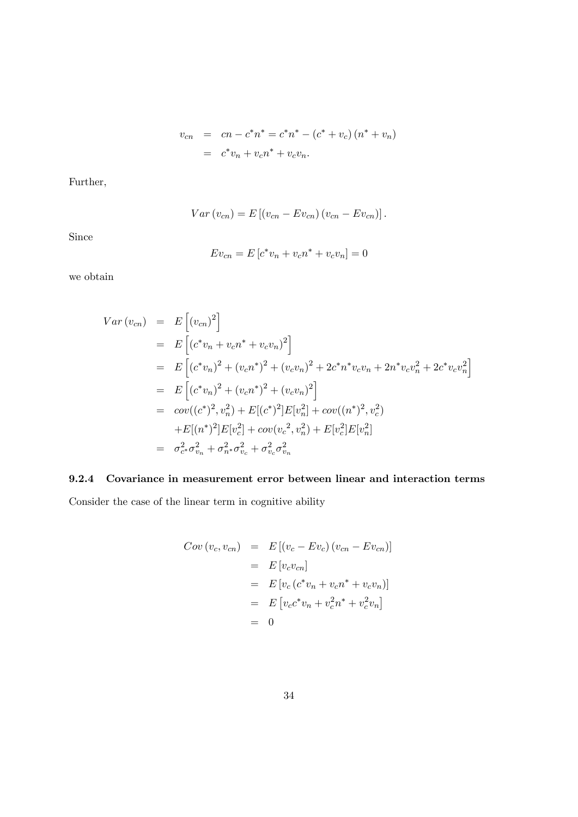$$
v_{cn} = cn - c^{*}n^{*} = c^{*}n^{*} - (c^{*} + v_{c})(n^{*} + v_{n})
$$
  
=  $c^{*}v_{n} + v_{c}n^{*} + v_{c}v_{n}$ .

Further,

$$
Var(v_{cn}) = E [(v_{cn} - Ev_{cn}) (v_{cn} - Ev_{cn})].
$$

Since

$$
Ev_{cn} = E[c^*v_n + v_cn^* + v_cv_n] = 0
$$

we obtain

$$
Var (v_{cn}) = E [(v_{cn})^2]
$$
  
\n
$$
= E [(c^*v_n + v_cn^* + v_cv_n)^2]
$$
  
\n
$$
= E [(c^*v_n)^2 + (v_cn^*)^2 + (v_cv_n)^2 + 2c^*n^*v_cv_n + 2n^*v_cv_n^2 + 2c^*v_cv_n^2]
$$
  
\n
$$
= E [(c^*v_n)^2 + (v_cn^*)^2 + (v_cv_n)^2]
$$
  
\n
$$
= cov((c^*)^2, v_n^2) + E [(c^*)^2]E[v_n^2] + cov((n^*)^2, v_c^2)
$$
  
\n
$$
+ E [(n^*)^2]E[v_c^2] + cov(v_c^2, v_n^2) + E[v_c^2]E[v_n^2]
$$
  
\n
$$
= \sigma_{c^*}^2 \sigma_{v_n}^2 + \sigma_{n^*}^2 \sigma_{v_c}^2 + \sigma_{v_c}^2 \sigma_{v_n}^2
$$

## 9.2.4 Covariance in measurement error between linear and interaction terms

Consider the case of the linear term in cognitive ability

$$
Cov (v_c, v_{cn}) = E [(v_c - Ev_c) (v_{cn} - Ev_{cn})]
$$
  
=  $E [v_c v_{cn}]$   
=  $E [v_c (c^* v_n + v_c n^* + v_c v_n)]$   
=  $E [v_c c^* v_n + v_c^2 n^* + v_c^2 v_n]$   
= 0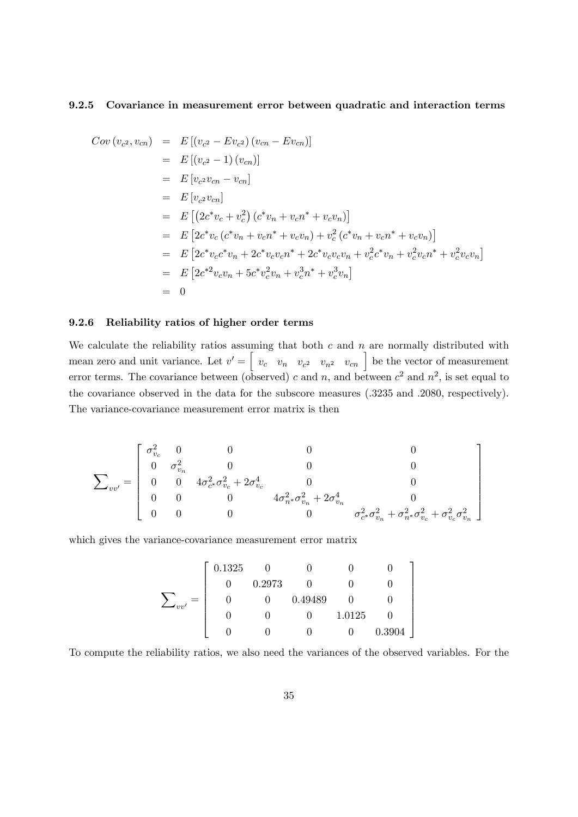### 9.2.5 Covariance in measurement error between quadratic and interaction terms

$$
Cov(v_{c^2}, v_{cn}) = E[(v_{c^2} - Ev_{c^2})(v_{cn} - Ev_{cn})]
$$
  
\n
$$
= E[(v_{c^2} - 1)(v_{cn})]
$$
  
\n
$$
= E[v_{c^2}v_{cn} - v_{cn}]
$$
  
\n
$$
= E[v_{c^2}v_{cn}]
$$
  
\n
$$
= E[(2c^*v_c + v_c^2)(c^*v_n + v_c n^* + v_c v_n)]
$$
  
\n
$$
= E[2c^*v_c(c^*v_n + v_c n^* + v_c v_n) + v_c^2(c^*v_n + v_c n^* + v_c v_n)]
$$
  
\n
$$
= E[2c^*v_c c^*v_n + 2c^*v_c v_c n^* + 2c^*v_c v_c v_n + v_c^2 c^* v_n + v_c^2 v_c n^* + v_c^2 v_c v_n]
$$
  
\n
$$
= E[2c^*v_c v_n + 5c^*v_c^2 v_n + v_c^3 n^* + v_c^3 v_n]
$$
  
\n
$$
= 0
$$

#### 9.2.6 Reliability ratios of higher order terms

We calculate the reliability ratios assuming that both  $c$  and  $n$  are normally distributed with mean zero and unit variance. Let  $v' = \begin{bmatrix} v_c & v_n & v_{c^2} & v_{n^2} & v_{cn} \end{bmatrix}$  be the vector of measurement error terms. The covariance between (observed) c and n, and between  $c^2$  and  $n^2$ , is set equal to the covariance observed in the data for the subscore measures (.3235 and .2080, respectively). The variance-covariance measurement error matrix is then

$$
\mathbf{\sum}_{vv'} = \left[ \begin{array}{cccc} \sigma_{v_c}^2 & 0 & 0 & 0 & 0 \\ 0 & \sigma_{v_n}^2 & 0 & 0 & 0 \\ 0 & 0 & 4\sigma_{c^*}^2\sigma_{v_c}^2 + 2\sigma_{v_c}^4 & 0 & 0 \\ 0 & 0 & 0 & 4\sigma_{n^*}^2\sigma_{v_n}^2 + 2\sigma_{v_n}^4 & 0 \\ 0 & 0 & 0 & 0 & \sigma_{c^*}^2\sigma_{v_n}^2 + \sigma_{n^*}^2\sigma_{v_c}^2 + \sigma_{v_c}^2\sigma_{v_n}^2 \end{array} \right]
$$

which gives the variance-covariance measurement error matrix

$$
\sum_{vv'} = \left[\begin{array}{ccccc} 0.1325 & 0 & 0 & 0 & 0 \\ 0 & 0.2973 & 0 & 0 & 0 \\ 0 & 0 & 0.49489 & 0 & 0 \\ 0 & 0 & 0 & 1.0125 & 0 \\ 0 & 0 & 0 & 0 & 0.3904 \end{array}\right]
$$

To compute the reliability ratios, we also need the variances of the observed variables. For the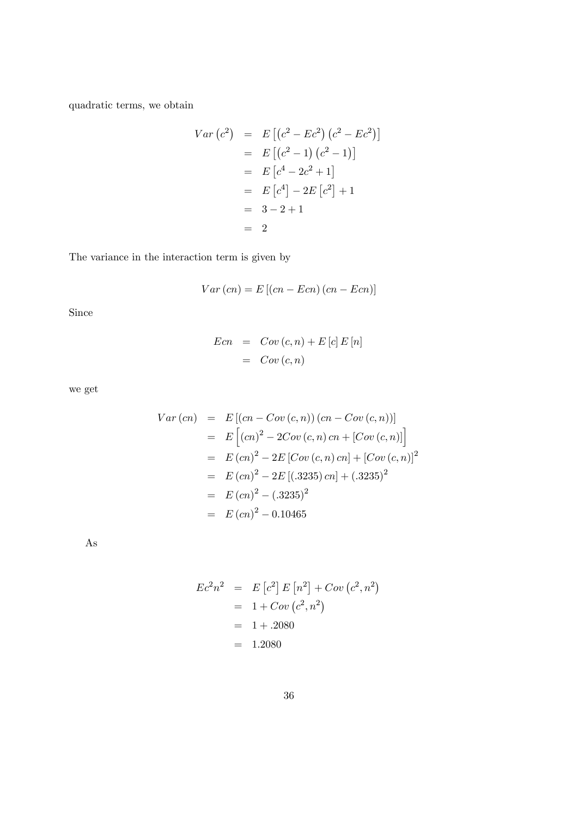quadratic terms, we obtain

$$
Var(c2) = E[(c2 - Ec2)(c2 - Ec2)]
$$
  
= E[(c<sup>2</sup> - 1)(c<sup>2</sup> - 1)]  
= E[c<sup>4</sup> - 2c<sup>2</sup> + 1]  
= E[c<sup>4</sup>] - 2E[c<sup>2</sup>] + 1  
= 3 - 2 + 1  
= 2

The variance in the interaction term is given by

$$
Var\left( cn\right) = E\left[ \left( cn - Ecn\right) \left( cn - Ecn\right) \right]
$$

Since

$$
Ecn = Cov(c, n) + E[c] E[n]
$$

$$
= Cov(c, n)
$$

we get

$$
Var (cn) = E [(cn - Cov (c, n)) (cn - Cov (c, n))]
$$
  
=  $E [(cn)^2 - 2Cov (c, n) cn + [Cov (c, n)]]$   
=  $E (cn)^2 - 2E [Cov (c, n) cn] + [Cov (c, n)]^2$   
=  $E (cn)^2 - 2E [(.3235) cn] + (.3235)^2$   
=  $E (cn)^2 - (.3235)^2$   
=  $E (cn)^2 - 0.10465$ 

As

$$
Ec2n2 = E[c2] E[n2] + Cov(c2, n2)
$$
  
= 1 + Cov(c<sup>2</sup>, n<sup>2</sup>)  
= 1 + .2080  
= 1.2080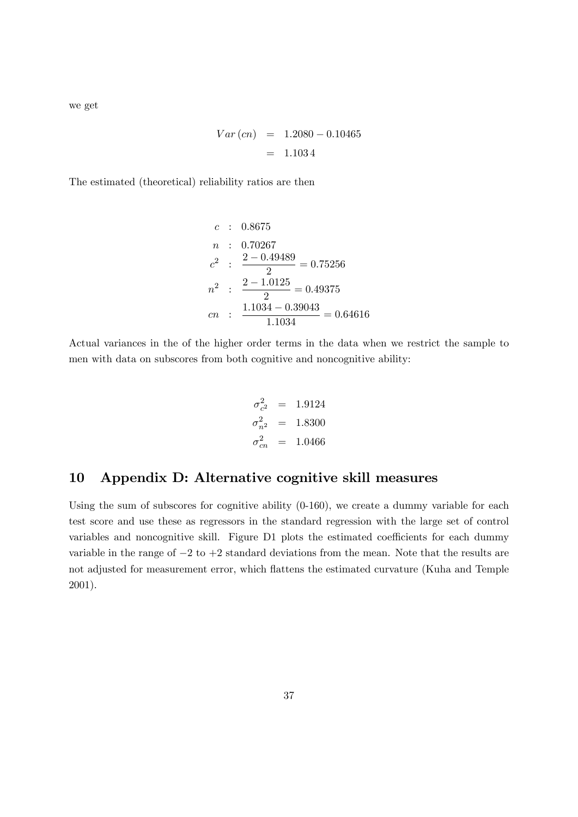we get

$$
Var (cn) = 1.2080 - 0.10465
$$

$$
= 1.1034
$$

The estimated (theoretical) reliability ratios are then

$$
c : 0.8675
$$
  
\n
$$
n : 0.70267
$$
  
\n
$$
c^{2} : \frac{2 - 0.49489}{2} = 0.75256
$$
  
\n
$$
n^{2} : \frac{2 - 1.0125}{2} = 0.49375
$$
  
\n
$$
cn : \frac{1.1034 - 0.39043}{1.1034} = 0.64616
$$

Actual variances in the of the higher order terms in the data when we restrict the sample to men with data on subscores from both cognitive and noncognitive ability:

$$
\sigma_{c^2}^2 = 1.9124
$$
  
\n
$$
\sigma_{n^2}^2 = 1.8300
$$
  
\n
$$
\sigma_{cn}^2 = 1.0466
$$

## 10 Appendix D: Alternative cognitive skill measures

Using the sum of subscores for cognitive ability (0-160), we create a dummy variable for each test score and use these as regressors in the standard regression with the large set of control variables and noncognitive skill. Figure D1 plots the estimated coefficients for each dummy variable in the range of  $-2$  to  $+2$  standard deviations from the mean. Note that the results are not adjusted for measurement error, which áattens the estimated curvature (Kuha and Temple 2001).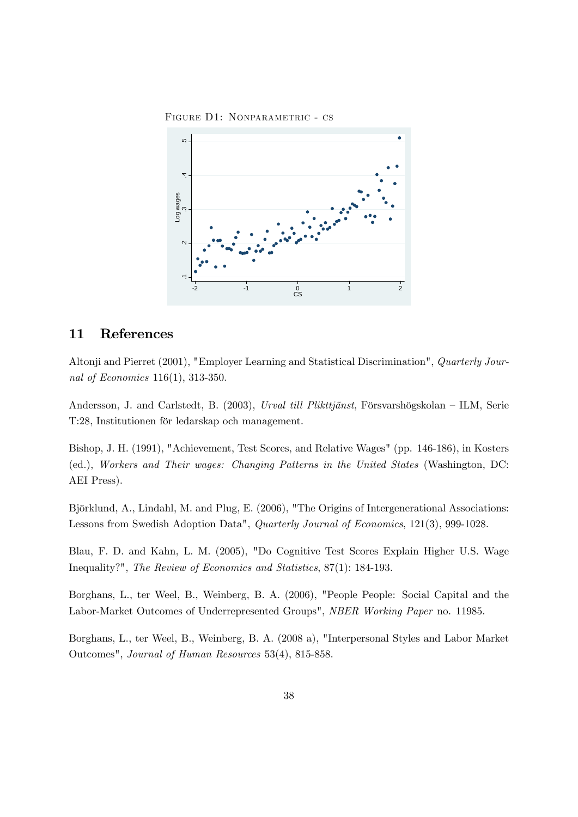FIGURE D1: NONPARAMETRIC - CS



### 11 References

Altonji and Pierret (2001), "Employer Learning and Statistical Discrimination", Quarterly Journal of Economics 116(1), 313-350.

Andersson, J. and Carlstedt, B. (2003), Urval till Plikttjänst, Försvarshögskolan – ILM, Serie T:28, Institutionen för ledarskap och management.

Bishop, J. H. (1991), "Achievement, Test Scores, and Relative Wages" (pp. 146-186), in Kosters (ed.), Workers and Their wages: Changing Patterns in the United States (Washington, DC: AEI Press).

Björklund, A., Lindahl, M. and Plug, E. (2006), "The Origins of Intergenerational Associations: Lessons from Swedish Adoption Data", Quarterly Journal of Economics, 121(3), 999-1028.

Blau, F. D. and Kahn, L. M. (2005), "Do Cognitive Test Scores Explain Higher U.S. Wage Inequality?", The Review of Economics and Statistics, 87(1): 184-193.

Borghans, L., ter Weel, B., Weinberg, B. A. (2006), "People People: Social Capital and the Labor-Market Outcomes of Underrepresented Groups", NBER Working Paper no. 11985.

Borghans, L., ter Weel, B., Weinberg, B. A. (2008 a), "Interpersonal Styles and Labor Market Outcomes", Journal of Human Resources 53(4), 815-858.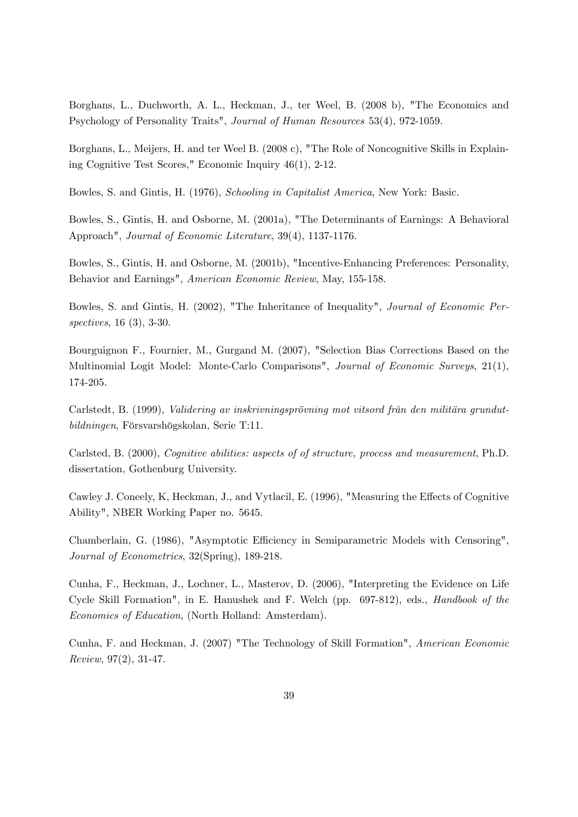Borghans, L., Duchworth, A. L., Heckman, J., ter Weel, B. (2008 b), "The Economics and Psychology of Personality Traits", Journal of Human Resources 53(4), 972-1059.

Borghans, L., Meijers, H. and ter Weel B. (2008 c), "The Role of Noncognitive Skills in Explaining Cognitive Test Scores," Economic Inquiry 46(1), 2-12.

Bowles, S. and Gintis, H. (1976), Schooling in Capitalist America, New York: Basic.

Bowles, S., Gintis, H. and Osborne, M. (2001a), "The Determinants of Earnings: A Behavioral Approach", Journal of Economic Literature, 39(4), 1137-1176.

Bowles, S., Gintis, H. and Osborne, M. (2001b), "Incentive-Enhancing Preferences: Personality, Behavior and Earnings", American Economic Review, May, 155-158.

Bowles, S. and Gintis, H. (2002), "The Inheritance of Inequality", Journal of Economic Perspectives, 16 (3), 3-30.

Bourguignon F., Fournier, M., Gurgand M. (2007), "Selection Bias Corrections Based on the Multinomial Logit Model: Monte-Carlo Comparisons", Journal of Economic Surveys, 21(1), 174-205.

Carlstedt, B. (1999), *Validering av inskrivningsprövning mot vitsord från den militära grundut*bildningen, Försvarshögskolan, Serie T:11.

Carlsted, B. (2000), Cognitive abilities: aspects of of structure, process and measurement, Ph.D. dissertation, Gothenburg University.

Cawley J. Coneely, K, Heckman, J., and Vytlacil, E. (1996), "Measuring the Effects of Cognitive Ability", NBER Working Paper no. 5645.

Chamberlain, G. (1986), "Asymptotic Efficiency in Semiparametric Models with Censoring", Journal of Econometrics, 32(Spring), 189-218.

Cunha, F., Heckman, J., Lochner, L., Masterov, D. (2006), "Interpreting the Evidence on Life Cycle Skill Formation", in E. Hanushek and F. Welch (pp. 697-812), eds., Handbook of the Economics of Education, (North Holland: Amsterdam).

Cunha, F. and Heckman, J. (2007) "The Technology of Skill Formation", American Economic Review, 97(2), 31-47.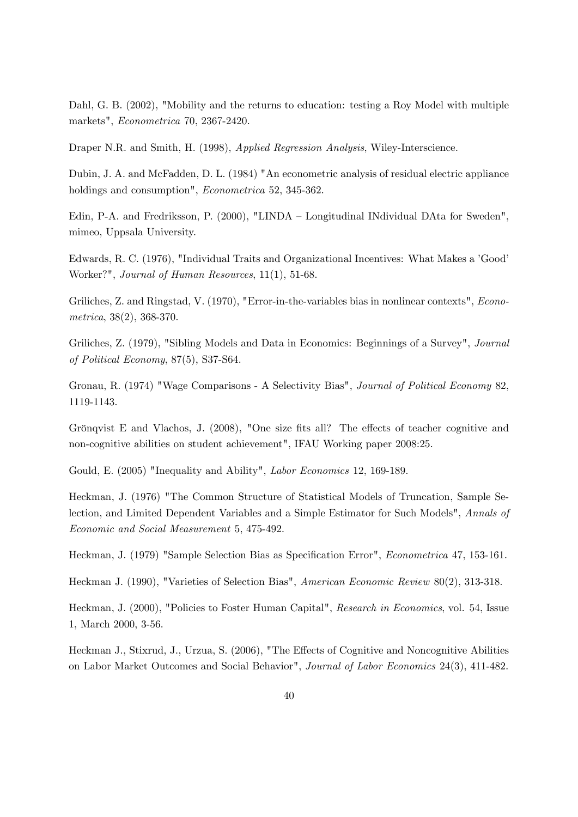Dahl, G. B. (2002), "Mobility and the returns to education: testing a Roy Model with multiple markets", Econometrica 70, 2367-2420.

Draper N.R. and Smith, H. (1998), Applied Regression Analysis, Wiley-Interscience.

Dubin, J. A. and McFadden, D. L. (1984) "An econometric analysis of residual electric appliance holdings and consumption", *Econometrica* 52, 345-362.

Edin, P-A. and Fredriksson, P.  $(2000)$ , "LINDA – Longitudinal INdividual DAta for Sweden", mimeo, Uppsala University.

Edwards, R. C. (1976), "Individual Traits and Organizational Incentives: What Makes a 'Good' Worker?", Journal of Human Resources, 11(1), 51-68.

Griliches, Z. and Ringstad, V. (1970), "Error-in-the-variables bias in nonlinear contexts", Econometrica, 38(2), 368-370.

Griliches, Z. (1979), "Sibling Models and Data in Economics: Beginnings of a Survey", Journal of Political Economy, 87(5), S37-S64.

Gronau, R. (1974) "Wage Comparisons - A Selectivity Bias", Journal of Political Economy 82, 1119-1143.

Grönqvist E and Vlachos, J. (2008), "One size fits all? The effects of teacher cognitive and non-cognitive abilities on student achievement", IFAU Working paper 2008:25.

Gould, E. (2005) "Inequality and Ability", Labor Economics 12, 169-189.

Heckman, J. (1976) "The Common Structure of Statistical Models of Truncation, Sample Selection, and Limited Dependent Variables and a Simple Estimator for Such Models", Annals of Economic and Social Measurement 5, 475-492.

Heckman, J. (1979) "Sample Selection Bias as Specification Error", *Econometrica* 47, 153-161.

Heckman J. (1990), "Varieties of Selection Bias", American Economic Review 80(2), 313-318.

Heckman, J. (2000), "Policies to Foster Human Capital", Research in Economics, vol. 54, Issue 1, March 2000, 3-56.

Heckman J., Stixrud, J., Urzua, S. (2006), "The Effects of Cognitive and Noncognitive Abilities on Labor Market Outcomes and Social Behavior", Journal of Labor Economics 24(3), 411-482.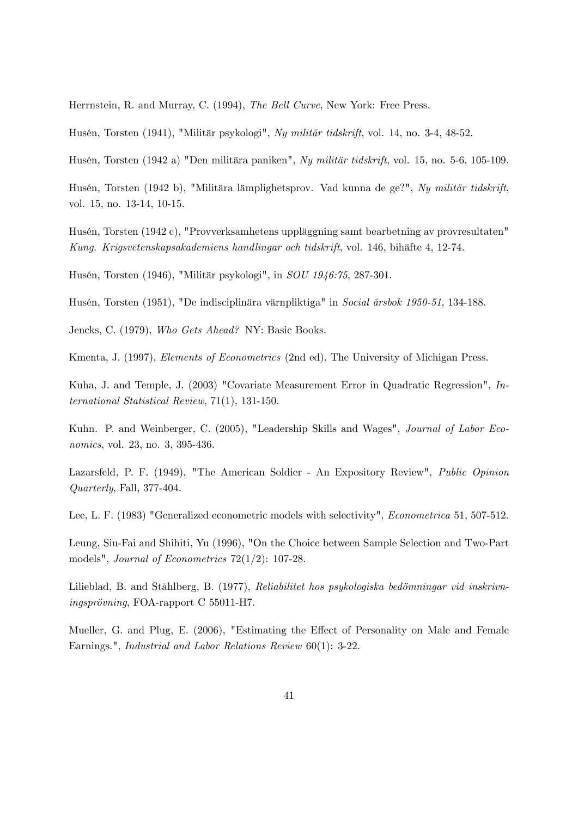Herrnstein, R. and Murray, C. (1994), The Bell Curve, New York: Free Press.

Husén, Torsten (1941), "Militär psykologi", Ny militär tidskrift, vol. 14, no. 3-4, 48-52.

Husén, Torsten (1942 a) "Den militära paniken", Ny militär tidskrift, vol. 15, no. 5-6, 105-109.

Husén, Torsten (1942 b), "Militära lämplighetsprov. Vad kunna de ge?", Ny militär tidskrift, vol. 15, no. 13-14, 10-15.

Husén, Torsten (1942 c), "Provverksamhetens uppläggning samt bearbetning av provresultaten" Kung. Krigsvetenskapsakademiens handlingar och tidskrift, vol. 146, bihäfte 4, 12-74.

Husén, Torsten (1946), "Militär psykologi", in SOU 1946:75, 287-301.

Husén, Torsten (1951), "De indisciplinära värnpliktiga" in Social årsbok 1950-51, 134-188.

Jencks, C. (1979), Who Gets Ahead? NY: Basic Books.

Kmenta, J. (1997), Elements of Econometrics (2nd ed), The University of Michigan Press.

Kuha, J. and Temple, J. (2003) "Covariate Measurement Error in Quadratic Regression", International Statistical Review, 71(1), 131-150.

Kuhn. P. and Weinberger, C. (2005), "Leadership Skills and Wages", Journal of Labor Economics, vol. 23, no. 3, 395-436.

Lazarsfeld, P. F. (1949), "The American Soldier - An Expository Review", Public Opinion Quarterly, Fall, 377-404.

Lee, L. F. (1983) "Generalized econometric models with selectivity", Econometrica 51, 507-512.

Leung, Siu-Fai and Shihiti, Yu (1996), "On the Choice between Sample Selection and Two-Part models", Journal of Econometrics 72(1/2): 107-28.

Lilieblad, B. and Ståhlberg, B. (1977), Reliabilitet hos psykologiska bedömningar vid inskrivningsprövning, FOA-rapport C 55011-H7.

Mueller, G. and Plug, E. (2006), "Estimating the Effect of Personality on Male and Female Earnings.", Industrial and Labor Relations Review 60(1): 3-22.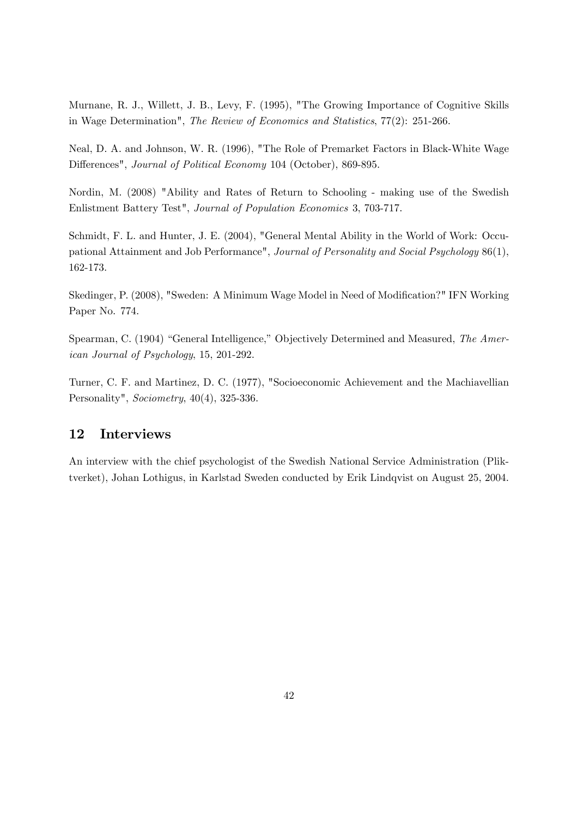Murnane, R. J., Willett, J. B., Levy, F. (1995), "The Growing Importance of Cognitive Skills in Wage Determination", The Review of Economics and Statistics, 77(2): 251-266.

Neal, D. A. and Johnson, W. R. (1996), "The Role of Premarket Factors in Black-White Wage Differences", Journal of Political Economy 104 (October), 869-895.

Nordin, M. (2008) "Ability and Rates of Return to Schooling - making use of the Swedish Enlistment Battery Test", Journal of Population Economics 3, 703-717.

Schmidt, F. L. and Hunter, J. E. (2004), "General Mental Ability in the World of Work: Occupational Attainment and Job Performance", Journal of Personality and Social Psychology 86(1), 162-173.

Skedinger, P. (2008), "Sweden: A Minimum Wage Model in Need of Modification?" IFN Working Paper No. 774.

Spearman, C. (1904) "General Intelligence," Objectively Determined and Measured, The American Journal of Psychology, 15, 201-292.

Turner, C. F. and Martinez, D. C. (1977), "Socioeconomic Achievement and the Machiavellian Personality", Sociometry, 40(4), 325-336.

## 12 Interviews

An interview with the chief psychologist of the Swedish National Service Administration (Pliktverket), Johan Lothigus, in Karlstad Sweden conducted by Erik Lindqvist on August 25, 2004.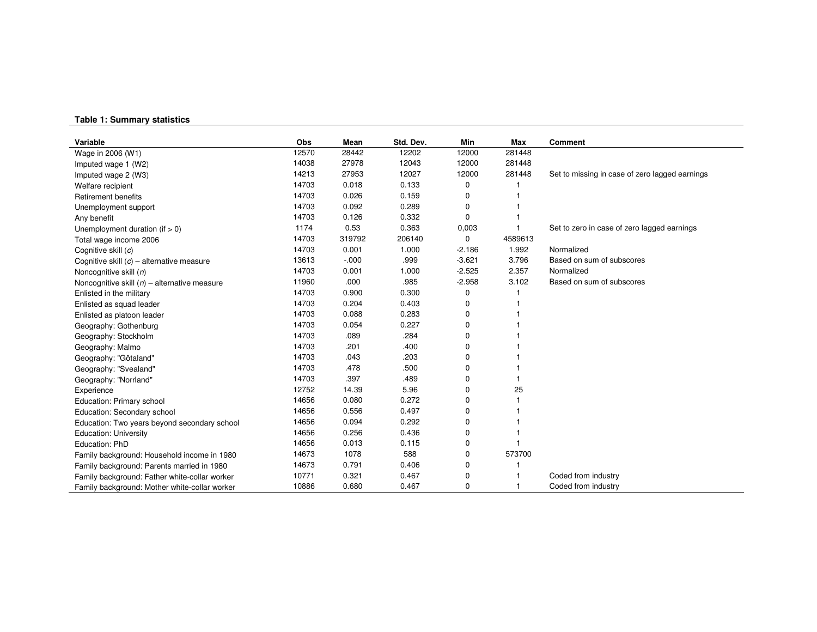#### **Table 1: Sum mary statistics**

| Variable                                       | Obs   | Mean     | Std. Dev. | Min      | Max     | <b>Comment</b>                                 |
|------------------------------------------------|-------|----------|-----------|----------|---------|------------------------------------------------|
| Wage in 2006 (W1)                              | 12570 | 28442    | 12202     | 12000    | 281448  |                                                |
| Imputed wage 1 (W2)                            | 14038 | 27978    | 12043     | 12000    | 281448  |                                                |
| Imputed wage 2 (W3)                            | 14213 | 27953    | 12027     | 12000    | 281448  | Set to missing in case of zero lagged earnings |
| Welfare recipient                              | 14703 | 0.018    | 0.133     | 0        |         |                                                |
| <b>Retirement benefits</b>                     | 14703 | 0.026    | 0.159     | 0        |         |                                                |
| Unemployment support                           | 14703 | 0.092    | 0.289     | 0        |         |                                                |
| Any benefit                                    | 14703 | 0.126    | 0.332     | 0        |         |                                                |
| Unemployment duration (if $> 0$ )              | 1174  | 0.53     | 0.363     | 0,003    |         | Set to zero in case of zero lagged earnings    |
| Total wage income 2006                         | 14703 | 319792   | 206140    | 0        | 4589613 |                                                |
| Cognitive skill (c)                            | 14703 | 0.001    | 1.000     | $-2.186$ | 1.992   | Normalized                                     |
| Cognitive skill $(c)$ – alternative measure    | 13613 | $-0.000$ | .999      | $-3.621$ | 3.796   | Based on sum of subscores                      |
| Noncognitive skill $(n)$                       | 14703 | 0.001    | 1.000     | $-2.525$ | 2.357   | Normalized                                     |
| Noncognitive skill $(n)$ – alternative measure | 11960 | .000     | .985      | $-2.958$ | 3.102   | Based on sum of subscores                      |
| Enlisted in the military                       | 14703 | 0.900    | 0.300     | 0        |         |                                                |
| Enlisted as squad leader                       | 14703 | 0.204    | 0.403     | 0        |         |                                                |
| Enlisted as platoon leader                     | 14703 | 0.088    | 0.283     | 0        |         |                                                |
| Geography: Gothenburg                          | 14703 | 0.054    | 0.227     | $\Omega$ |         |                                                |
| Geography: Stockholm                           | 14703 | .089     | .284      | 0        |         |                                                |
| Geography: Malmo                               | 14703 | .201     | .400      | 0        |         |                                                |
| Geography: "Götaland"                          | 14703 | .043     | .203      | 0        |         |                                                |
| Geography: "Svealand"                          | 14703 | .478     | .500      | 0        |         |                                                |
| Geography: "Norrland"                          | 14703 | .397     | .489      | 0        |         |                                                |
| Experience                                     | 12752 | 14.39    | 5.96      | 0        | 25      |                                                |
| Education: Primary school                      | 14656 | 0.080    | 0.272     | 0        |         |                                                |
| Education: Secondary school                    | 14656 | 0.556    | 0.497     | 0        |         |                                                |
| Education: Two years beyond secondary school   | 14656 | 0.094    | 0.292     | 0        |         |                                                |
| <b>Education: University</b>                   | 14656 | 0.256    | 0.436     | 0        |         |                                                |
| Education: PhD                                 | 14656 | 0.013    | 0.115     | 0        |         |                                                |
| Family background: Household income in 1980    | 14673 | 1078     | 588       | 0        | 573700  |                                                |
| Family background: Parents married in 1980     | 14673 | 0.791    | 0.406     | 0        |         |                                                |
| Family background: Father white-collar worker  | 10771 | 0.321    | 0.467     | 0        |         | Coded from industry                            |
| Family background: Mother white-collar worker  | 10886 | 0.680    | 0.467     | 0        |         | Coded from industry                            |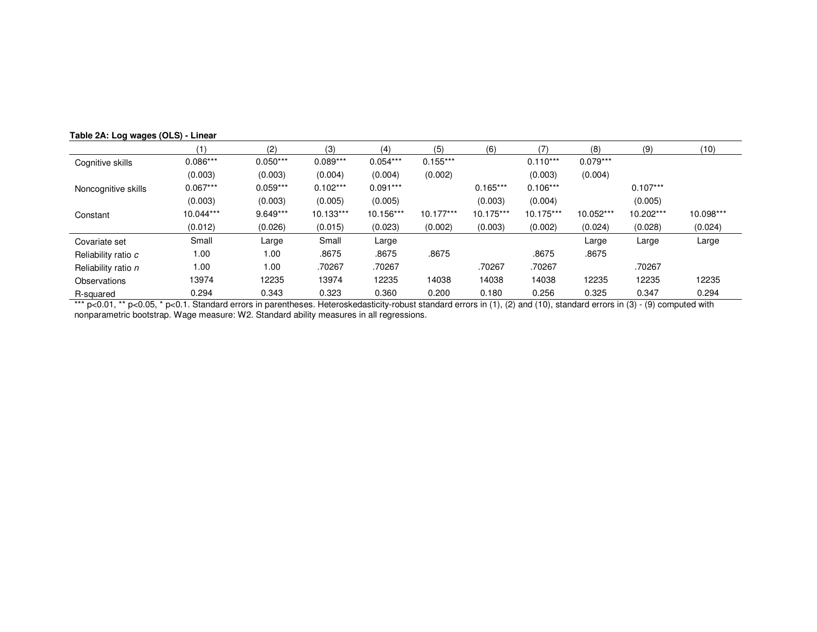|                     | (1)        | (2)        | (3)        | (4)        | (5)         | (6)         |            | (8)        | (9)        | (10)      |
|---------------------|------------|------------|------------|------------|-------------|-------------|------------|------------|------------|-----------|
| Cognitive skills    | $0.086***$ | $0.050***$ | $0.089***$ | $0.054***$ | $0.155***$  |             | $0.110***$ | $0.079***$ |            |           |
|                     | (0.003)    | (0.003)    | (0.004)    | (0.004)    | (0.002)     |             | (0.003)    | (0.004)    |            |           |
| Noncognitive skills | $0.067***$ | $0.059***$ | $0.102***$ | $0.091***$ |             | $0.165***$  | $0.106***$ |            | $0.107***$ |           |
|                     | (0.003)    | (0.003)    | (0.005)    | (0.005)    |             | (0.003)     | (0.004)    |            | (0.005)    |           |
| Constant            | 10.044***  | $9.649***$ | 10.133***  | 10.156***  | $10.177***$ | $10.175***$ | 10.175***  | 10.052***  | 10.202***  | 10.098*** |
|                     | (0.012)    | (0.026)    | (0.015)    | (0.023)    | (0.002)     | (0.003)     | (0.002)    | (0.024)    | (0.028)    | (0.024)   |
| Covariate set       | Small      | Large      | Small      | Large      |             |             |            | Large      | Large      | Large     |
| Reliability ratio c | 1.00       | 1.00       | .8675      | .8675      | .8675       |             | .8675      | .8675      |            |           |
| Reliability ratio n | 1.00       | 1.00       | .70267     | .70267     |             | .70267      | .70267     |            | .70267     |           |
| Observations        | 13974      | 12235      | 13974      | 12235      | 14038       | 14038       | 14038      | 12235      | 12235      | 12235     |
| <b>R-squared</b>    | 0.294      | 0.343      | 0.323      | 0.360      | 0.200       | 0.180       | 0.256      | 0.325      | 0.347      | 0.294     |

**Table 2A: Log wages (OLS) - Linear**

R-squared \_\_\_\_\_\_\_\_\_\_\_\_\_\_\_\_0.294 0.343 0.323 0.360 0.200 0.180 0.256 0.325 0.347 0.294<br>\*\*\* p<0.01, \*\* p<0.05, \* p<0.1. Standard errors in parentheses. Heteroskedasticity-robust standard errors nonparametric bootstrap. Wage measure: W2. Standard ability measures in all regressions.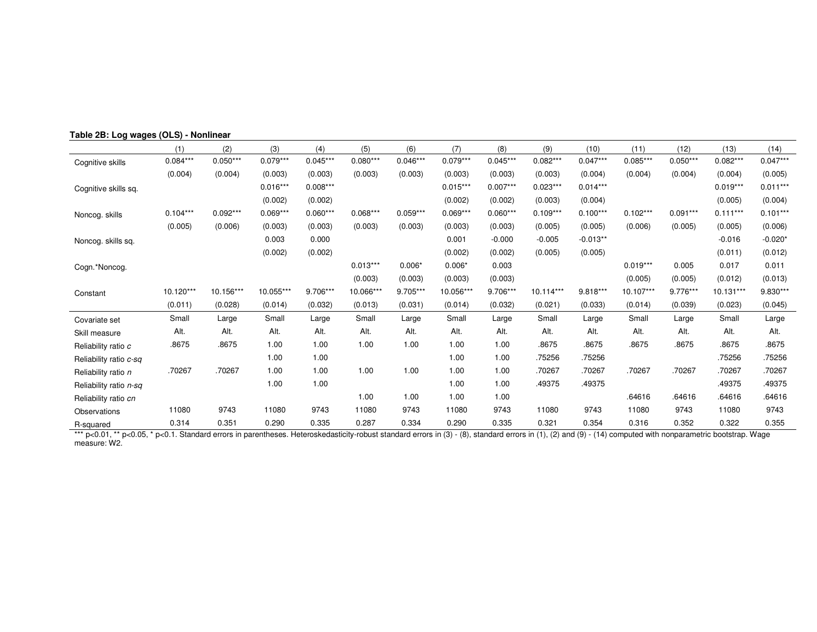|                        | (1)        | (2)        | (3)        | (4)        | (5)        | (6)        | (7)        | (8)        | (9)        | (10)       | (11)        | (12)       | (13)       | (14)       |
|------------------------|------------|------------|------------|------------|------------|------------|------------|------------|------------|------------|-------------|------------|------------|------------|
| Cognitive skills       | $0.084***$ | $0.050***$ | $0.079***$ | $0.045***$ | $0.080***$ | $0.046***$ | $0.079***$ | $0.045***$ | $0.082***$ | $0.047***$ | $0.085***$  | $0.050***$ | $0.082***$ | $0.047***$ |
|                        | (0.004)    | (0.004)    | (0.003)    | (0.003)    | (0.003)    | (0.003)    | (0.003)    | (0.003)    | (0.003)    | (0.004)    | (0.004)     | (0.004)    | (0.004)    | (0.005)    |
| Cognitive skills sq.   |            |            | $0.016***$ | $0.008***$ |            |            | $0.015***$ | $0.007***$ | $0.023***$ | $0.014***$ |             |            | $0.019***$ | $0.011***$ |
|                        |            |            | (0.002)    | (0.002)    |            |            | (0.002)    | (0.002)    | (0.003)    | (0.004)    |             |            | (0.005)    | (0.004)    |
| Noncog. skills         | $0.104***$ | $0.092***$ | $0.069***$ | $0.060***$ | $0.068***$ | $0.059***$ | $0.069***$ | $0.060***$ | $0.109***$ | $0.100***$ | $0.102***$  | $0.091***$ | $0.111***$ | $0.101***$ |
|                        | (0.005)    | (0.006)    | (0.003)    | (0.003)    | (0.003)    | (0.003)    | (0.003)    | (0.003)    | (0.005)    | (0.005)    | (0.006)     | (0.005)    | (0.005)    | (0.006)    |
| Noncog. skills sq.     |            |            | 0.003      | 0.000      |            |            | 0.001      | $-0.000$   | $-0.005$   | $-0.013**$ |             |            | $-0.016$   | $-0.020*$  |
|                        |            |            | (0.002)    | (0.002)    |            |            | (0.002)    | (0.002)    | (0.005)    | (0.005)    |             |            | (0.011)    | (0.012)    |
| Cogn.*Noncog.          |            |            |            |            | $0.013***$ | $0.006*$   | $0.006*$   | 0.003      |            |            | $0.019***$  | 0.005      | 0.017      | 0.011      |
|                        |            |            |            |            | (0.003)    | (0.003)    | (0.003)    | (0.003)    |            |            | (0.005)     | (0.005)    | (0.012)    | (0.013)    |
| Constant               | 10.120***  | 10.156***  | 10.055***  | 9.706***   | 10.066***  | 9.705***   | 10.056***  | 9.706***   | 10.114***  | 9.818***   | $10.107***$ | 9.776***   | 10.131***  | 9.830***   |
|                        | (0.011)    | (0.028)    | (0.014)    | (0.032)    | (0.013)    | (0.031)    | (0.014)    | (0.032)    | (0.021)    | (0.033)    | (0.014)     | (0.039)    | (0.023)    | (0.045)    |
| Covariate set          | Small      | Large      | Small      | Large      | Small      | Large      | Small      | Large      | Small      | Large      | Small       | Large      | Small      | Large      |
| Skill measure          | Alt.       | Alt.       | Alt.       | Alt.       | Alt.       | Alt.       | Alt.       | Alt.       | Alt.       | Alt.       | Alt.        | Alt.       | Alt.       | Alt.       |
| Reliability ratio c    | .8675      | .8675      | 1.00       | 1.00       | 1.00       | 1.00       | 1.00       | 1.00       | .8675      | .8675      | .8675       | .8675      | .8675      | .8675      |
| Reliability ratio c-sq |            |            | 1.00       | 1.00       |            |            | 1.00       | 1.00       | .75256     | .75256     |             |            | .75256     | .75256     |
| Reliability ratio n    | .70267     | .70267     | 1.00       | 1.00       | 1.00       | 1.00       | 1.00       | 1.00       | .70267     | .70267     | .70267      | .70267     | .70267     | .70267     |
| Reliability ratio n-sq |            |            | 1.00       | 1.00       |            |            | 1.00       | 1.00       | .49375     | .49375     |             |            | .49375     | .49375     |
| Reliability ratio cn   |            |            |            |            | 1.00       | 1.00       | 1.00       | 1.00       |            |            | .64616      | .64616     | .64616     | .64616     |
| Observations           | 11080      | 9743       | 11080      | 9743       | 11080      | 9743       | 11080      | 9743       | 11080      | 9743       | 11080       | 9743       | 11080      | 9743       |
| R-squared              | 0.314      | 0.351      | 0.290      | 0.335      | 0.287      | 0.334      | 0.290      | 0.335      | 0.321      | 0.354      | 0.316       | 0.352      | 0.322      | 0.355      |

**Table 2B: Log wages (OLS) - Nonlinear**

R-squared 0.314 0.351 0.290 0.335 0.287 0.334 0.290 0.335 0.321 0.354 0.316 0.352 0.322 0.355<br>\*\*\* p<0.01, \*\* p<0.05, \* p<0.1. Standard errors in parentheses. Heteroskedasticity-robust stand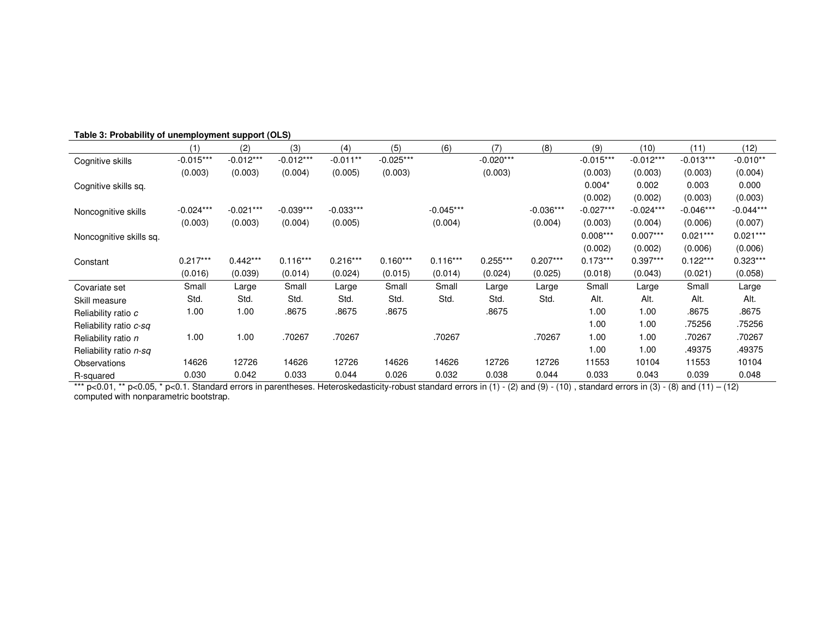|                         | (1)         | (2)         | (3)         | (4)         | (5)         | (6)         | (7)         | (8)         | (9)         | (10)        | (11)        | (12)        |
|-------------------------|-------------|-------------|-------------|-------------|-------------|-------------|-------------|-------------|-------------|-------------|-------------|-------------|
| Cognitive skills        | $-0.015***$ | $-0.012***$ | $-0.012***$ | $-0.011**$  | $-0.025***$ |             | $-0.020***$ |             | $-0.015***$ | $-0.012***$ | $-0.013***$ | $-0.010**$  |
|                         | (0.003)     | (0.003)     | (0.004)     | (0.005)     | (0.003)     |             | (0.003)     |             | (0.003)     | (0.003)     | (0.003)     | (0.004)     |
| Cognitive skills sq.    |             |             |             |             |             |             |             |             | $0.004*$    | 0.002       | 0.003       | 0.000       |
|                         |             |             |             |             |             |             |             |             | (0.002)     | (0.002)     | (0.003)     | (0.003)     |
| Noncognitive skills     | $-0.024***$ | $-0.021***$ | $-0.039***$ | $-0.033***$ |             | $-0.045***$ |             | $-0.036***$ | $-0.027***$ | $-0.024***$ | $-0.046***$ | $-0.044***$ |
|                         | (0.003)     | (0.003)     | (0.004)     | (0.005)     |             | (0.004)     |             | (0.004)     | (0.003)     | (0.004)     | (0.006)     | (0.007)     |
| Noncognitive skills sq. |             |             |             |             |             |             |             |             | $0.008***$  | $0.007***$  | $0.021***$  | $0.021***$  |
|                         |             |             |             |             |             |             |             |             | (0.002)     | (0.002)     | (0.006)     | (0.006)     |
| Constant                | $0.217***$  | $0.442***$  | $0.116***$  | $0.216***$  | $0.160***$  | $0.116***$  | $0.255***$  | $0.207***$  | $0.173***$  | $0.397***$  | $0.122***$  | $0.323***$  |
|                         | (0.016)     | (0.039)     | (0.014)     | (0.024)     | (0.015)     | (0.014)     | (0.024)     | (0.025)     | (0.018)     | (0.043)     | (0.021)     | (0.058)     |
| Covariate set           | Small       | Large       | Small       | Large       | Small       | Small       | Large       | Large       | Small       | Large       | Small       | Large       |
| Skill measure           | Std.        | Std.        | Std.        | Std.        | Std.        | Std.        | Std.        | Std.        | Alt.        | Alt.        | Alt.        | Alt.        |
| Reliability ratio c     | 1.00        | 1.00        | .8675       | .8675       | .8675       |             | .8675       |             | 1.00        | 1.00        | .8675       | .8675       |
| Reliability ratio c-sq  |             |             |             |             |             |             |             |             | 1.00        | 1.00        | .75256      | .75256      |
| Reliability ratio n     | 1.00        | 1.00        | .70267      | .70267      |             | .70267      |             | .70267      | 1.00        | 1.00        | .70267      | .70267      |
| Reliability ratio n-sq  |             |             |             |             |             |             |             |             | 1.00        | 1.00        | .49375      | .49375      |
| Observations            | 14626       | 12726       | 14626       | 12726       | 14626       | 14626       | 12726       | 12726       | 11553       | 10104       | 11553       | 10104       |
| R-squared               | 0.030       | 0.042       | 0.033       | 0.044       | 0.026       | 0.032       | 0.038       | 0.044       | 0.033       | 0.043       | 0.039       | 0.048       |

**Table 3: Probability of unemployment support (OLS)**

computed with nonparametric bootstrap.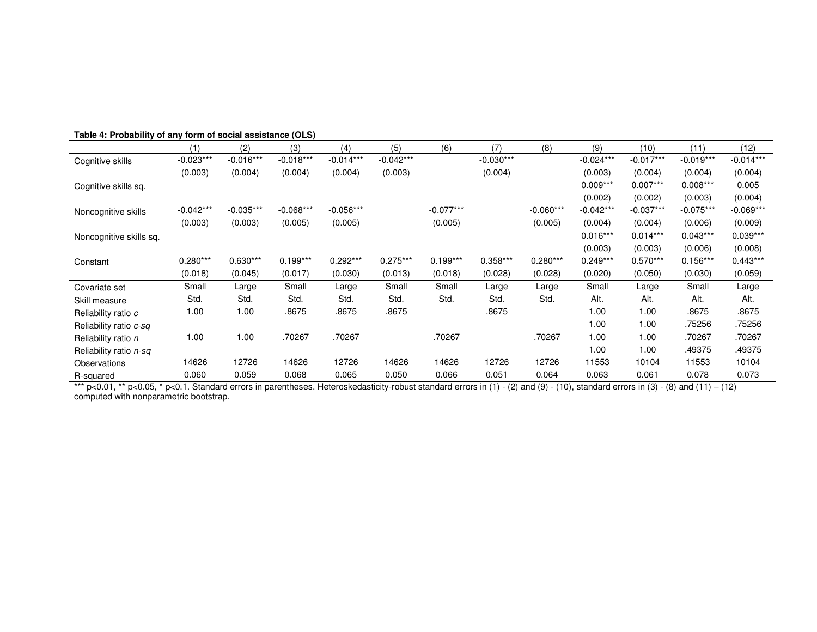|                         | (1)         | (2)         | (3)         | (4)         | (5)         | (6)         | (7)         | (8)         | (9)         | (10)        | (11)        | (12)        |
|-------------------------|-------------|-------------|-------------|-------------|-------------|-------------|-------------|-------------|-------------|-------------|-------------|-------------|
| Cognitive skills        | $-0.023***$ | $-0.016***$ | $-0.018***$ | $-0.014***$ | $-0.042***$ |             | $-0.030***$ |             | $-0.024***$ | $-0.017***$ | $-0.019***$ | $-0.014***$ |
|                         | (0.003)     | (0.004)     | (0.004)     | (0.004)     | (0.003)     |             | (0.004)     |             | (0.003)     | (0.004)     | (0.004)     | (0.004)     |
| Cognitive skills sq.    |             |             |             |             |             |             |             |             | $0.009***$  | $0.007***$  | $0.008***$  | 0.005       |
|                         |             |             |             |             |             |             |             |             | (0.002)     | (0.002)     | (0.003)     | (0.004)     |
| Noncognitive skills     | $-0.042***$ | $-0.035***$ | $-0.068***$ | $-0.056***$ |             | $-0.077***$ |             | $-0.060***$ | $-0.042***$ | $-0.037***$ | $-0.075***$ | $-0.069***$ |
|                         | (0.003)     | (0.003)     | (0.005)     | (0.005)     |             | (0.005)     |             | (0.005)     | (0.004)     | (0.004)     | (0.006)     | (0.009)     |
| Noncognitive skills sq. |             |             |             |             |             |             |             |             | $0.016***$  | $0.014***$  | $0.043***$  | $0.039***$  |
|                         |             |             |             |             |             |             |             |             | (0.003)     | (0.003)     | (0.006)     | (0.008)     |
| Constant                | $0.280***$  | $0.630***$  | $0.199***$  | $0.292***$  | $0.275***$  | $0.199***$  | $0.358***$  | $0.280***$  | $0.249***$  | $0.570***$  | $0.156***$  | $0.443***$  |
|                         | (0.018)     | (0.045)     | (0.017)     | (0.030)     | (0.013)     | (0.018)     | (0.028)     | (0.028)     | (0.020)     | (0.050)     | (0.030)     | (0.059)     |
| Covariate set           | Small       | Large       | Small       | Large       | Small       | Small       | Large       | Large       | Small       | Large       | Small       | Large       |
| Skill measure           | Std.        | Std.        | Std.        | Std.        | Std.        | Std.        | Std.        | Std.        | Alt.        | Alt.        | Alt.        | Alt.        |
| Reliability ratio c     | 1.00        | 1.00        | .8675       | .8675       | .8675       |             | .8675       |             | 1.00        | 1.00        | .8675       | .8675       |
| Reliability ratio c-sq  |             |             |             |             |             |             |             |             | 1.00        | 1.00        | .75256      | .75256      |
| Reliability ratio n     | 1.00        | 1.00        | .70267      | .70267      |             | .70267      |             | .70267      | 1.00        | 1.00        | .70267      | .70267      |
| Reliability ratio n-sq  |             |             |             |             |             |             |             |             | 1.00        | 1.00        | .49375      | .49375      |
| Observations            | 14626       | 12726       | 14626       | 12726       | 14626       | 14626       | 12726       | 12726       | 11553       | 10104       | 11553       | 10104       |
| R-squared               | 0.060       | 0.059       | 0.068       | 0.065       | 0.050       | 0.066       | 0.051       | 0.064       | 0.063       | 0.061       | 0.078       | 0.073       |

R-squared 0.060 0.059 0.068 0.065 0.050 0.066 0.051 0.064 0.063 0.061 0.078 0.073<br>\*\*\* p<0.01, \*\* p<0.05, \* p<0.1. Standard errors in parentheses. Heteroskedasticity-robust standard errors in (1) computed with nonparametric bootstrap.

#### **Table 4: Probability of any form of social assistance (OLS)**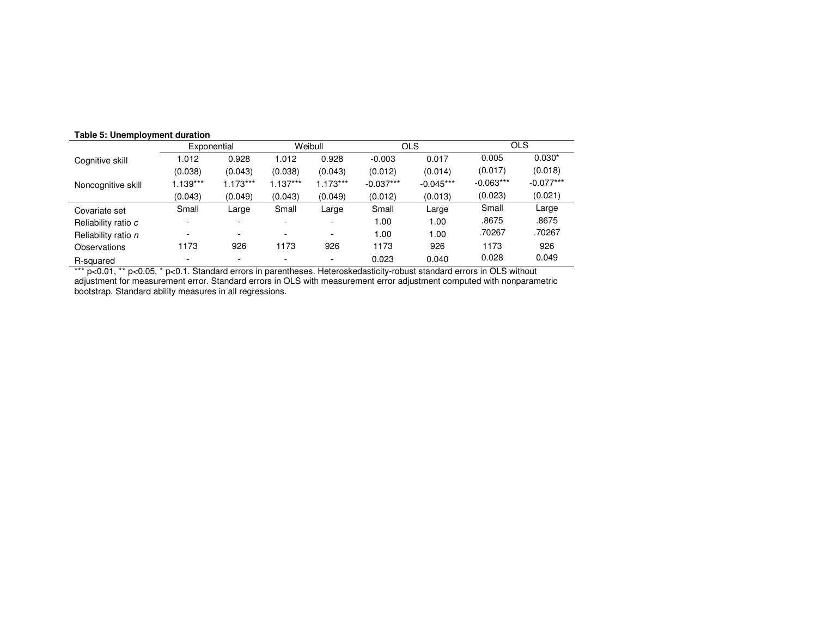#### **Table 5: Unemployment duration**

|            |            |             | Weibull    |             | <b>OLS</b>  |             | <b>OLS</b>  |
|------------|------------|-------------|------------|-------------|-------------|-------------|-------------|
| 1.012      | 0.928      | 1.012       | 0.928      | $-0.003$    | 0.017       | 0.005       | $0.030*$    |
| (0.038)    | (0.043)    | (0.038)     | (0.043)    | (0.012)     | (0.014)     | (0.017)     | (0.018)     |
| $1.139***$ | $1.173***$ | $1.137***$  | $1.173***$ | $-0.037***$ | $-0.045***$ | $-0.063***$ | $-0.077***$ |
| (0.043)    | (0.049)    | (0.043)     | (0.049)    | (0.012)     | (0.013)     | (0.023)     | (0.021)     |
| Small      | Large      | Small       | Large      | Small       | Large       | Small       | Large       |
|            |            |             |            | 1.00        | 1.00        | .8675       | .8675       |
|            |            |             | <b>100</b> | 1.00        | 1.00        | .70267      | .70267      |
| 1173       | 926        | 1173        | 926        | 1173        | 926         | 1173        | 926         |
|            |            |             |            | 0.023       | 0.040       | 0.028       | 0.049       |
|            |            | Exponential |            |             |             |             |             |

adjustment for measurement error. Standard errors in OLS with measurement error adjustment computed with nonparametric bootstrap. Standard ability measures in all regressions.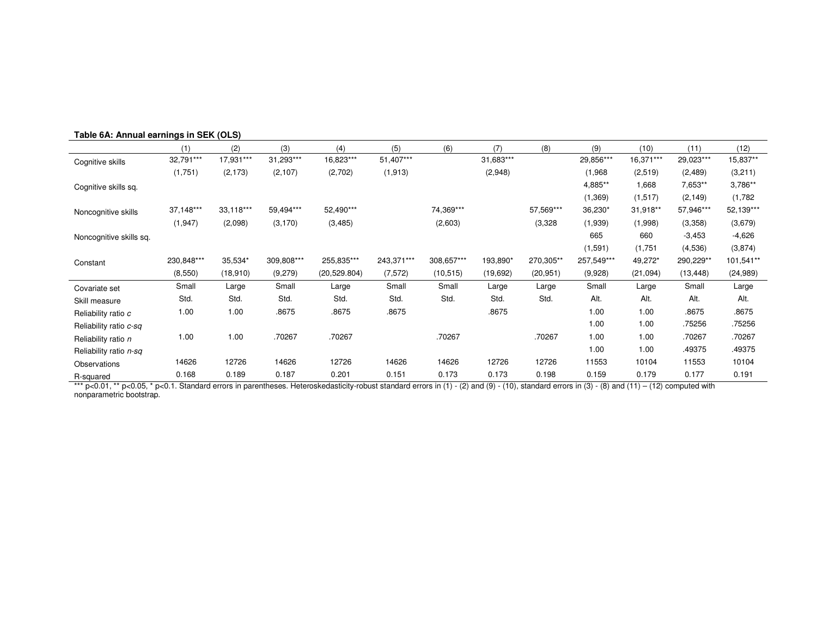|                         | (1)        | (2)       | (3)        | (4)           | (5)        | (6)        | (7)       | (8)       | (9)        | (10)      | (11)      | (12)      |
|-------------------------|------------|-----------|------------|---------------|------------|------------|-----------|-----------|------------|-----------|-----------|-----------|
| Cognitive skills        | 32,791***  | 17,931*** | 31,293***  | 16,823***     | 51,407***  |            | 31,683*** |           | 29,856***  | 16,371*** | 29,023*** | 15,837**  |
|                         | (1,751)    | (2, 173)  | (2, 107)   | (2,702)       | (1, 913)   |            | (2,948)   |           | (1,968)    | (2,519)   | (2,489)   | (3,211)   |
| Cognitive skills sq.    |            |           |            |               |            |            |           |           | 4,885**    | 1,668     | 7,653**   | 3,786**   |
|                         |            |           |            |               |            |            |           |           | (1, 369)   | (1,517)   | (2, 149)  | (1,782)   |
| Noncognitive skills     | 37,148***  | 33,118*** | 59,494***  | 52,490***     |            | 74,369***  |           | 57,569*** | 36,230*    | 31,918**  | 57,946*** | 52,139*** |
|                         | (1, 947)   | (2,098)   | (3, 170)   | (3, 485)      |            | (2,603)    |           | (3, 328)  | (1,939)    | (1,998)   | (3,358)   | (3,679)   |
| Noncognitive skills sq. |            |           |            |               |            |            |           |           | 665        | 660       | $-3,453$  | $-4,626$  |
|                         |            |           |            |               |            |            |           |           | (1,591)    | (1,751)   | (4,536)   | (3,874)   |
| Constant                | 230,848*** | 35,534*   | 309,808*** | 255,835***    | 243,371*** | 308,657*** | 193,890*  | 270,305** | 257,549*** | 49,272*   | 290,229** | 101,541** |
|                         | (8,550)    | (18,910)  | (9,279)    | (20, 529.804) | (7, 572)   | (10, 515)  | (19,692)  | (20, 951) | (9,928)    | (21,094)  | (13, 448) | (24, 989) |
| Covariate set           | Small      | Large     | Small      | Large         | Small      | Small      | Large     | Large     | Small      | Large     | Small     | Large     |
| Skill measure           | Std.       | Std.      | Std.       | Std.          | Std.       | Std.       | Std.      | Std.      | Alt.       | Alt.      | Alt.      | Alt.      |
| Reliability ratio c     | 1.00       | 1.00      | .8675      | .8675         | .8675      |            | .8675     |           | 1.00       | 1.00      | .8675     | .8675     |
| Reliability ratio c-sq  |            |           |            |               |            |            |           |           | 1.00       | 1.00      | .75256    | .75256    |
| Reliability ratio n     | 1.00       | 1.00      | .70267     | .70267        |            | .70267     |           | .70267    | 1.00       | 1.00      | .70267    | .70267    |
| Reliability ratio n-sq  |            |           |            |               |            |            |           |           | 1.00       | 1.00      | .49375    | .49375    |
| Observations            | 14626      | 12726     | 14626      | 12726         | 14626      | 14626      | 12726     | 12726     | 11553      | 10104     | 11553     | 10104     |
| R-squared               | 0.168      | 0.189     | 0.187      | 0.201         | 0.151      | 0.173      | 0.173     | 0.198     | 0.159      | 0.179     | 0.177     | 0.191     |

R-squared 6.179 0.179 0.177 0.189 0.189 0.187 0.201 0.151 0.173 0.173 0.198 0.199 0.179 0.179 0.177 0.191<br>\*\*\* p<0.01, \*\* p<0.05, \* p<0.1. Standard errors in parentheses. Heteroskedasticity-robust standard errors in (1) nonparametric bootstrap.

#### **Table 6A: Annual earnings in SEK (OLS)**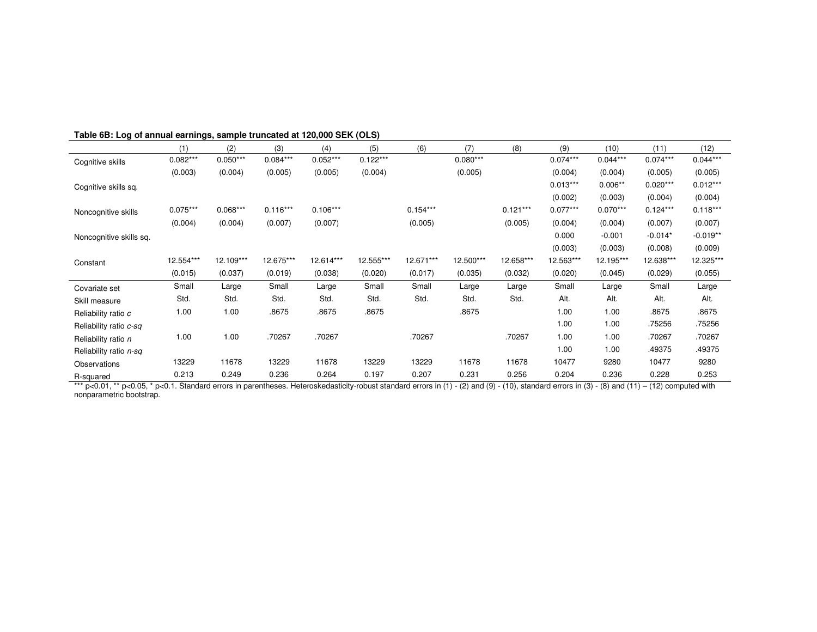|                         | (1)        | (2)        | (3)        | (4)        | (5)        | (6)        | (7)        | (8)        | (9)        | (10)       | (11)       | (12)       |
|-------------------------|------------|------------|------------|------------|------------|------------|------------|------------|------------|------------|------------|------------|
| Cognitive skills        | $0.082***$ | $0.050***$ | $0.084***$ | $0.052***$ | $0.122***$ |            | $0.080***$ |            | $0.074***$ | $0.044***$ | $0.074***$ | $0.044***$ |
|                         | (0.003)    | (0.004)    | (0.005)    | (0.005)    | (0.004)    |            | (0.005)    |            | (0.004)    | (0.004)    | (0.005)    | (0.005)    |
| Cognitive skills sq.    |            |            |            |            |            |            |            |            | $0.013***$ | $0.006**$  | $0.020***$ | $0.012***$ |
|                         |            |            |            |            |            |            |            |            | (0.002)    | (0.003)    | (0.004)    | (0.004)    |
| Noncognitive skills     | $0.075***$ | $0.068***$ | $0.116***$ | $0.106***$ |            | $0.154***$ |            | $0.121***$ | $0.077***$ | $0.070***$ | $0.124***$ | $0.118***$ |
|                         | (0.004)    | (0.004)    | (0.007)    | (0.007)    |            | (0.005)    |            | (0.005)    | (0.004)    | (0.004)    | (0.007)    | (0.007)    |
| Noncognitive skills sq. |            |            |            |            |            |            |            |            | 0.000      | $-0.001$   | $-0.014*$  | $-0.019**$ |
|                         |            |            |            |            |            |            |            |            | (0.003)    | (0.003)    | (0.008)    | (0.009)    |
| Constant                | 12.554***  | 12.109***  | 12.675***  | 12.614***  | 12.555***  | 12.671***  | 12.500***  | 12.658***  | 12.563***  | 12.195***  | 12.638***  | 12.325***  |
|                         | (0.015)    | (0.037)    | (0.019)    | (0.038)    | (0.020)    | (0.017)    | (0.035)    | (0.032)    | (0.020)    | (0.045)    | (0.029)    | (0.055)    |
| Covariate set           | Small      | Large      | Small      | Large      | Small      | Small      | Large      | Large      | Small      | Large      | Small      | Large      |
| Skill measure           | Std.       | Std.       | Std.       | Std.       | Std.       | Std.       | Std.       | Std.       | Alt.       | Alt.       | Alt.       | Alt.       |
| Reliability ratio c     | 1.00       | 1.00       | .8675      | .8675      | .8675      |            | .8675      |            | 1.00       | 1.00       | .8675      | .8675      |
| Reliability ratio c-sq  |            |            |            |            |            |            |            |            | 1.00       | 1.00       | .75256     | .75256     |
| Reliability ratio n     | 1.00       | 1.00       | .70267     | .70267     |            | .70267     |            | .70267     | 1.00       | 1.00       | .70267     | .70267     |
| Reliability ratio n-sq  |            |            |            |            |            |            |            |            | 1.00       | 1.00       | .49375     | .49375     |
| Observations            | 13229      | 11678      | 13229      | 11678      | 13229      | 13229      | 11678      | 11678      | 10477      | 9280       | 10477      | 9280       |
| R-squared               | 0.213      | 0.249      | 0.236      | 0.264      | 0.197      | 0.207      | 0.231      | 0.256      | 0.204      | 0.236      | 0.228      | 0.253      |

R-squared 6.205.0 0.236 0.285 0.263 0.264 0.264 0.197 0.207 0.231 0.256 0.204 0.236 0.228 0.228 0.253<br>\*\*\* p<0.01, \*\* p<0.05, \* p<0.1. Standard errors in parentheses. Heteroskedasticity-robust standard errors in (1) - (2) nonparametric bootstrap.

#### **Table 6B: Log of annual earnings, sample truncated at 120,000 SEK (OLS)**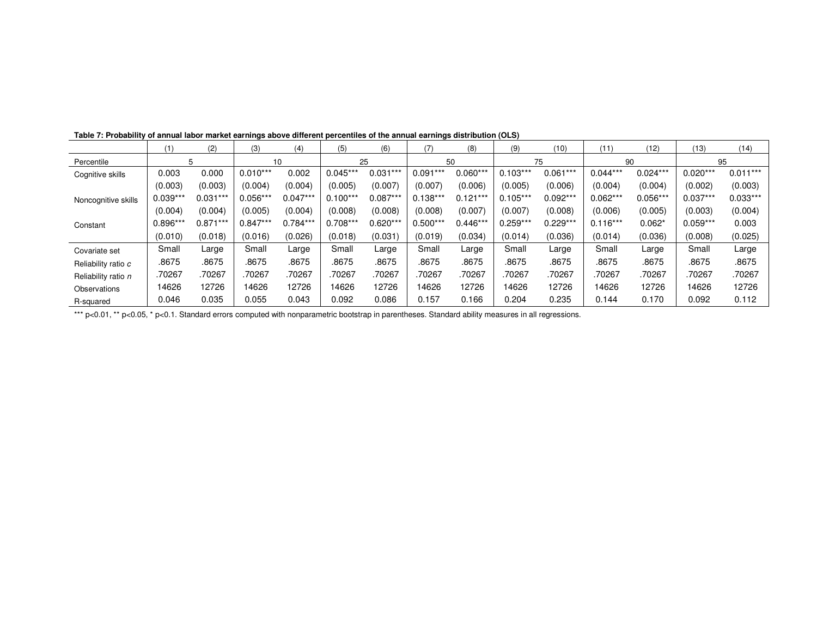|                     | (1         | (2)        | (3)        | (4)        | (5)        | (6)        | (7)        | (8)        | (9)        | (10)       | (11)       | (12)       | (13)       | (14)       |
|---------------------|------------|------------|------------|------------|------------|------------|------------|------------|------------|------------|------------|------------|------------|------------|
| Percentile          |            | 5          |            | 10         |            | 25         |            | 50         |            | 75         | 90         |            | 95         |            |
| Cognitive skills    | 0.003      | 0.000      | $0.010***$ | 0.002      | $0.045***$ | $0.031***$ | $0.091***$ | $0.060***$ | $0.103***$ | $0.061***$ | $0.044***$ | $0.024***$ | $0.020***$ | $0.011***$ |
|                     | (0.003)    | (0.003)    | (0.004)    | (0.004)    | (0.005)    | (0.007)    | (0.007)    | (0.006)    | (0.005)    | (0.006)    | (0.004)    | (0.004)    | (0.002)    | (0.003)    |
| Noncognitive skills | $0.039***$ | $0.031***$ | $0.056***$ | $0.047**$  | $0.100***$ | $0.087**$  | $0.138***$ | $0.121***$ | $0.105***$ | $0.092***$ | $0.062***$ | $0.056***$ | $0.037***$ | $0.033***$ |
|                     | (0.004)    | (0.004)    | (0.005)    | (0.004)    | (0.008)    | (0.008)    | (0.008)    | (0.007)    | (0.007)    | (0.008)    | (0.006)    | (0.005)    | (0.003)    | (0.004)    |
| Constant            | $0.896***$ | $0.871***$ | $0.847***$ | $0.784***$ | $0.708***$ | $0.620***$ | $0.500***$ | $0.446***$ | $0.259***$ | $0.229***$ | $0.116***$ | $0.062*$   | $0.059***$ | 0.003      |
|                     | (0.010)    | (0.018)    | (0.016)    | (0.026)    | (0.018)    | (0.031)    | (0.019)    | (0.034)    | (0.014)    | (0.036)    | (0.014)    | (0.036)    | (0.008)    | (0.025)    |
| Covariate set       | Small      | Large      | Small      | Large      | Small      | Large      | Small      | Large      | Small      | Large      | Small      | Large      | Small      | Large      |
| Reliability ratio c | .8675      | .8675      | .8675      | .8675      | .8675      | .8675      | 8675       | .8675      | .8675      | .8675      | 8675       | .8675      | .8675      | .8675      |
| Reliability ratio n | .70267     | .70267     | .70267     | .70267     | .70267     | .70267     | .70267     | .70267     | 70267      | .70267     | .70267     | .70267     | .70267     | .70267     |
| Observations        | 14626      | 12726      | 14626      | 12726      | 14626      | 12726      | 4626       | 12726      | 14626      | 12726      | 4626       | 12726      | 14626      | 12726      |
| R-squared           | 0.046      | 0.035      | 0.055      | 0.043      | 0.092      | 0.086      | 0.157      | 0.166      | 0.204      | 0.235      | 0.144      | 0.170      | 0.092      | 0.112      |

Table 7: Probability of annual labor market earnings above different percentiles of the annual earnings distribution (OLS)

\*\*\* p<0.01, \*\* p<0.05, \* p<0.1. Standard errors computed with nonparametric bootstrap in parentheses. Standard ability measures in all regressions.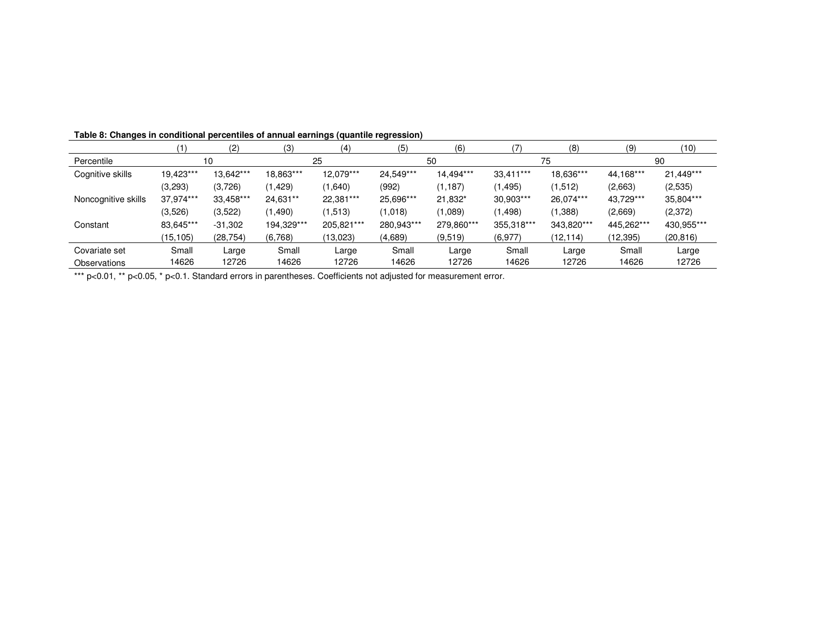| Table 8: Changes in conditional percentiles of annual earnings (quantile regression) |  |  |
|--------------------------------------------------------------------------------------|--|--|
|                                                                                      |  |  |

|                     |           | (2)       | (3)        | (4)        | (5)        | (6)        |            | (8)        | (9)        | (10)       |
|---------------------|-----------|-----------|------------|------------|------------|------------|------------|------------|------------|------------|
| Percentile          |           | 10        | 25         |            | 50         |            | 75         |            | 90         |            |
| Cognitive skills    | 19,423*** | 13,642*** | 18,863***  | 12,079***  | 24,549***  | 14,494***  | 33,411***  | 18,636***  | 44,168***  | 21,449***  |
|                     | (3,293)   | (3,726)   | (1, 429)   | (1,640)    | (992)      | (1, 187)   | (1, 495)   | (1,512)    | (2,663)    | (2,535)    |
| Noncognitive skills | 37.974*** | 33,458*** | 24,631**   | 22,381***  | 25,696***  | 21,832*    | 30,903***  | 26,074***  | 43,729***  | 35,804***  |
|                     | (3.526)   | (3,522)   | (1,490)    | (1,513)    | (1,018)    | (1,089)    | (1, 498)   | (1,388)    | (2,669)    | (2,372)    |
| Constant            | 83,645*** | $-31,302$ | 194,329*** | 205,821*** | 280,943*** | 279,860*** | 355,318*** | 343,820*** | 445,262*** | 430,955*** |
|                     | (15, 105) | (28, 754) | (6,768)    | (13,023)   | (4,689)    | (9,519)    | (6,977)    | (12, 114)  | (12,395)   | (20, 816)  |
| Covariate set       | Small     | Large     | Small      | Large      | Small      | Large      | Small      | Large      | Small      | Large      |
| Observations        | 14626     | 12726     | 14626      | 12726      | 14626      | 12726      | 14626      | 12726      | 14626      | 12726      |

\*\*\* p<0.01, \*\* p<0.05, \* p<0.1. Standard errors in parentheses. Coefficients not adjusted for measurement error.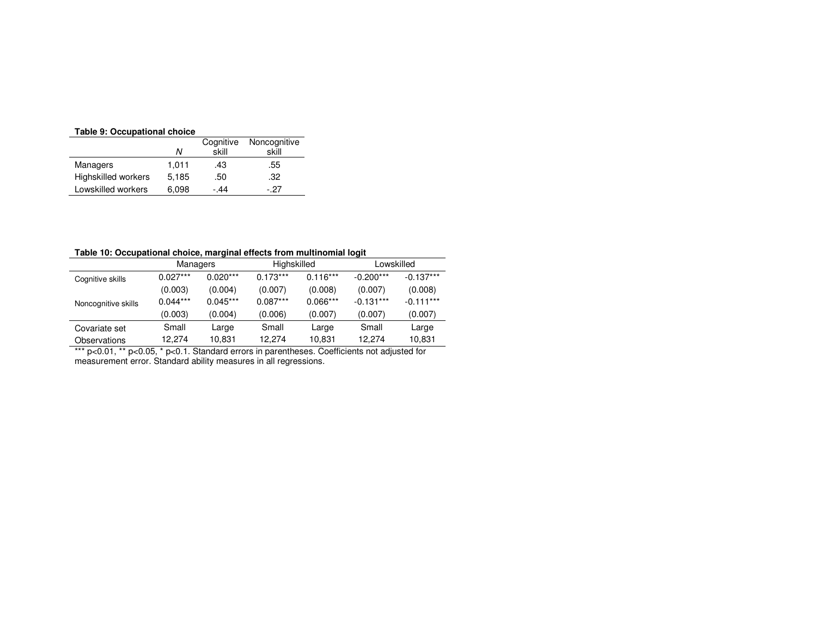#### **Table 9: Occupational choice**

| rable 3. Occupational choice |           |              |  |  |  |  |  |  |
|------------------------------|-----------|--------------|--|--|--|--|--|--|
|                              | Cognitive | Noncognitive |  |  |  |  |  |  |
| N                            | skill     | skill        |  |  |  |  |  |  |
| 1.011                        | .43       | .55          |  |  |  |  |  |  |
| 5.185                        | .50       | .32          |  |  |  |  |  |  |
| 6.098                        | - 44      | - 27         |  |  |  |  |  |  |
|                              |           |              |  |  |  |  |  |  |

#### **Table 10: Occupational choice, marginal effects from multinomial logit**

|                     | Managers   |            | Highskilled |            | Lowskilled                                                                     |             |  |
|---------------------|------------|------------|-------------|------------|--------------------------------------------------------------------------------|-------------|--|
| Cognitive skills    | $0.027***$ | $0.020***$ | $0.173***$  | $0.116***$ | $-0.200***$                                                                    | $-0.137***$ |  |
|                     | (0.003)    | (0.004)    | (0.007)     | (0.008)    | (0.007)                                                                        | (0.008)     |  |
| Noncognitive skills | $0.044***$ | $0.045***$ | $0.087***$  | $0.066***$ | $-0.131***$                                                                    | $-0.111***$ |  |
|                     | (0.003)    | (0.004)    | (0.006)     | (0.007)    | (0.007)                                                                        | (0.007)     |  |
| Covariate set       | Small      | Large      | Small       | Large      | Small                                                                          | Large       |  |
| Observations        | 12.274     | 10.831     | 12.274      | 10.831     | 12.274                                                                         | 10,831      |  |
| *** $p<0.01$ . **   |            |            |             |            | p<0.05, * p<0.1. Standard errors in parentheses. Coefficients not adjusted for |             |  |

measurement error. Standard ability measures in all regressions.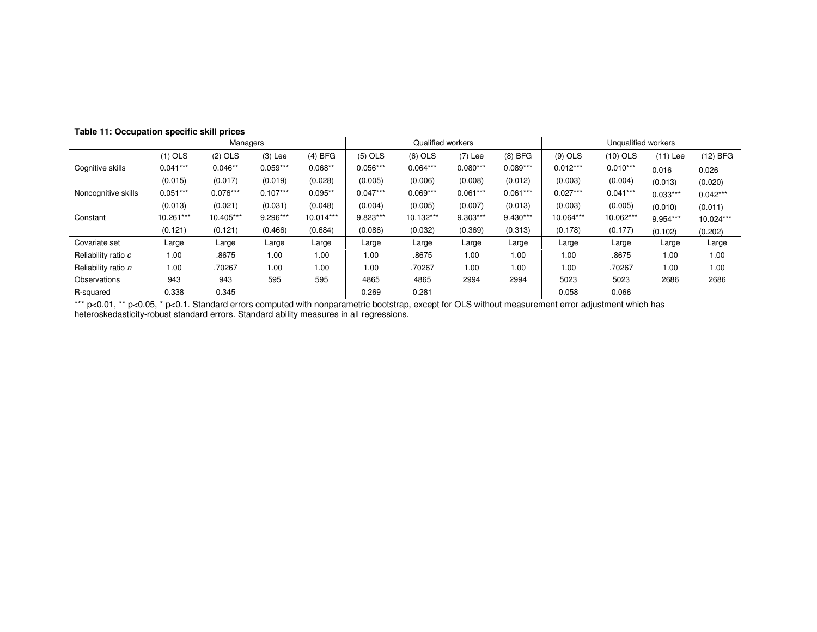|                     | Managers   |            |            |           |            | Qualified workers |            |            | Unqualified workers |            |            |            |
|---------------------|------------|------------|------------|-----------|------------|-------------------|------------|------------|---------------------|------------|------------|------------|
|                     | $(1)$ OLS  | $(2)$ OLS  | $(3)$ Lee  | $(4)$ BFG | $(5)$ OLS  | $(6)$ OLS         | $(7)$ Lee  | $(8)$ BFG  | $(9)$ OLS           | $(10)$ OLS | $(11)$ Lee | (12) BFG   |
| Cognitive skills    | $0.041***$ | $0.046**$  | $0.059***$ | $0.068**$ | $0.056***$ | $0.064***$        | $0.080***$ | $0.089***$ | $0.012***$          | $0.010***$ | 0.016      | 0.026      |
|                     | (0.015)    | (0.017)    | (0.019)    | (0.028)   | (0.005)    | (0.006)           | (0.008)    | (0.012)    | (0.003)             | (0.004)    | (0.013)    | (0.020)    |
| Noncognitive skills | $0.051***$ | $0.076***$ | $0.107***$ | $0.095**$ | $0.047***$ | $0.069***$        | $0.061***$ | $0.061***$ | $0.027***$          | $0.041***$ | $0.033***$ | $0.042***$ |
|                     | (0.013)    | (0.021)    | (0.031)    | (0.048)   | (0.004)    | (0.005)           | (0.007)    | (0.013)    | (0.003)             | (0.005)    | (0.010)    | (0.011)    |
| Constant            | 10.261***  | 10.405***  | 9.296***   | 10.014*** | 9.823***   | 10.132***         | 9.303***   | $9.430***$ | 10.064***           | 10.062***  | 9.954***   | 10.024***  |
|                     | (0.121)    | (0.121)    | (0.466)    | (0.684)   | (0.086)    | (0.032)           | (0.369)    | (0.313)    | (0.178)             | (0.177)    | (0.102)    | (0.202)    |
| Covariate set       | Large      | Large      | Large      | Large     | Large      | Large             | Large      | Large      | Large               | Large      | Large      | Large      |
| Reliability ratio c | 1.00       | .8675      | 1.00       | 1.00      | 1.00       | .8675             | 1.00       | 1.00       | 1.00                | .8675      | 1.00       | 1.00       |
| Reliability ratio n | 1.00       | .70267     | 1.00       | 1.00      | 1.00       | .70267            | 1.00       | 1.00       | 1.00                | .70267     | 1.00       | 1.00       |
| Observations        | 943        | 943        | 595        | 595       | 4865       | 4865              | 2994       | 2994       | 5023                | 5023       | 2686       | 2686       |
| R-squared           | 0.338      | 0.345      |            |           | 0.269      | 0.281             |            |            | 0.058               | 0.066      |            |            |

R-squared 0.338 0.345 0.269 0.281 0.058 0.066<br>\*\*\* p<0.01, \*\* p<0.05, \* p<0.1. Standard errors computed with nonparametric bootstrap, except for OLS without measurement error adj heteroskedasticity-robust standard errors. Standard ability measures in all regressions.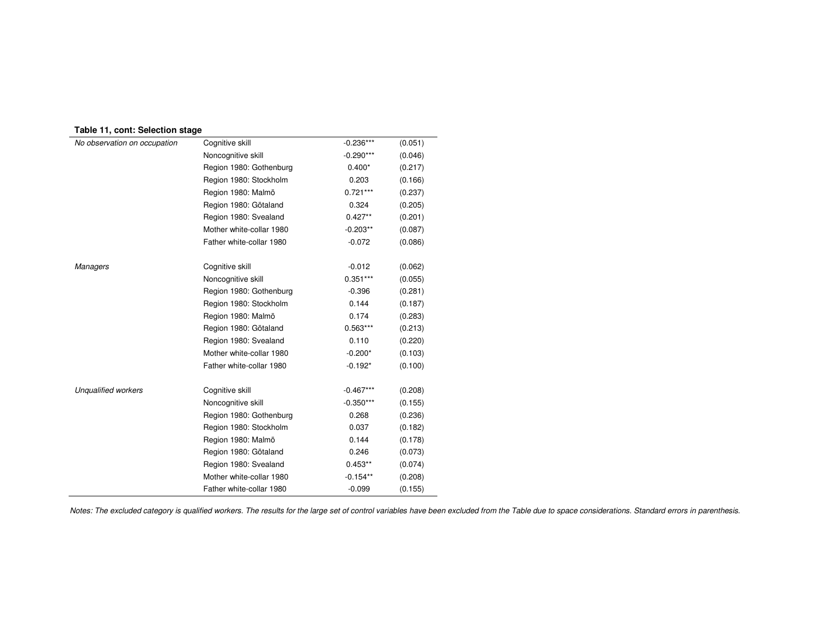|  |  |  | Table 11, cont: Selection stage |  |
|--|--|--|---------------------------------|--|
|--|--|--|---------------------------------|--|

| No observation on occupation | Cognitive skill          | $-0.236***$ | (0.051) |
|------------------------------|--------------------------|-------------|---------|
|                              | Noncognitive skill       | $-0.290***$ | (0.046) |
|                              | Region 1980: Gothenburg  | $0.400*$    | (0.217) |
|                              | Region 1980: Stockholm   | 0.203       | (0.166) |
|                              | Region 1980: Malmö       | $0.721***$  | (0.237) |
|                              | Region 1980: Götaland    | 0.324       | (0.205) |
|                              | Region 1980: Svealand    | $0.427**$   | (0.201) |
|                              | Mother white-collar 1980 | $-0.203**$  | (0.087) |
|                              | Father white-collar 1980 | $-0.072$    | (0.086) |
| <b>Managers</b>              | Cognitive skill          | $-0.012$    | (0.062) |
|                              | Noncognitive skill       | $0.351***$  | (0.055) |
|                              | Region 1980: Gothenburg  | $-0.396$    | (0.281) |
|                              | Region 1980: Stockholm   | 0.144       | (0.187) |
|                              | Region 1980: Malmö       | 0.174       | (0.283) |
|                              | Region 1980: Götaland    | $0.563***$  | (0.213) |
|                              | Region 1980: Svealand    | 0.110       | (0.220) |
|                              | Mother white-collar 1980 | $-0.200*$   | (0.103) |
|                              | Father white-collar 1980 | $-0.192*$   | (0.100) |
| <b>Unqualified workers</b>   | Cognitive skill          | $-0.467***$ | (0.208) |
|                              | Noncognitive skill       | $-0.350***$ | (0.155) |
|                              | Region 1980: Gothenburg  | 0.268       | (0.236) |
|                              | Region 1980: Stockholm   | 0.037       | (0.182) |
|                              | Region 1980: Malmö       | 0.144       | (0.178) |
|                              | Region 1980: Götaland    | 0.246       | (0.073) |
|                              | Region 1980: Svealand    | $0.453**$   | (0.074) |
|                              | Mother white-collar 1980 | $-0.154**$  | (0.208) |
|                              | Father white-collar 1980 | $-0.099$    | (0.155) |

Notes: The excluded category is qualified workers. The results for the large set of control variables have been excluded from the Table due to space considerations. Standard errors in parenthesis.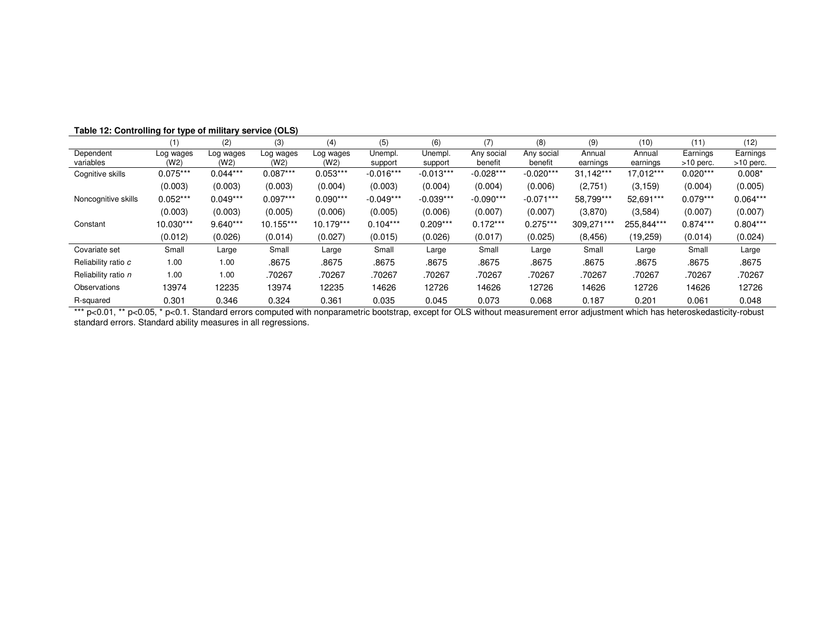|                        |                   | (2)               | (3)               | (4)               | (5)                | (6)                |                       | (8)                   | (9)                | (10)               | (11)                    | (12)                    |
|------------------------|-------------------|-------------------|-------------------|-------------------|--------------------|--------------------|-----------------------|-----------------------|--------------------|--------------------|-------------------------|-------------------------|
| Dependent<br>variables | Log wages<br>(W2) | Log wages<br>(W2) | Log wages<br>(W2) | Log wages<br>(W2) | Unempl.<br>support | Unempl.<br>support | Any social<br>benefit | Any social<br>benefit | Annual<br>earnings | Annual<br>earnings | Earnings<br>$>10$ perc. | Earnings<br>$>10$ perc. |
| Cognitive skills       | $0.075***$        | $0.044***$        | $0.087***$        | $0.053***$        | $-0.016***$        | $-0.013***$        | $-0.028***$           | $-0.020***$           | 31.142***          | 17,012***          | $0.020***$              | $0.008*$                |
|                        | (0.003)           | (0.003)           | (0.003)           | (0.004)           | (0.003)            | (0.004)            | (0.004)               | (0.006)               | (2,751)            | (3, 159)           | (0.004)                 | (0.005)                 |
| Noncognitive skills    | $0.052***$        | $0.049***$        | $0.097***$        | $0.090***$        | $-0.049***$        | $-0.039***$        | $-0.090***$           | $-0.071***$           | 58,799***          | 52,691***          | $0.079***$              | $0.064***$              |
|                        | (0.003)           | (0.003)           | (0.005)           | (0.006)           | (0.005)            | (0.006)            | (0.007)               | (0.007)               | (3,870)            | (3,584)            | (0.007)                 | (0.007)                 |
| Constant               | 10.030***         | $9.640***$        | 10.155***         | 10.179***         | $0.104***$         | $0.209***$         | $0.172***$            | $0.275***$            | 309,271***         | 255,844***         | $0.874***$              | $0.804***$              |
|                        | (0.012)           | (0.026)           | (0.014)           | (0.027)           | (0.015)            | (0.026)            | (0.017)               | (0.025)               | (8, 456)           | (19,259)           | (0.014)                 | (0.024)                 |
| Covariate set          | Small             | Large             | Small             | Large             | Small              | Large              | Small                 | Large                 | Small              | Large              | Small                   | Large                   |
| Reliability ratio c    | 1.00              | 1.00              | .8675             | .8675             | .8675              | .8675              | .8675                 | .8675                 | .8675              | .8675              | .8675                   | .8675                   |
| Reliability ratio n    | 1.00              | 1.00              | .70267            | .70267            | .70267             | .70267             | .70267                | .70267                | .70267             | .70267             | .70267                  | .70267                  |
| Observations           | 13974             | 12235             | 13974             | 12235             | 14626              | 12726              | 14626                 | 12726                 | 14626              | 12726              | 14626                   | 12726                   |
| R-squared              | 0.301             | 0.346             | 0.324             | 0.361             | 0.035              | 0.045              | 0.073                 | 0.068                 | 0.187              | 0.201              | 0.061                   | 0.048                   |

**Table 12: Controlling for type of military service (OLS)**

R-squared 0.301 0.346 0.324 0.361 0.035 0.045 0.073 0.068 0.187 0.201 0.061 0.048<br>\*\*\* p<0.01, \*\* p<0.05, \* p<0.1. Standard errors computed with nonparametric bootstrap, except for OLS without me standard errors. Standard ability measures in all regressions.